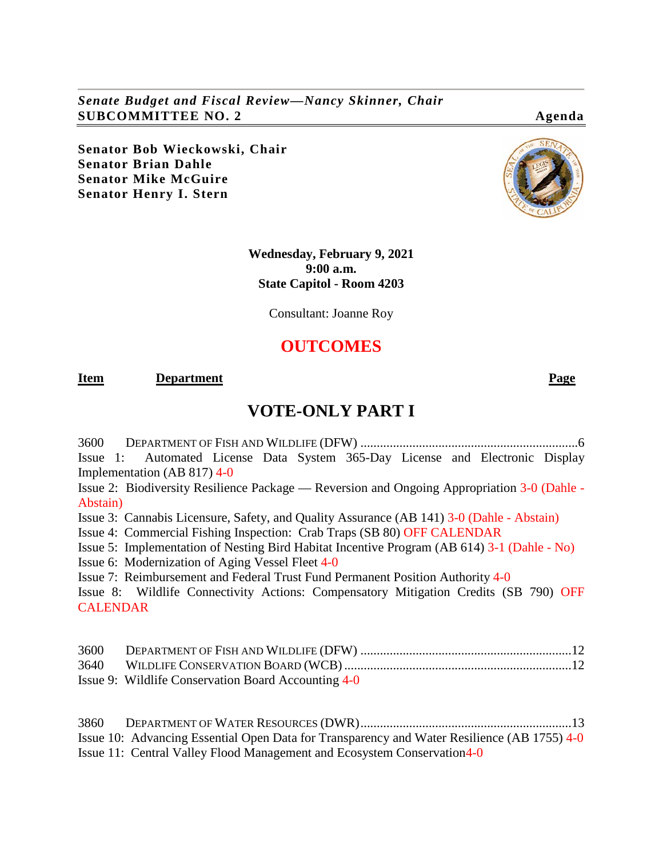*Senate Budget and Fiscal Review—Nancy Skinner, Chair* **SUBCOMMITTEE NO. 2 Agenda**

**Senator Bob Wieckowski, Chair Senator Brian Dahle Senator Mike McGuire Senator Henry I. Stern**

> **Wednesday, February 9, 2021 9:00 a.m. State Capitol - Room 4203**

> > Consultant: Joanne Roy

# **OUTCOMES**

#### **Item Department Page**

# **VOTE-ONLY PART I**

3600 [DEPARTMENT OF FISH AND WILDLIFE \(DFW\)](#page-5-0) ...................................................................6 Issue 1: Automated License Data [System 365-Day License and Electronic Display](#page-5-1)  [Implementation \(AB 817\)](#page-5-1) 4-0

[Issue 2: Biodiversity Resilience Package —](#page-5-2) Reversion and Ongoing Appropriation 3-0 (Dahle - Abstain)

[Issue 3: Cannabis Licensure, Safety, and Quality Assurance \(AB 141\)](#page-6-0) 3-0 (Dahle - Abstain)

[Issue 4: Commercial Fishing Inspection: Crab Traps \(SB 80\)](#page-6-1) OFF CALENDAR

[Issue 5: Implementation of Nesting Bird Habitat Incentive Program \(AB 614\)](#page-8-0) 3-1 (Dahle - No)

[Issue 6: Modernization of Aging Vessel Fleet](#page-8-1) 4-0

[Issue 7: Reimbursement and Federal Trust Fund Permanent Position Authority](#page-9-0) 4-0

Issue 8: Wildlife Connectivity Actions: Compensatory Mitigation Credits (SB 790) OFF CALENDAR

| Issue 9: Wildlife Conservation Board Accounting 4-0 |  |
|-----------------------------------------------------|--|

| 3860 |                                                                                             |  |
|------|---------------------------------------------------------------------------------------------|--|
|      | Issue 10: Advancing Essential Open Data for Transparency and Water Resilience (AB 1755) 4-0 |  |
|      | Issue 11: Central Valley Flood Management and Ecosystem Conservation 4-0                    |  |

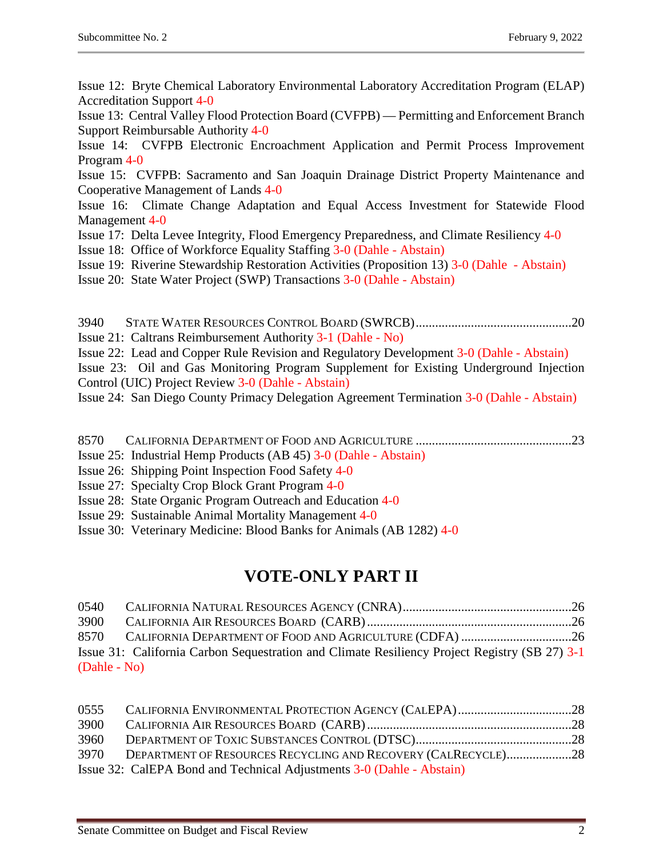[Issue 12: Bryte Chemical Laboratory Environmental Laboratory Accreditation Program \(ELAP\)](#page-13-0)  [Accreditation Support](#page-13-0) 4-0

[Issue 13: Central Valley Flood Protection Board \(CVFPB\) —](#page-14-0) Permitting and Enforcement Branch [Support Reimbursable Authority](#page-14-0) 4-0

[Issue 14: CVFPB Electronic Encroachment Application and Permit Process Improvement](#page-15-0)  [Program](#page-15-0) 4-0

[Issue 15: CVFPB: Sacramento and San Joaquin Drainage District Property Maintenance and](#page-15-1)  [Cooperative Management of Lands](#page-15-1) 4-0

[Issue 16: Climate Change Adaptation and Equal Access Investment for Statewide Flood](#page-15-2)  [Management](#page-15-2) 4-0

- [Issue 17: Delta Levee Integrity, Flood Emergency Preparedness, and Climate Resiliency](#page-16-0) 4-0
- [Issue 18: Office of Workforce Equality Staffing](#page-17-0) 3-0 (Dahle Abstain)
- [Issue 19: Riverine Stewardship Restoration Activities \(Proposition 13\)](#page-17-1) 3-0 (Dahle Abstain)
- [Issue 20: State Water Project \(SWP\) Transactions](#page-18-0) 3-0 (Dahle Abstain)
- 3940 [STATE WATER RESOURCES CONTROL BOARD \(SWRCB\)................................................20](#page-19-0) [Issue 21: Caltrans Reimbursement Authority](#page-19-1) 3-1 (Dahle - No)
- [Issue 22: Lead and Copper Rule Revision and Regulatory Development](#page-19-2) 3-0 (Dahle Abstain)

[Issue 23: Oil and Gas Monitoring Program Supplement for Existing Underground Injection](#page-20-0)  [Control \(UIC\) Project Review](#page-20-0) 3-0 (Dahle - Abstain)

[Issue 24: San Diego County Primacy Delegation Agreement Termination](#page-20-1) 3-0 (Dahle - Abstain)

- 8570 [CALIFORNIA DEPARTMENT OF FOOD AND AGRICULTURE](#page-22-0) ................................................23
- [Issue 25: Industrial Hemp Products \(AB 45\)](#page-22-1) 3-0 (Dahle Abstain)
- [Issue 26: Shipping Point Inspection Food Safety](#page-22-2) 4-0
- [Issue 27: Specialty Crop Block Grant Program](#page-23-0) 4-0
- [Issue 28: State Organic Program Outreach and Education](#page-23-1) 4-0
- [Issue 29: Sustainable Animal Mortality Management](#page-23-2) 4-0
- [Issue 30: Veterinary Medicine: Blood Banks for Animals \(AB 1282\)](#page-24-0) 4-0

# **VOTE-ONLY PART II**

| 0540         |                                                                                               |  |
|--------------|-----------------------------------------------------------------------------------------------|--|
| 3900         |                                                                                               |  |
|              |                                                                                               |  |
|              | Issue 31: California Carbon Sequestration and Climate Resiliency Project Registry (SB 27) 3-1 |  |
| (Dahle - No) |                                                                                               |  |

| 0555 |                                                                       |  |
|------|-----------------------------------------------------------------------|--|
| 3900 |                                                                       |  |
| 3960 |                                                                       |  |
| 3970 | DEPARTMENT OF RESOURCES RECYCLING AND RECOVERY (CALRECYCLE)28         |  |
|      | Issue 32: CalEPA Bond and Technical Adjustments 3-0 (Dahle - Abstain) |  |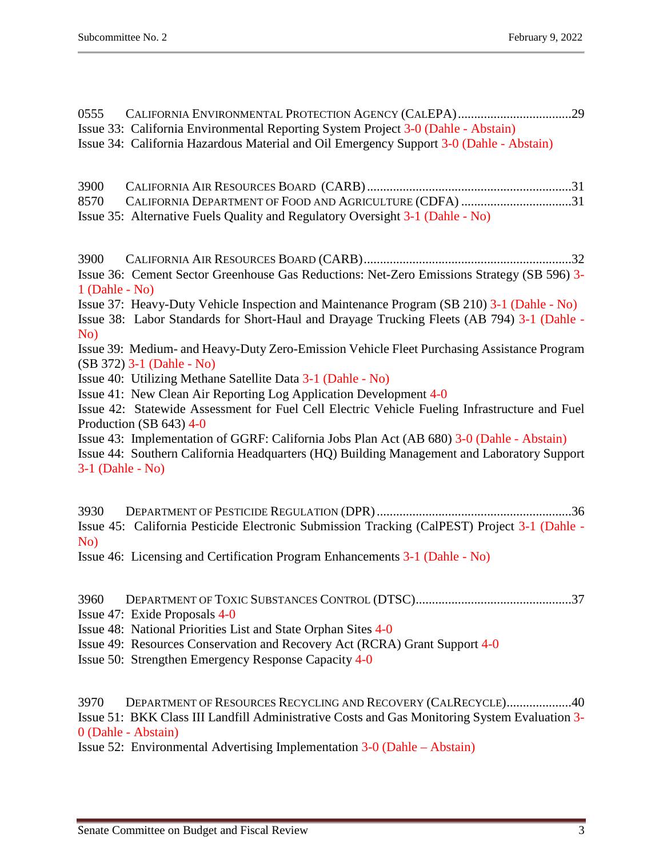0555 [CALIFORNIA ENVIRONMENTAL PROTECTION AGENCY \(CALEPA\)...................................29](#page-28-0) [Issue 33: California Environmental Reporting System Project](#page-28-1) 3-0 (Dahle - Abstain) [Issue 34: California Hazardous Material and Oil Emergency Support](#page-28-2) 3-0 (Dahle - Abstain) 3900 [CALIFORNIA AIR RESOURCES BOARD \(CARB\)...............................................................31](#page-30-0) 8570 [CALIFORNIA DEPARTMENT OF FOOD AND AGRICULTURE \(CDFA\)](#page-30-1) ...................................31 [Issue 35: Alternative Fuels Quality and Regulatory Oversight](#page-30-2) 3-1 (Dahle - No) 3900 [CALIFORNIA AIR RESOURCES BOARD \(CARB\)................................................................32](#page-31-0) [Issue 36: Cement Sector Greenhouse Gas Reductions: Net-Zero Emissions Strategy \(SB 596\)](#page-31-1) 3- [1 \(Dahle -](#page-31-1) No) [Issue 37: Heavy-Duty Vehicle Inspection and Maintenance Program \(SB 210\)](#page-31-2) 3-1 (Dahle - No) [Issue 38: Labor Standards for Short-Haul and Drayage Trucking Fleets \(AB 794\)](#page-31-3) 3-1 (Dahle - No) Issue 39: Medium- [and Heavy-Duty Zero-Emission Vehicle Fleet Purchasing Assistance Program](#page-32-0)  (SB 372) [3-1 \(Dahle -](#page-32-0) No) [Issue 40: Utilizing Methane Satellite Data](#page-32-1) 3-1 (Dahle - No) [Issue 41: New Clean Air Reporting Log Application Development](#page-32-2) 4-0 [Issue 42: Statewide Assessment for Fuel Cell Electric Vehicle Fueling Infrastructure and Fuel](#page-33-0)  [Production \(SB 643\)](#page-33-0) 4-0 [Issue 43: Implementation of GGRF: California Jobs Plan Act \(AB 680\)](#page-33-1) 3-0 (Dahle - Abstain) [Issue 44: Southern California Headquarters \(HQ\) Building Management and Laboratory Support](#page-34-0) [3-1 \(Dahle -](#page-34-0) No) 3930 [DEPARTMENT OF PESTICIDE REGULATION \(DPR\)............................................................36](#page-35-0) [Issue 45: California Pesticide Electronic Submission Tracking \(CalPEST\) Project](#page-35-1) 3-1 (Dahle - [No\)](#page-35-1) [Issue 46: Licensing and Certification Program Enhancements](#page-35-2) 3-1 (Dahle - No) 3960 [DEPARTMENT OF TOXIC SUBSTANCES CONTROL \(DTSC\)................................................37](#page-36-0) [Issue 47: Exide Proposals](#page-36-1) 4-0 [Issue 48: National Priorities List and State Orphan Sites](#page-36-2) 4-0 [Issue 49: Resources Conservation and Recovery Act \(RCRA\) Grant Support](#page-37-0) 4-0 [Issue 50: Strengthen Emergency Response Capacity](#page-37-1) 4-0 3970 [DEPARTMENT OF RESOURCES RECYCLING AND RECOVERY \(CALRECYCLE\)....................40](#page-39-0)

[Issue 51: BKK Class III Landfill Administrative Costs and Gas Monitoring System Evaluation](#page-39-1) 3- [0 \(Dahle -](#page-39-1) Abstain)

[Issue 52: Environmental Advertising Implementation](#page-39-2) 3-0 (Dahle – Abstain)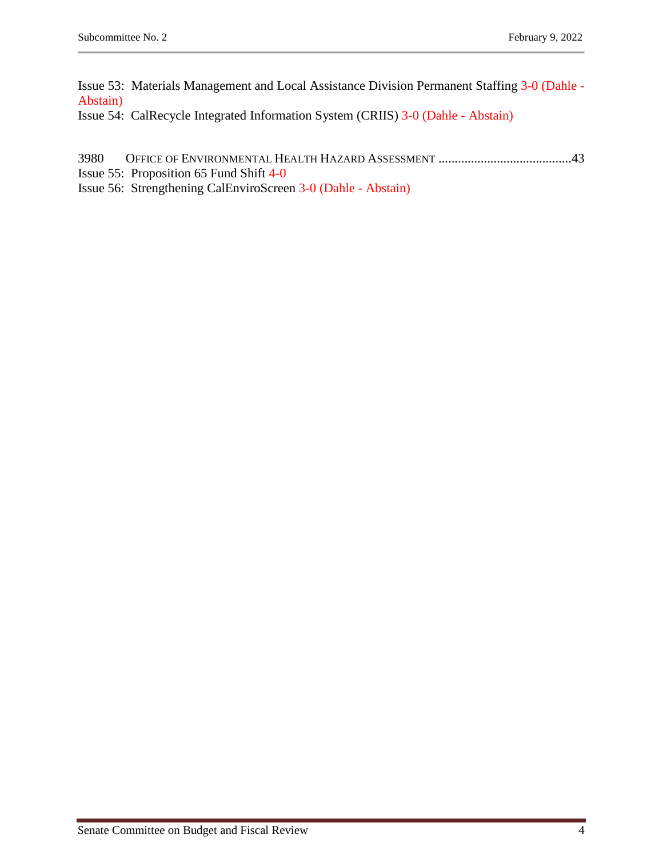[Issue 53: Materials Management and Local Assistance Division Permanent Staffing](#page-40-0) 3-0 (Dahle - [Abstain\)](#page-40-0)

[Issue 54: CalRecycle Integrated Information System \(CRIIS\)](#page-41-0) 3-0 (Dahle - Abstain)

- 3980 [OFFICE OF ENVIRONMENTAL HEALTH HAZARD ASSESSMENT](#page-42-0) .........................................43
- [Issue 55: Proposition 65 Fund Shift](#page-42-1) 4-0

[Issue 56: Strengthening CalEnviroScreen](#page-42-2) 3-0 (Dahle - Abstain)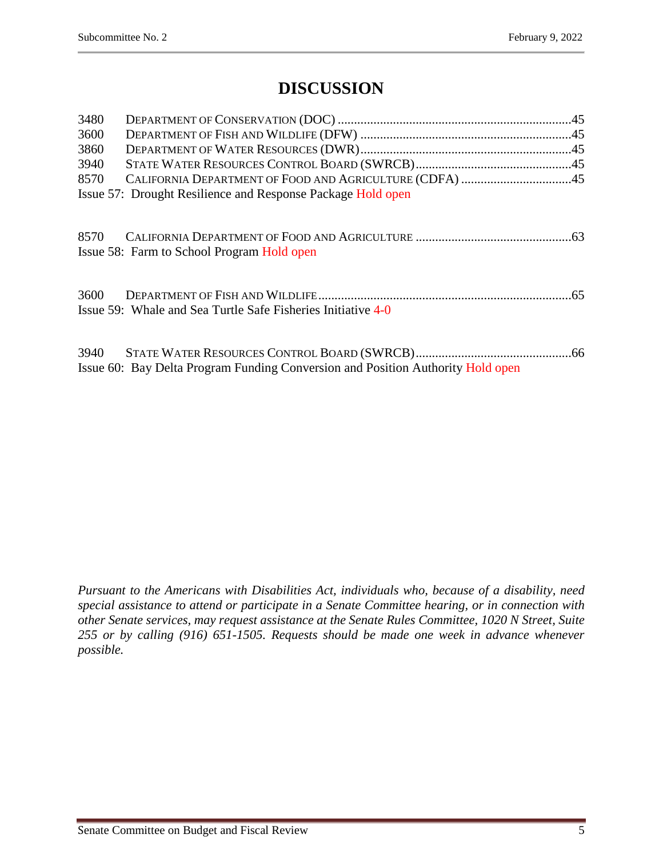# **DISCUSSION**

| 3480 |                                                              |  |
|------|--------------------------------------------------------------|--|
| 3600 |                                                              |  |
| 3860 |                                                              |  |
| 3940 |                                                              |  |
| 8570 | CALIFORNIA DEPARTMENT OF FOOD AND AGRICULTURE (CDFA) 45      |  |
|      | Issue 57: Drought Resilience and Response Package Hold open  |  |
|      | Issue 58: Farm to School Program Hold open                   |  |
| 3600 | Issue 59: Whale and Sea Turtle Safe Fisheries Initiative 4-0 |  |
| 3940 |                                                              |  |

[Issue 60: Bay Delta Program Funding Conversion and Position Authority](#page-65-1) Hold open

*Pursuant to the Americans with Disabilities Act, individuals who, because of a disability, need special assistance to attend or participate in a Senate Committee hearing, or in connection with other Senate services, may request assistance at the Senate Rules Committee, 1020 N Street, Suite 255 or by calling (916) 651-1505. Requests should be made one week in advance whenever* 

*possible.*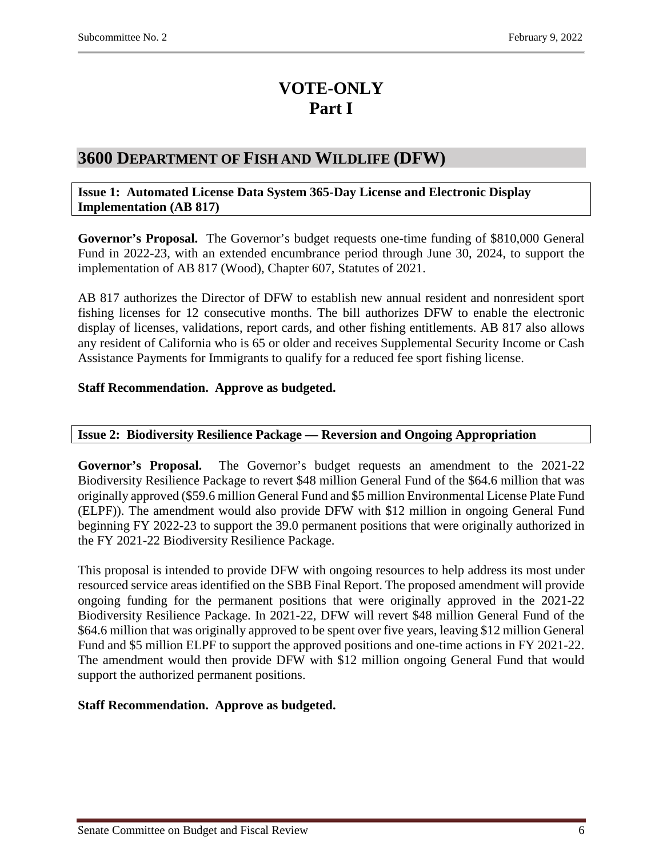# **VOTE-ONLY Part I**

# <span id="page-5-0"></span>**3600 DEPARTMENT OF FISH AND WILDLIFE (DFW)**

#### <span id="page-5-1"></span>**Issue 1: Automated License Data System 365-Day License and Electronic Display Implementation (AB 817)**

**Governor's Proposal.** The Governor's budget requests one-time funding of \$810,000 General Fund in 2022-23, with an extended encumbrance period through June 30, 2024, to support the implementation of AB 817 (Wood), Chapter 607, Statutes of 2021.

AB 817 authorizes the Director of DFW to establish new annual resident and nonresident sport fishing licenses for 12 consecutive months. The bill authorizes DFW to enable the electronic display of licenses, validations, report cards, and other fishing entitlements. AB 817 also allows any resident of California who is 65 or older and receives Supplemental Security Income or Cash Assistance Payments for Immigrants to qualify for a reduced fee sport fishing license.

# **Staff Recommendation. Approve as budgeted.**

# <span id="page-5-2"></span>**Issue 2: Biodiversity Resilience Package — Reversion and Ongoing Appropriation**

**Governor's Proposal.** The Governor's budget requests an amendment to the 2021-22 Biodiversity Resilience Package to revert \$48 million General Fund of the \$64.6 million that was originally approved (\$59.6 million General Fund and \$5 million Environmental License Plate Fund (ELPF)). The amendment would also provide DFW with \$12 million in ongoing General Fund beginning FY 2022-23 to support the 39.0 permanent positions that were originally authorized in the FY 2021-22 Biodiversity Resilience Package.

This proposal is intended to provide DFW with ongoing resources to help address its most under resourced service areas identified on the SBB Final Report. The proposed amendment will provide ongoing funding for the permanent positions that were originally approved in the 2021-22 Biodiversity Resilience Package. In 2021-22, DFW will revert \$48 million General Fund of the \$64.6 million that was originally approved to be spent over five years, leaving \$12 million General Fund and \$5 million ELPF to support the approved positions and one-time actions in FY 2021-22. The amendment would then provide DFW with \$12 million ongoing General Fund that would support the authorized permanent positions.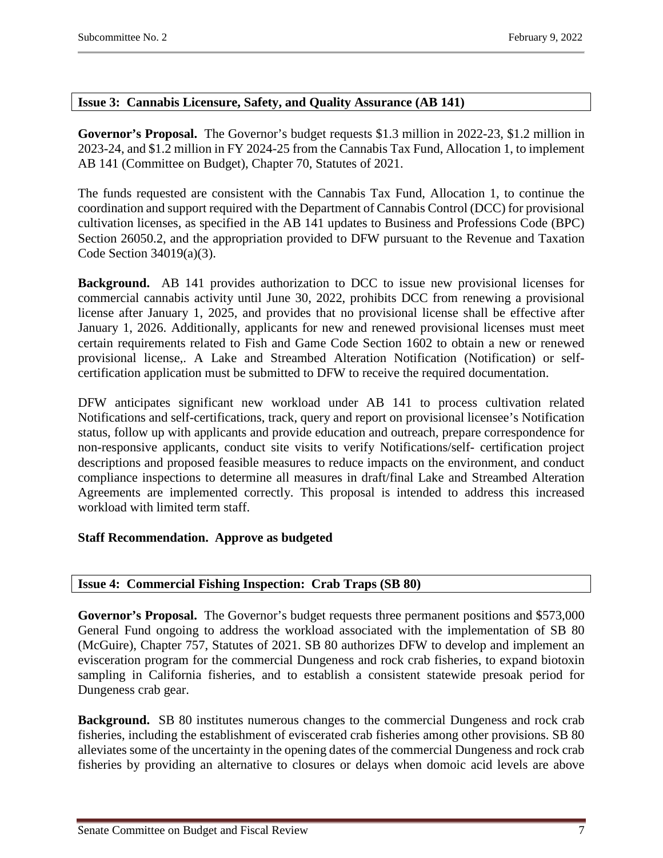# <span id="page-6-0"></span>**Issue 3: Cannabis Licensure, Safety, and Quality Assurance (AB 141)**

**Governor's Proposal.** The Governor's budget requests \$1.3 million in 2022-23, \$1.2 million in 2023-24, and \$1.2 million in FY 2024-25 from the Cannabis Tax Fund, Allocation 1, to implement AB 141 (Committee on Budget), Chapter 70, Statutes of 2021.

The funds requested are consistent with the Cannabis Tax Fund, Allocation 1, to continue the coordination and support required with the Department of Cannabis Control (DCC) for provisional cultivation licenses, as specified in the AB 141 updates to Business and Professions Code (BPC) Section 26050.2, and the appropriation provided to DFW pursuant to the Revenue and Taxation Code Section 34019(a)(3).

**Background.** AB 141 provides authorization to DCC to issue new provisional licenses for commercial cannabis activity until June 30, 2022, prohibits DCC from renewing a provisional license after January 1, 2025, and provides that no provisional license shall be effective after January 1, 2026. Additionally, applicants for new and renewed provisional licenses must meet certain requirements related to Fish and Game Code Section 1602 to obtain a new or renewed provisional license,. A Lake and Streambed Alteration Notification (Notification) or selfcertification application must be submitted to DFW to receive the required documentation.

DFW anticipates significant new workload under AB 141 to process cultivation related Notifications and self-certifications, track, query and report on provisional licensee's Notification status, follow up with applicants and provide education and outreach, prepare correspondence for non-responsive applicants, conduct site visits to verify Notifications/self- certification project descriptions and proposed feasible measures to reduce impacts on the environment, and conduct compliance inspections to determine all measures in draft/final Lake and Streambed Alteration Agreements are implemented correctly. This proposal is intended to address this increased workload with limited term staff.

# **Staff Recommendation. Approve as budgeted**

# <span id="page-6-1"></span>**Issue 4: Commercial Fishing Inspection: Crab Traps (SB 80)**

**Governor's Proposal.** The Governor's budget requests three permanent positions and \$573,000 General Fund ongoing to address the workload associated with the implementation of SB 80 (McGuire), Chapter 757, Statutes of 2021. SB 80 authorizes DFW to develop and implement an evisceration program for the commercial Dungeness and rock crab fisheries, to expand biotoxin sampling in California fisheries, and to establish a consistent statewide presoak period for Dungeness crab gear.

**Background.** SB 80 institutes numerous changes to the commercial Dungeness and rock crab fisheries, including the establishment of eviscerated crab fisheries among other provisions. SB 80 alleviates some of the uncertainty in the opening dates of the commercial Dungeness and rock crab fisheries by providing an alternative to closures or delays when domoic acid levels are above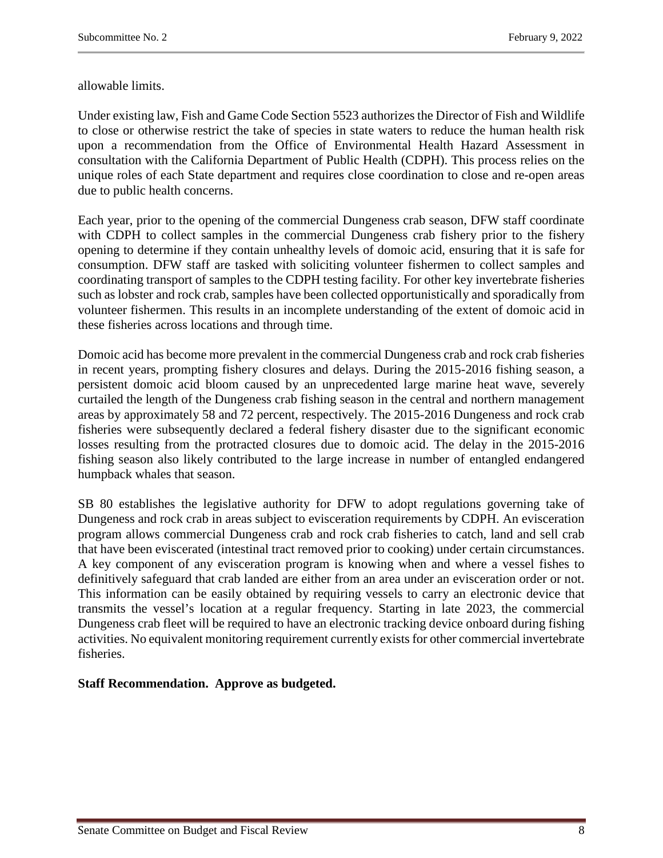allowable limits.

Under existing law, Fish and Game Code Section 5523 authorizes the Director of Fish and Wildlife to close or otherwise restrict the take of species in state waters to reduce the human health risk upon a recommendation from the Office of Environmental Health Hazard Assessment in consultation with the California Department of Public Health (CDPH). This process relies on the unique roles of each State department and requires close coordination to close and re-open areas due to public health concerns.

Each year, prior to the opening of the commercial Dungeness crab season, DFW staff coordinate with CDPH to collect samples in the commercial Dungeness crab fishery prior to the fishery opening to determine if they contain unhealthy levels of domoic acid, ensuring that it is safe for consumption. DFW staff are tasked with soliciting volunteer fishermen to collect samples and coordinating transport of samples to the CDPH testing facility. For other key invertebrate fisheries such as lobster and rock crab, samples have been collected opportunistically and sporadically from volunteer fishermen. This results in an incomplete understanding of the extent of domoic acid in these fisheries across locations and through time.

Domoic acid has become more prevalent in the commercial Dungeness crab and rock crab fisheries in recent years, prompting fishery closures and delays. During the 2015-2016 fishing season, a persistent domoic acid bloom caused by an unprecedented large marine heat wave, severely curtailed the length of the Dungeness crab fishing season in the central and northern management areas by approximately 58 and 72 percent, respectively. The 2015-2016 Dungeness and rock crab fisheries were subsequently declared a federal fishery disaster due to the significant economic losses resulting from the protracted closures due to domoic acid. The delay in the 2015-2016 fishing season also likely contributed to the large increase in number of entangled endangered humpback whales that season.

SB 80 establishes the legislative authority for DFW to adopt regulations governing take of Dungeness and rock crab in areas subject to evisceration requirements by CDPH. An evisceration program allows commercial Dungeness crab and rock crab fisheries to catch, land and sell crab that have been eviscerated (intestinal tract removed prior to cooking) under certain circumstances. A key component of any evisceration program is knowing when and where a vessel fishes to definitively safeguard that crab landed are either from an area under an evisceration order or not. This information can be easily obtained by requiring vessels to carry an electronic device that transmits the vessel's location at a regular frequency. Starting in late 2023, the commercial Dungeness crab fleet will be required to have an electronic tracking device onboard during fishing activities. No equivalent monitoring requirement currently exists for other commercial invertebrate fisheries.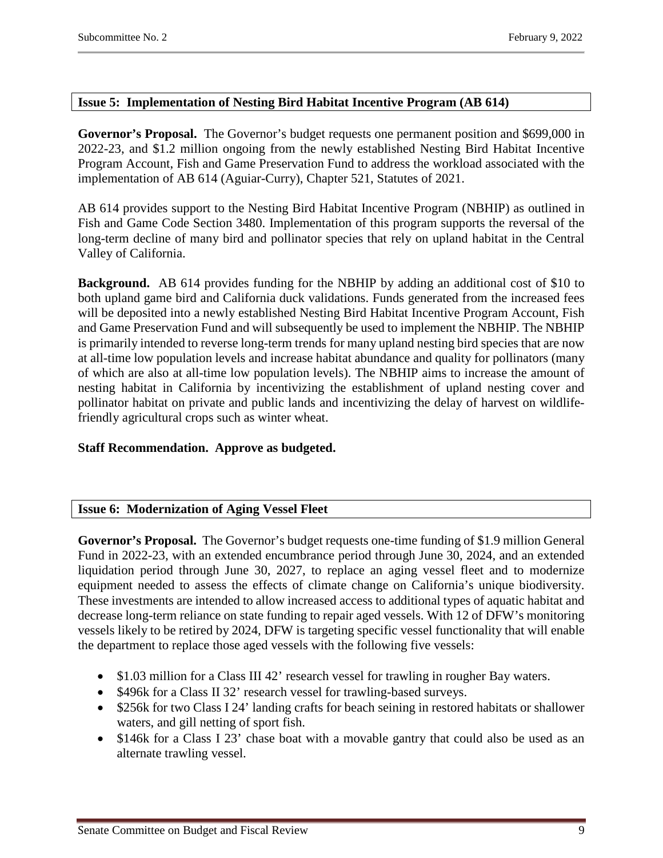# <span id="page-8-0"></span>**Issue 5: Implementation of Nesting Bird Habitat Incentive Program (AB 614)**

**Governor's Proposal.** The Governor's budget requests one permanent position and \$699,000 in 2022-23, and \$1.2 million ongoing from the newly established Nesting Bird Habitat Incentive Program Account, Fish and Game Preservation Fund to address the workload associated with the implementation of AB 614 (Aguiar-Curry), Chapter 521, Statutes of 2021.

AB 614 provides support to the Nesting Bird Habitat Incentive Program (NBHIP) as outlined in Fish and Game Code Section 3480. Implementation of this program supports the reversal of the long-term decline of many bird and pollinator species that rely on upland habitat in the Central Valley of California.

**Background.** AB 614 provides funding for the NBHIP by adding an additional cost of \$10 to both upland game bird and California duck validations. Funds generated from the increased fees will be deposited into a newly established Nesting Bird Habitat Incentive Program Account, Fish and Game Preservation Fund and will subsequently be used to implement the NBHIP. The NBHIP is primarily intended to reverse long-term trends for many upland nesting bird species that are now at all-time low population levels and increase habitat abundance and quality for pollinators (many of which are also at all-time low population levels). The NBHIP aims to increase the amount of nesting habitat in California by incentivizing the establishment of upland nesting cover and pollinator habitat on private and public lands and incentivizing the delay of harvest on wildlifefriendly agricultural crops such as winter wheat.

# **Staff Recommendation. Approve as budgeted.**

# <span id="page-8-1"></span>**Issue 6: Modernization of Aging Vessel Fleet**

**Governor's Proposal.** The Governor's budget requests one-time funding of \$1.9 million General Fund in 2022-23, with an extended encumbrance period through June 30, 2024, and an extended liquidation period through June 30, 2027, to replace an aging vessel fleet and to modernize equipment needed to assess the effects of climate change on California's unique biodiversity. These investments are intended to allow increased access to additional types of aquatic habitat and decrease long-term reliance on state funding to repair aged vessels. With 12 of DFW's monitoring vessels likely to be retired by 2024, DFW is targeting specific vessel functionality that will enable the department to replace those aged vessels with the following five vessels:

- \$1.03 million for a Class III 42' research vessel for trawling in rougher Bay waters.
- \$496k for a Class II 32' research vessel for trawling-based surveys.
- \$256k for two Class I 24' landing crafts for beach seining in restored habitats or shallower waters, and gill netting of sport fish.
- \$146k for a Class I 23' chase boat with a movable gantry that could also be used as an alternate trawling vessel.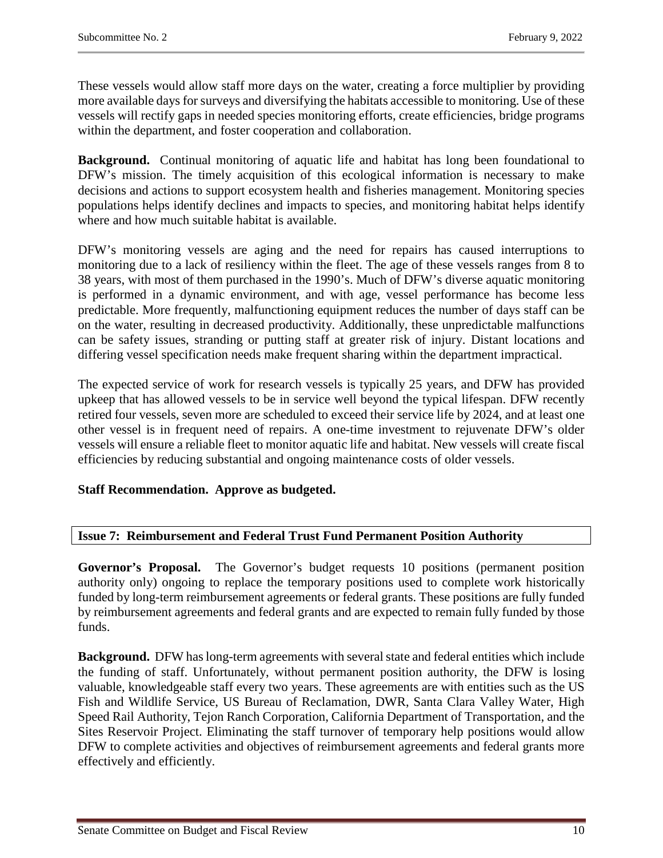These vessels would allow staff more days on the water, creating a force multiplier by providing more available days for surveys and diversifying the habitats accessible to monitoring. Use of these vessels will rectify gaps in needed species monitoring efforts, create efficiencies, bridge programs within the department, and foster cooperation and collaboration.

**Background.** Continual monitoring of aquatic life and habitat has long been foundational to DFW's mission. The timely acquisition of this ecological information is necessary to make decisions and actions to support ecosystem health and fisheries management. Monitoring species populations helps identify declines and impacts to species, and monitoring habitat helps identify where and how much suitable habitat is available.

DFW's monitoring vessels are aging and the need for repairs has caused interruptions to monitoring due to a lack of resiliency within the fleet. The age of these vessels ranges from 8 to 38 years, with most of them purchased in the 1990's. Much of DFW's diverse aquatic monitoring is performed in a dynamic environment, and with age, vessel performance has become less predictable. More frequently, malfunctioning equipment reduces the number of days staff can be on the water, resulting in decreased productivity. Additionally, these unpredictable malfunctions can be safety issues, stranding or putting staff at greater risk of injury. Distant locations and differing vessel specification needs make frequent sharing within the department impractical.

The expected service of work for research vessels is typically 25 years, and DFW has provided upkeep that has allowed vessels to be in service well beyond the typical lifespan. DFW recently retired four vessels, seven more are scheduled to exceed their service life by 2024, and at least one other vessel is in frequent need of repairs. A one-time investment to rejuvenate DFW's older vessels will ensure a reliable fleet to monitor aquatic life and habitat. New vessels will create fiscal efficiencies by reducing substantial and ongoing maintenance costs of older vessels.

# **Staff Recommendation. Approve as budgeted.**

# <span id="page-9-0"></span>**Issue 7: Reimbursement and Federal Trust Fund Permanent Position Authority**

**Governor's Proposal.** The Governor's budget requests 10 positions (permanent position authority only) ongoing to replace the temporary positions used to complete work historically funded by long-term reimbursement agreements or federal grants. These positions are fully funded by reimbursement agreements and federal grants and are expected to remain fully funded by those funds.

**Background.** DFW has long-term agreements with several state and federal entities which include the funding of staff. Unfortunately, without permanent position authority, the DFW is losing valuable, knowledgeable staff every two years. These agreements are with entities such as the US Fish and Wildlife Service, US Bureau of Reclamation, DWR, Santa Clara Valley Water, High Speed Rail Authority, Tejon Ranch Corporation, California Department of Transportation, and the Sites Reservoir Project. Eliminating the staff turnover of temporary help positions would allow DFW to complete activities and objectives of reimbursement agreements and federal grants more effectively and efficiently.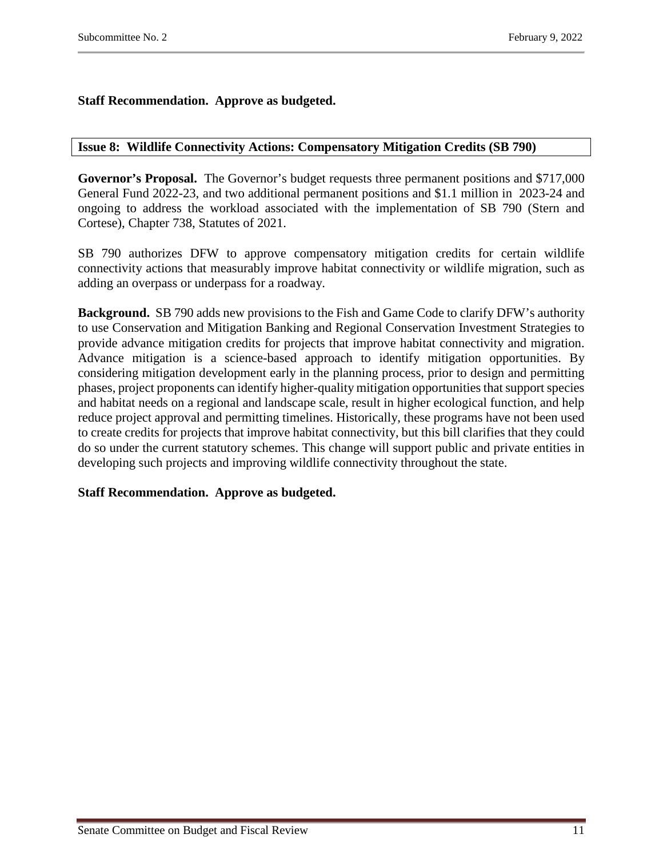# **Staff Recommendation. Approve as budgeted.**

### **Issue 8: Wildlife Connectivity Actions: Compensatory Mitigation Credits (SB 790)**

**Governor's Proposal.** The Governor's budget requests three permanent positions and \$717,000 General Fund 2022-23, and two additional permanent positions and \$1.1 million in 2023-24 and ongoing to address the workload associated with the implementation of SB 790 (Stern and Cortese), Chapter 738, Statutes of 2021.

SB 790 authorizes DFW to approve compensatory mitigation credits for certain wildlife connectivity actions that measurably improve habitat connectivity or wildlife migration, such as adding an overpass or underpass for a roadway.

**Background.** SB 790 adds new provisions to the Fish and Game Code to clarify DFW's authority to use Conservation and Mitigation Banking and Regional Conservation Investment Strategies to provide advance mitigation credits for projects that improve habitat connectivity and migration. Advance mitigation is a science-based approach to identify mitigation opportunities. By considering mitigation development early in the planning process, prior to design and permitting phases, project proponents can identify higher-quality mitigation opportunities that support species and habitat needs on a regional and landscape scale, result in higher ecological function, and help reduce project approval and permitting timelines. Historically, these programs have not been used to create credits for projects that improve habitat connectivity, but this bill clarifies that they could do so under the current statutory schemes. This change will support public and private entities in developing such projects and improving wildlife connectivity throughout the state.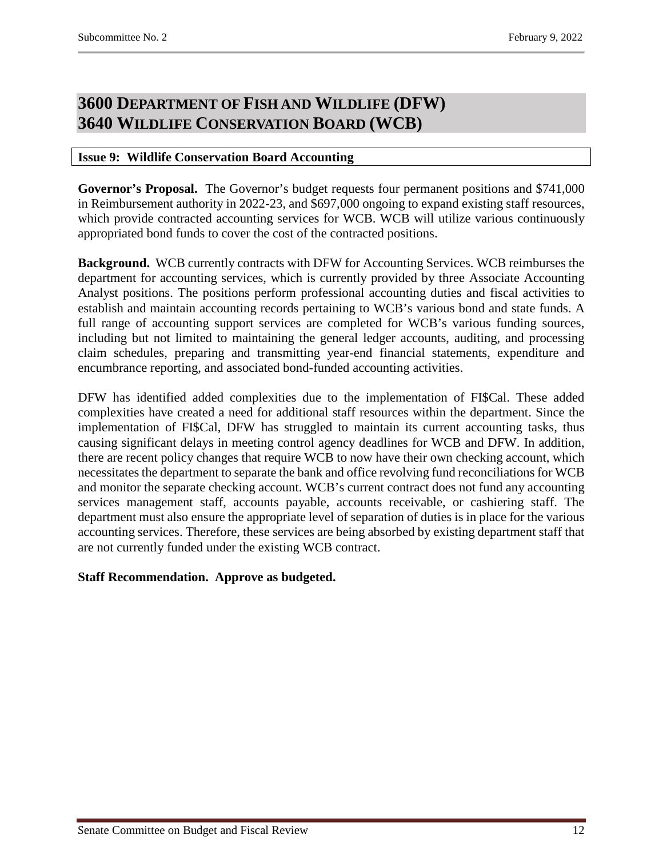# <span id="page-11-1"></span><span id="page-11-0"></span>**3600 DEPARTMENT OF FISH AND WILDLIFE (DFW) 3640 WILDLIFE CONSERVATION BOARD (WCB)**

# <span id="page-11-2"></span>**Issue 9: Wildlife Conservation Board Accounting**

**Governor's Proposal.** The Governor's budget requests four permanent positions and \$741,000 in Reimbursement authority in 2022-23, and \$697,000 ongoing to expand existing staff resources, which provide contracted accounting services for WCB. WCB will utilize various continuously appropriated bond funds to cover the cost of the contracted positions.

**Background.** WCB currently contracts with DFW for Accounting Services. WCB reimburses the department for accounting services, which is currently provided by three Associate Accounting Analyst positions. The positions perform professional accounting duties and fiscal activities to establish and maintain accounting records pertaining to WCB's various bond and state funds. A full range of accounting support services are completed for WCB's various funding sources, including but not limited to maintaining the general ledger accounts, auditing, and processing claim schedules, preparing and transmitting year-end financial statements, expenditure and encumbrance reporting, and associated bond-funded accounting activities.

DFW has identified added complexities due to the implementation of FI\$Cal. These added complexities have created a need for additional staff resources within the department. Since the implementation of FI\$Cal, DFW has struggled to maintain its current accounting tasks, thus causing significant delays in meeting control agency deadlines for WCB and DFW. In addition, there are recent policy changes that require WCB to now have their own checking account, which necessitates the department to separate the bank and office revolving fund reconciliations for WCB and monitor the separate checking account. WCB's current contract does not fund any accounting services management staff, accounts payable, accounts receivable, or cashiering staff. The department must also ensure the appropriate level of separation of duties is in place for the various accounting services. Therefore, these services are being absorbed by existing department staff that are not currently funded under the existing WCB contract.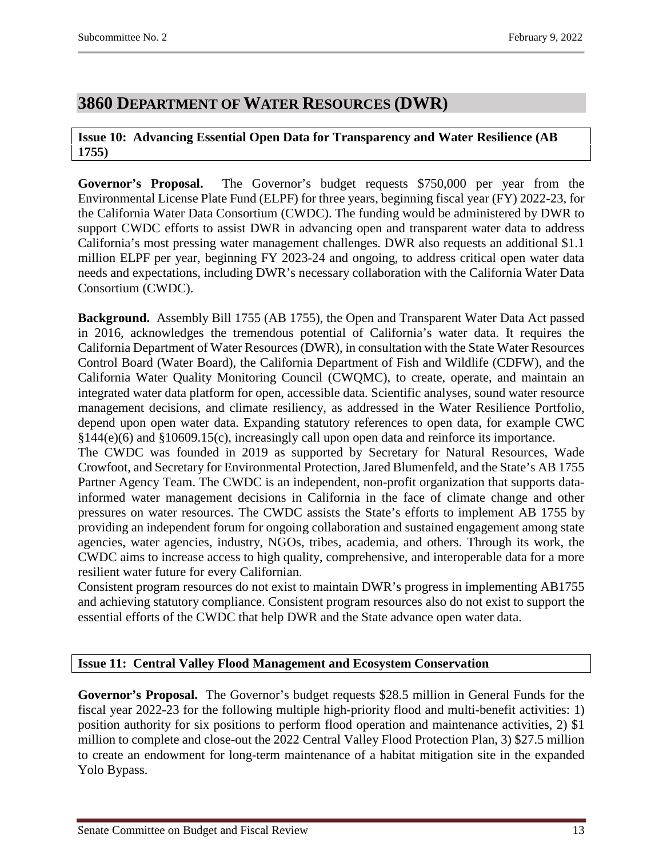# <span id="page-12-0"></span>**3860 DEPARTMENT OF WATER RESOURCES (DWR)**

# <span id="page-12-1"></span>**Issue 10: Advancing Essential Open Data for Transparency and Water Resilience (AB 1755)**

**Governor's Proposal.** The Governor's budget requests \$750,000 per year from the Environmental License Plate Fund (ELPF) for three years, beginning fiscal year (FY) 2022-23, for the California Water Data Consortium (CWDC). The funding would be administered by DWR to support CWDC efforts to assist DWR in advancing open and transparent water data to address California's most pressing water management challenges. DWR also requests an additional \$1.1 million ELPF per year, beginning FY 2023-24 and ongoing, to address critical open water data needs and expectations, including DWR's necessary collaboration with the California Water Data Consortium (CWDC).

**Background.** Assembly Bill 1755 (AB 1755), the Open and Transparent Water Data Act passed in 2016, acknowledges the tremendous potential of California's water data. It requires the California Department of Water Resources (DWR), in consultation with the State Water Resources Control Board (Water Board), the California Department of Fish and Wildlife (CDFW), and the California Water Quality Monitoring Council (CWQMC), to create, operate, and maintain an integrated water data platform for open, accessible data. Scientific analyses, sound water resource management decisions, and climate resiliency, as addressed in the Water Resilience Portfolio, depend upon open water data. Expanding statutory references to open data, for example CWC §144(e)(6) and §10609.15(c), increasingly call upon open data and reinforce its importance.

The CWDC was founded in 2019 as supported by Secretary for Natural Resources, Wade Crowfoot, and Secretary for Environmental Protection, Jared Blumenfeld, and the State's AB 1755 Partner Agency Team. The CWDC is an independent, non-profit organization that supports datainformed water management decisions in California in the face of climate change and other pressures on water resources. The CWDC assists the State's efforts to implement AB 1755 by providing an independent forum for ongoing collaboration and sustained engagement among state agencies, water agencies, industry, NGOs, tribes, academia, and others. Through its work, the CWDC aims to increase access to high quality, comprehensive, and interoperable data for a more resilient water future for every Californian.

Consistent program resources do not exist to maintain DWR's progress in implementing AB1755 and achieving statutory compliance. Consistent program resources also do not exist to support the essential efforts of the CWDC that help DWR and the State advance open water data.

# <span id="page-12-2"></span>**Issue 11: Central Valley Flood Management and Ecosystem Conservation**

**Governor's Proposal.** The Governor's budget requests \$28.5 million in General Funds for the fiscal year 2022-23 for the following multiple high-priority flood and multi-benefit activities: 1) position authority for six positions to perform flood operation and maintenance activities, 2) \$1 million to complete and close-out the 2022 Central Valley Flood Protection Plan, 3) \$27.5 million to create an endowment for long-term maintenance of a habitat mitigation site in the expanded Yolo Bypass.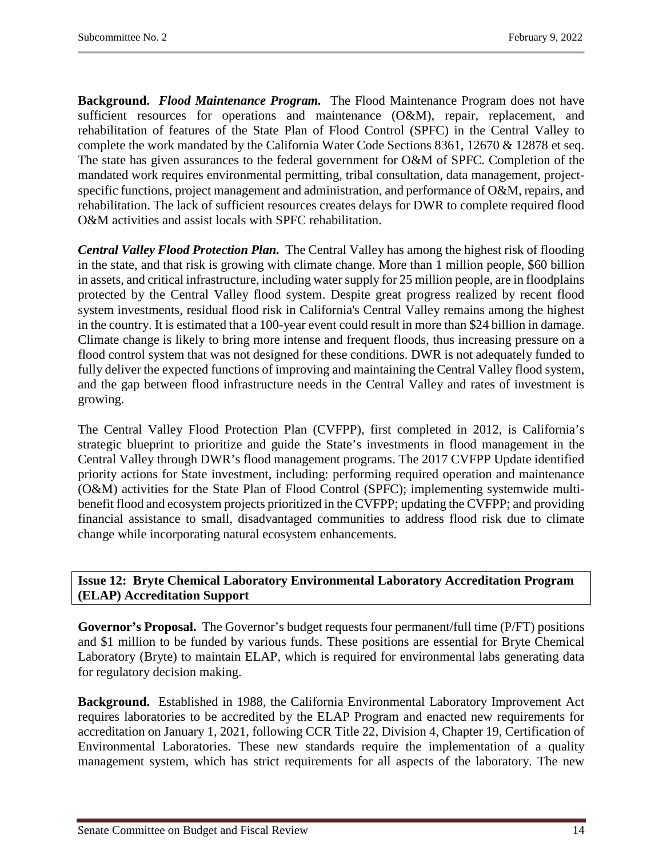**Background.** *Flood Maintenance Program.*The Flood Maintenance Program does not have sufficient resources for operations and maintenance (O&M), repair, replacement, and rehabilitation of features of the State Plan of Flood Control (SPFC) in the Central Valley to complete the work mandated by the California Water Code Sections 8361, 12670 & 12878 et seq. The state has given assurances to the federal government for O&M of SPFC. Completion of the mandated work requires environmental permitting, tribal consultation, data management, projectspecific functions, project management and administration, and performance of O&M, repairs, and rehabilitation. The lack of sufficient resources creates delays for DWR to complete required flood O&M activities and assist locals with SPFC rehabilitation.

*Central Valley Flood Protection Plan.* The Central Valley has among the highest risk of flooding in the state, and that risk is growing with climate change. More than 1 million people, \$60 billion in assets, and critical infrastructure, including water supply for 25 million people, are in floodplains protected by the Central Valley flood system. Despite great progress realized by recent flood system investments, residual flood risk in California's Central Valley remains among the highest in the country. It is estimated that a 100-year event could result in more than \$24 billion in damage. Climate change is likely to bring more intense and frequent floods, thus increasing pressure on a flood control system that was not designed for these conditions. DWR is not adequately funded to fully deliver the expected functions of improving and maintaining the Central Valley flood system, and the gap between flood infrastructure needs in the Central Valley and rates of investment is growing.

The Central Valley Flood Protection Plan (CVFPP), first completed in 2012, is California's strategic blueprint to prioritize and guide the State's investments in flood management in the Central Valley through DWR's flood management programs. The 2017 CVFPP Update identified priority actions for State investment, including: performing required operation and maintenance (O&M) activities for the State Plan of Flood Control (SPFC); implementing systemwide multibenefit flood and ecosystem projects prioritized in the CVFPP; updating the CVFPP; and providing financial assistance to small, disadvantaged communities to address flood risk due to climate change while incorporating natural ecosystem enhancements.

# <span id="page-13-0"></span>**Issue 12: Bryte Chemical Laboratory Environmental Laboratory Accreditation Program (ELAP) Accreditation Support**

**Governor's Proposal.** The Governor's budget requests four permanent/full time (P/FT) positions and \$1 million to be funded by various funds. These positions are essential for Bryte Chemical Laboratory (Bryte) to maintain ELAP, which is required for environmental labs generating data for regulatory decision making.

**Background.** Established in 1988, the California Environmental Laboratory Improvement Act requires laboratories to be accredited by the ELAP Program and enacted new requirements for accreditation on January 1, 2021, following CCR Title 22, Division 4, Chapter 19, Certification of Environmental Laboratories. These new standards require the implementation of a quality management system, which has strict requirements for all aspects of the laboratory. The new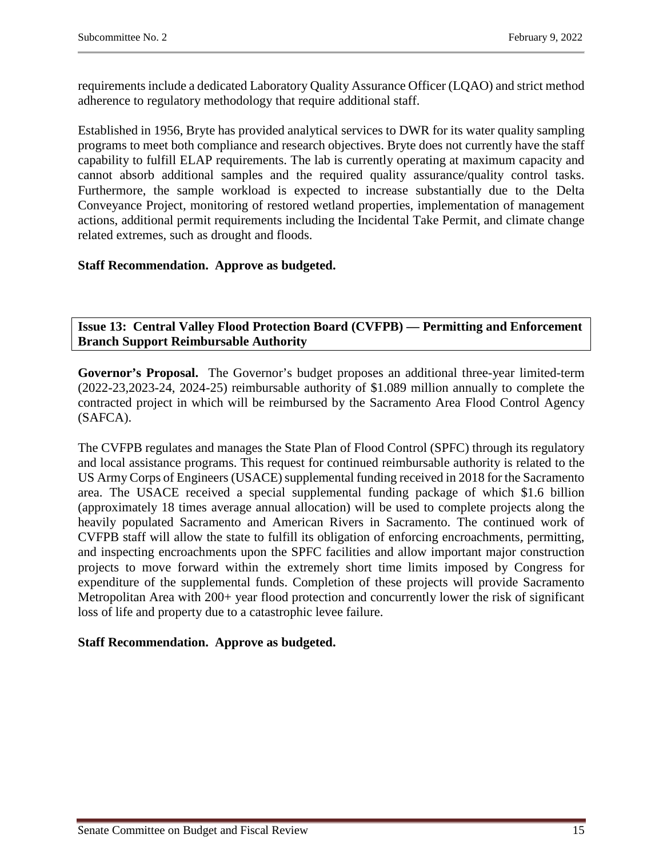requirements include a dedicated Laboratory Quality Assurance Officer (LQAO) and strict method adherence to regulatory methodology that require additional staff.

Established in 1956, Bryte has provided analytical services to DWR for its water quality sampling programs to meet both compliance and research objectives. Bryte does not currently have the staff capability to fulfill ELAP requirements. The lab is currently operating at maximum capacity and cannot absorb additional samples and the required quality assurance/quality control tasks. Furthermore, the sample workload is expected to increase substantially due to the Delta Conveyance Project, monitoring of restored wetland properties, implementation of management actions, additional permit requirements including the Incidental Take Permit, and climate change related extremes, such as drought and floods.

# **Staff Recommendation. Approve as budgeted.**

<span id="page-14-0"></span>**Issue 13: Central Valley Flood Protection Board (CVFPB) — Permitting and Enforcement Branch Support Reimbursable Authority**

**Governor's Proposal.** The Governor's budget proposes an additional three-year limited-term (2022-23,2023-24, 2024-25) reimbursable authority of \$1.089 million annually to complete the contracted project in which will be reimbursed by the Sacramento Area Flood Control Agency (SAFCA).

The CVFPB regulates and manages the State Plan of Flood Control (SPFC) through its regulatory and local assistance programs. This request for continued reimbursable authority is related to the US Army Corps of Engineers (USACE) supplemental funding received in 2018 for the Sacramento area. The USACE received a special supplemental funding package of which \$1.6 billion (approximately 18 times average annual allocation) will be used to complete projects along the heavily populated Sacramento and American Rivers in Sacramento. The continued work of CVFPB staff will allow the state to fulfill its obligation of enforcing encroachments, permitting, and inspecting encroachments upon the SPFC facilities and allow important major construction projects to move forward within the extremely short time limits imposed by Congress for expenditure of the supplemental funds. Completion of these projects will provide Sacramento Metropolitan Area with 200+ year flood protection and concurrently lower the risk of significant loss of life and property due to a catastrophic levee failure.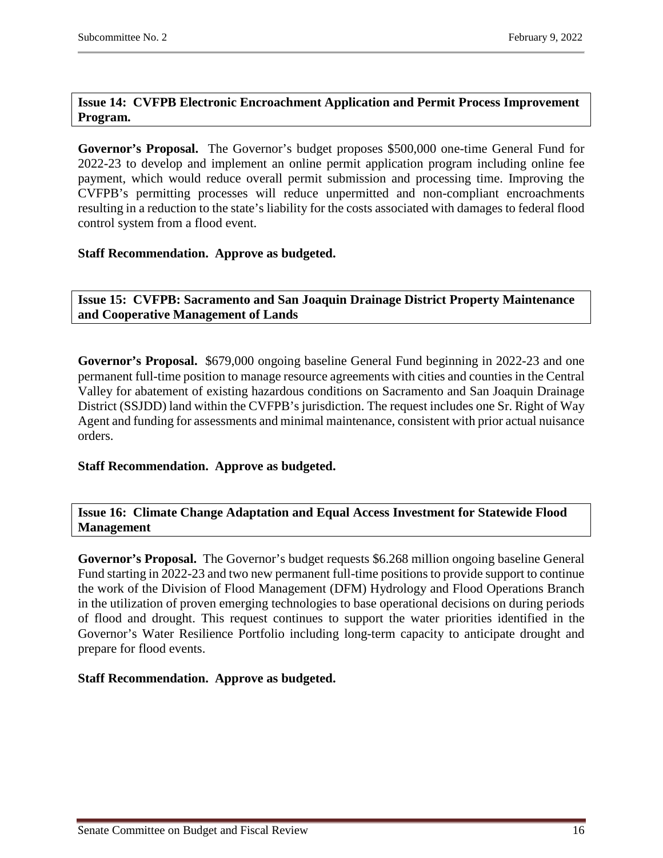# <span id="page-15-0"></span>**Issue 14: CVFPB Electronic Encroachment Application and Permit Process Improvement Program.**

**Governor's Proposal.** The Governor's budget proposes \$500,000 one-time General Fund for 2022-23 to develop and implement an online permit application program including online fee payment, which would reduce overall permit submission and processing time. Improving the CVFPB's permitting processes will reduce unpermitted and non-compliant encroachments resulting in a reduction to the state's liability for the costs associated with damages to federal flood control system from a flood event.

# **Staff Recommendation. Approve as budgeted.**

<span id="page-15-1"></span>**Issue 15: CVFPB: Sacramento and San Joaquin Drainage District Property Maintenance and Cooperative Management of Lands**

**Governor's Proposal.** \$679,000 ongoing baseline General Fund beginning in 2022-23 and one permanent full-time position to manage resource agreements with cities and counties in the Central Valley for abatement of existing hazardous conditions on Sacramento and San Joaquin Drainage District (SSJDD) land within the CVFPB's jurisdiction. The request includes one Sr. Right of Way Agent and funding for assessments and minimal maintenance, consistent with prior actual nuisance orders.

#### **Staff Recommendation. Approve as budgeted.**

#### <span id="page-15-2"></span>**Issue 16: Climate Change Adaptation and Equal Access Investment for Statewide Flood Management**

**Governor's Proposal.** The Governor's budget requests \$6.268 million ongoing baseline General Fund starting in 2022-23 and two new permanent full-time positions to provide support to continue the work of the Division of Flood Management (DFM) Hydrology and Flood Operations Branch in the utilization of proven emerging technologies to base operational decisions on during periods of flood and drought. This request continues to support the water priorities identified in the Governor's Water Resilience Portfolio including long-term capacity to anticipate drought and prepare for flood events.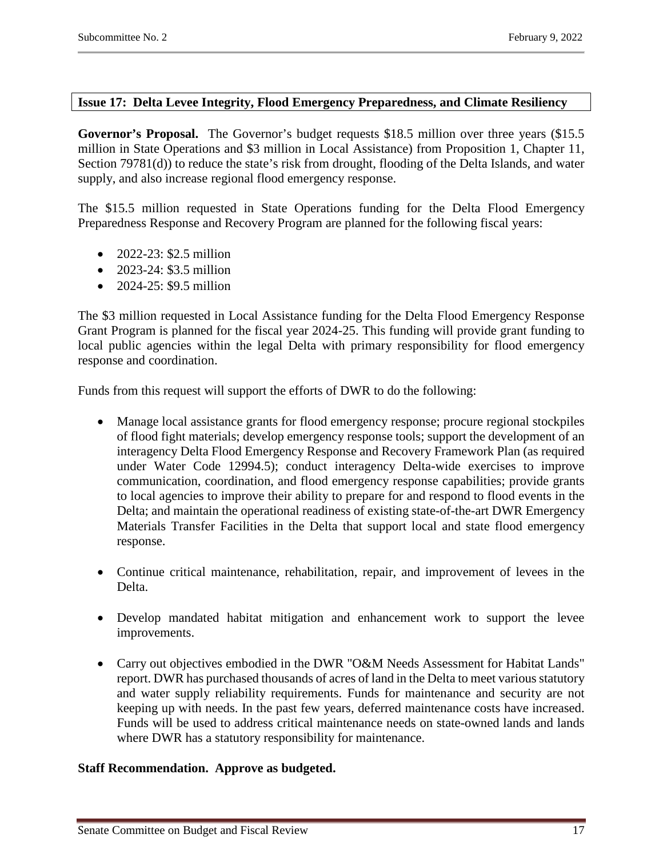#### <span id="page-16-0"></span>**Issue 17: Delta Levee Integrity, Flood Emergency Preparedness, and Climate Resiliency**

Governor's Proposal. The Governor's budget requests \$18.5 million over three years (\$15.5) million in State Operations and \$3 million in Local Assistance) from Proposition 1, Chapter 11, Section 79781(d)) to reduce the state's risk from drought, flooding of the Delta Islands, and water supply, and also increase regional flood emergency response.

The \$15.5 million requested in State Operations funding for the Delta Flood Emergency Preparedness Response and Recovery Program are planned for the following fiscal years:

- 2022-23: \$2.5 million
- 2023-24: \$3.5 million
- 2024-25: \$9.5 million

The \$3 million requested in Local Assistance funding for the Delta Flood Emergency Response Grant Program is planned for the fiscal year 2024-25. This funding will provide grant funding to local public agencies within the legal Delta with primary responsibility for flood emergency response and coordination.

Funds from this request will support the efforts of DWR to do the following:

- Manage local assistance grants for flood emergency response; procure regional stockpiles of flood fight materials; develop emergency response tools; support the development of an interagency Delta Flood Emergency Response and Recovery Framework Plan (as required under Water Code 12994.5); conduct interagency Delta-wide exercises to improve communication, coordination, and flood emergency response capabilities; provide grants to local agencies to improve their ability to prepare for and respond to flood events in the Delta; and maintain the operational readiness of existing state-of-the-art DWR Emergency Materials Transfer Facilities in the Delta that support local and state flood emergency response.
- Continue critical maintenance, rehabilitation, repair, and improvement of levees in the Delta.
- Develop mandated habitat mitigation and enhancement work to support the levee improvements.
- Carry out objectives embodied in the DWR "O&M Needs Assessment for Habitat Lands" report. DWR has purchased thousands of acres of land in the Delta to meet various statutory and water supply reliability requirements. Funds for maintenance and security are not keeping up with needs. In the past few years, deferred maintenance costs have increased. Funds will be used to address critical maintenance needs on state-owned lands and lands where DWR has a statutory responsibility for maintenance.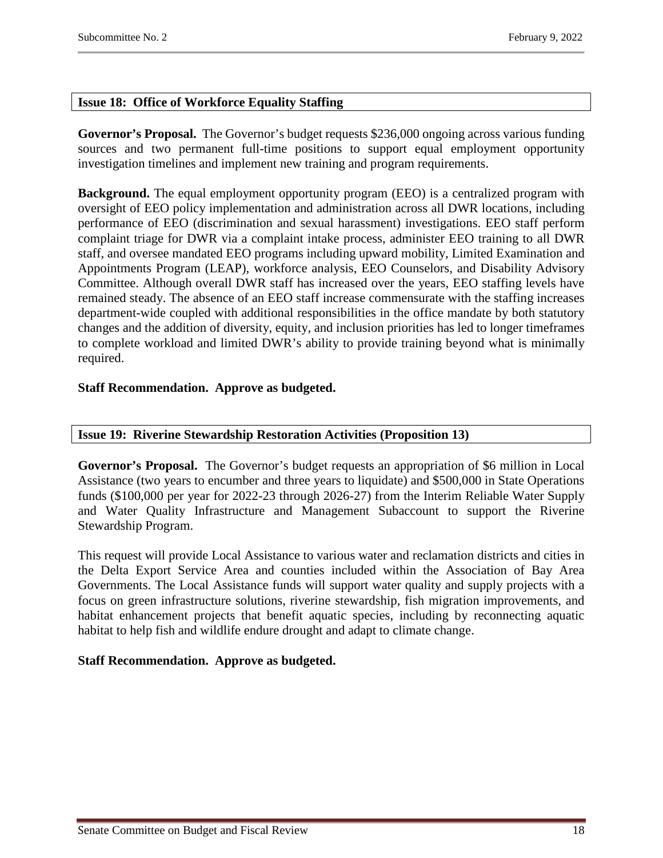# <span id="page-17-0"></span>**Issue 18: Office of Workforce Equality Staffing**

**Governor's Proposal.** The Governor's budget requests \$236,000 ongoing across various funding sources and two permanent full-time positions to support equal employment opportunity investigation timelines and implement new training and program requirements.

**Background.** The equal employment opportunity program (EEO) is a centralized program with oversight of EEO policy implementation and administration across all DWR locations, including performance of EEO (discrimination and sexual harassment) investigations. EEO staff perform complaint triage for DWR via a complaint intake process, administer EEO training to all DWR staff, and oversee mandated EEO programs including upward mobility, Limited Examination and Appointments Program (LEAP), workforce analysis, EEO Counselors, and Disability Advisory Committee. Although overall DWR staff has increased over the years, EEO staffing levels have remained steady. The absence of an EEO staff increase commensurate with the staffing increases department-wide coupled with additional responsibilities in the office mandate by both statutory changes and the addition of diversity, equity, and inclusion priorities has led to longer timeframes to complete workload and limited DWR's ability to provide training beyond what is minimally required.

# **Staff Recommendation. Approve as budgeted.**

# <span id="page-17-1"></span>**Issue 19: Riverine Stewardship Restoration Activities (Proposition 13)**

**Governor's Proposal.** The Governor's budget requests an appropriation of \$6 million in Local Assistance (two years to encumber and three years to liquidate) and \$500,000 in State Operations funds (\$100,000 per year for 2022-23 through 2026-27) from the Interim Reliable Water Supply and Water Quality Infrastructure and Management Subaccount to support the Riverine Stewardship Program.

This request will provide Local Assistance to various water and reclamation districts and cities in the Delta Export Service Area and counties included within the Association of Bay Area Governments. The Local Assistance funds will support water quality and supply projects with a focus on green infrastructure solutions, riverine stewardship, fish migration improvements, and habitat enhancement projects that benefit aquatic species, including by reconnecting aquatic habitat to help fish and wildlife endure drought and adapt to climate change.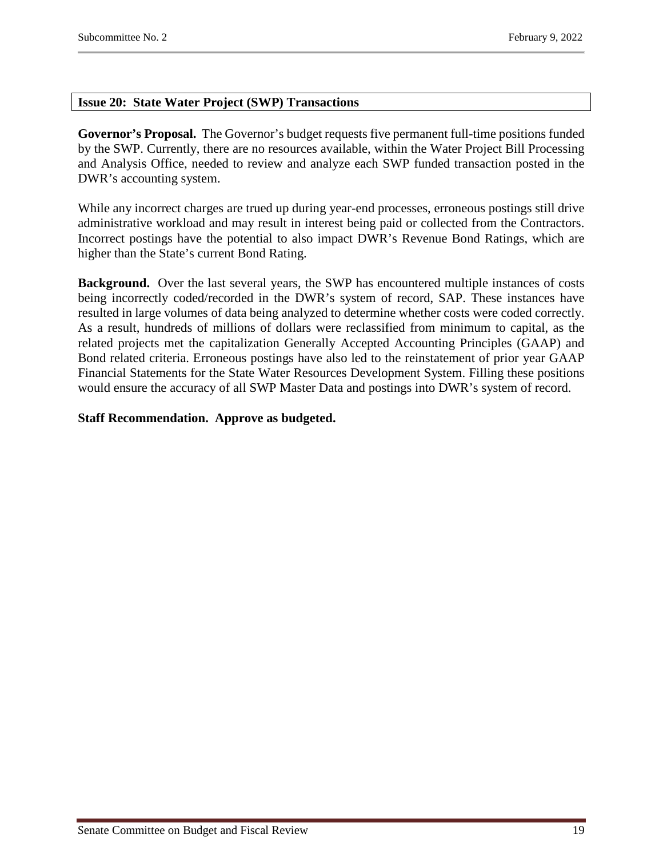# <span id="page-18-0"></span>**Issue 20: State Water Project (SWP) Transactions**

**Governor's Proposal.** The Governor's budget requests five permanent full-time positions funded by the SWP. Currently, there are no resources available, within the Water Project Bill Processing and Analysis Office, needed to review and analyze each SWP funded transaction posted in the DWR's accounting system.

While any incorrect charges are trued up during year-end processes, erroneous postings still drive administrative workload and may result in interest being paid or collected from the Contractors. Incorrect postings have the potential to also impact DWR's Revenue Bond Ratings, which are higher than the State's current Bond Rating.

**Background.** Over the last several years, the SWP has encountered multiple instances of costs being incorrectly coded/recorded in the DWR's system of record, SAP. These instances have resulted in large volumes of data being analyzed to determine whether costs were coded correctly. As a result, hundreds of millions of dollars were reclassified from minimum to capital, as the related projects met the capitalization Generally Accepted Accounting Principles (GAAP) and Bond related criteria. Erroneous postings have also led to the reinstatement of prior year GAAP Financial Statements for the State Water Resources Development System. Filling these positions would ensure the accuracy of all SWP Master Data and postings into DWR's system of record.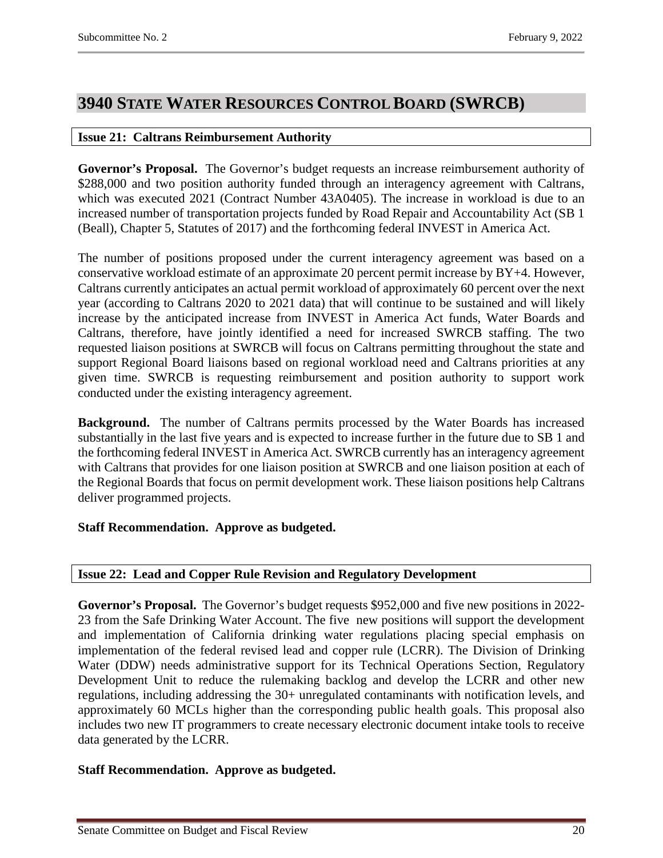# <span id="page-19-0"></span>**3940 STATE WATER RESOURCES CONTROL BOARD (SWRCB)**

# <span id="page-19-1"></span>**Issue 21: Caltrans Reimbursement Authority**

**Governor's Proposal.** The Governor's budget requests an increase reimbursement authority of \$288,000 and two position authority funded through an interagency agreement with Caltrans, which was executed 2021 (Contract Number 43A0405). The increase in workload is due to an increased number of transportation projects funded by Road Repair and Accountability Act (SB 1 (Beall), Chapter 5, Statutes of 2017) and the forthcoming federal INVEST in America Act.

The number of positions proposed under the current interagency agreement was based on a conservative workload estimate of an approximate 20 percent permit increase by BY+4. However, Caltrans currently anticipates an actual permit workload of approximately 60 percent over the next year (according to Caltrans 2020 to 2021 data) that will continue to be sustained and will likely increase by the anticipated increase from INVEST in America Act funds, Water Boards and Caltrans, therefore, have jointly identified a need for increased SWRCB staffing. The two requested liaison positions at SWRCB will focus on Caltrans permitting throughout the state and support Regional Board liaisons based on regional workload need and Caltrans priorities at any given time. SWRCB is requesting reimbursement and position authority to support work conducted under the existing interagency agreement.

**Background.** The number of Caltrans permits processed by the Water Boards has increased substantially in the last five years and is expected to increase further in the future due to SB 1 and the forthcoming federal INVEST in America Act. SWRCB currently has an interagency agreement with Caltrans that provides for one liaison position at SWRCB and one liaison position at each of the Regional Boards that focus on permit development work. These liaison positions help Caltrans deliver programmed projects.

# **Staff Recommendation. Approve as budgeted.**

# <span id="page-19-2"></span>**Issue 22: Lead and Copper Rule Revision and Regulatory Development**

**Governor's Proposal.** The Governor's budget requests \$952,000 and five new positions in 2022- 23 from the Safe Drinking Water Account. The five new positions will support the development and implementation of California drinking water regulations placing special emphasis on implementation of the federal revised lead and copper rule (LCRR). The Division of Drinking Water (DDW) needs administrative support for its Technical Operations Section, Regulatory Development Unit to reduce the rulemaking backlog and develop the LCRR and other new regulations, including addressing the 30+ unregulated contaminants with notification levels, and approximately 60 MCLs higher than the corresponding public health goals. This proposal also includes two new IT programmers to create necessary electronic document intake tools to receive data generated by the LCRR.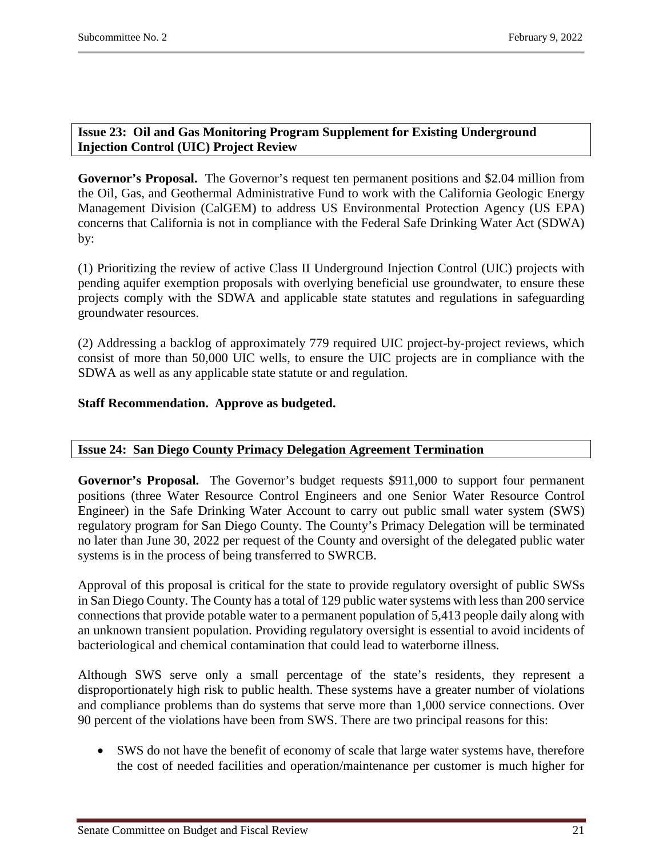# <span id="page-20-0"></span>**Issue 23: Oil and Gas Monitoring Program Supplement for Existing Underground Injection Control (UIC) Project Review**

**Governor's Proposal.** The Governor's request ten permanent positions and \$2.04 million from the Oil, Gas, and Geothermal Administrative Fund to work with the California Geologic Energy Management Division (CalGEM) to address US Environmental Protection Agency (US EPA) concerns that California is not in compliance with the Federal Safe Drinking Water Act (SDWA) by:

(1) Prioritizing the review of active Class II Underground Injection Control (UIC) projects with pending aquifer exemption proposals with overlying beneficial use groundwater, to ensure these projects comply with the SDWA and applicable state statutes and regulations in safeguarding groundwater resources.

(2) Addressing a backlog of approximately 779 required UIC project-by-project reviews, which consist of more than 50,000 UIC wells, to ensure the UIC projects are in compliance with the SDWA as well as any applicable state statute or and regulation.

# **Staff Recommendation. Approve as budgeted.**

# <span id="page-20-1"></span>**Issue 24: San Diego County Primacy Delegation Agreement Termination**

**Governor's Proposal.** The Governor's budget requests \$911,000 to support four permanent positions (three Water Resource Control Engineers and one Senior Water Resource Control Engineer) in the Safe Drinking Water Account to carry out public small water system (SWS) regulatory program for San Diego County. The County's Primacy Delegation will be terminated no later than June 30, 2022 per request of the County and oversight of the delegated public water systems is in the process of being transferred to SWRCB.

Approval of this proposal is critical for the state to provide regulatory oversight of public SWSs in San Diego County. The County has a total of 129 public water systems with less than 200 service connections that provide potable water to a permanent population of 5,413 people daily along with an unknown transient population. Providing regulatory oversight is essential to avoid incidents of bacteriological and chemical contamination that could lead to waterborne illness.

Although SWS serve only a small percentage of the state's residents, they represent a disproportionately high risk to public health. These systems have a greater number of violations and compliance problems than do systems that serve more than 1,000 service connections. Over 90 percent of the violations have been from SWS. There are two principal reasons for this:

• SWS do not have the benefit of economy of scale that large water systems have, therefore the cost of needed facilities and operation/maintenance per customer is much higher for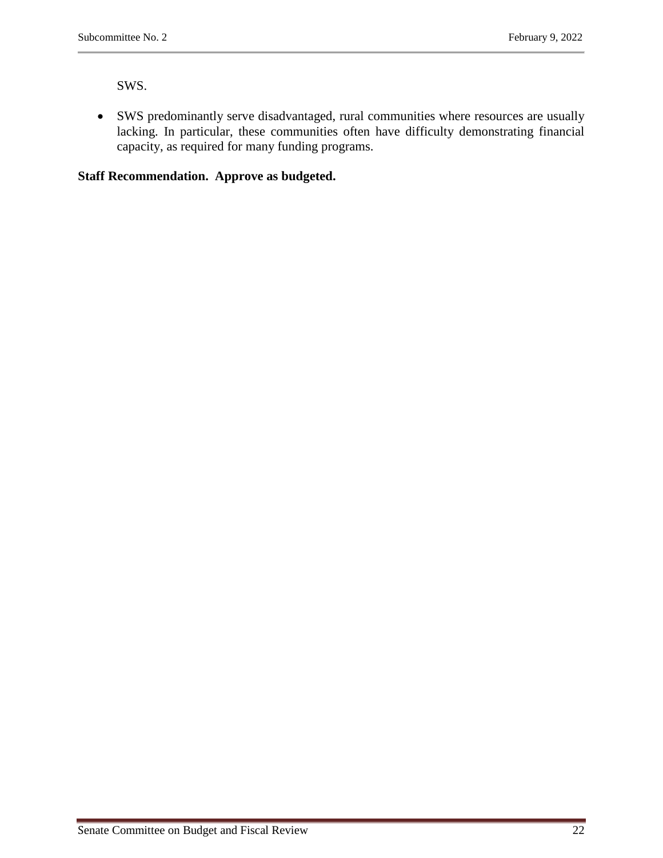SWS.

• SWS predominantly serve disadvantaged, rural communities where resources are usually lacking. In particular, these communities often have difficulty demonstrating financial capacity, as required for many funding programs.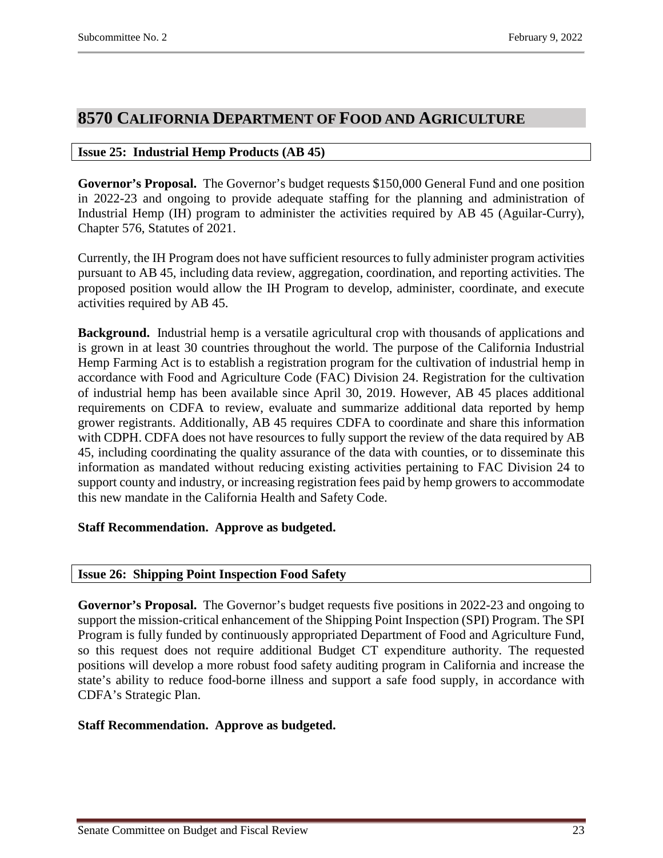# <span id="page-22-0"></span>**8570 CALIFORNIA DEPARTMENT OF FOOD AND AGRICULTURE**

# <span id="page-22-1"></span>**Issue 25: Industrial Hemp Products (AB 45)**

**Governor's Proposal.** The Governor's budget requests \$150,000 General Fund and one position in 2022-23 and ongoing to provide adequate staffing for the planning and administration of Industrial Hemp (IH) program to administer the activities required by AB 45 (Aguilar-Curry), Chapter 576, Statutes of 2021.

Currently, the IH Program does not have sufficient resources to fully administer program activities pursuant to AB 45, including data review, aggregation, coordination, and reporting activities. The proposed position would allow the IH Program to develop, administer, coordinate, and execute activities required by AB 45.

**Background.** Industrial hemp is a versatile agricultural crop with thousands of applications and is grown in at least 30 countries throughout the world. The purpose of the California Industrial Hemp Farming Act is to establish a registration program for the cultivation of industrial hemp in accordance with Food and Agriculture Code (FAC) Division 24. Registration for the cultivation of industrial hemp has been available since April 30, 2019. However, AB 45 places additional requirements on CDFA to review, evaluate and summarize additional data reported by hemp grower registrants. Additionally, AB 45 requires CDFA to coordinate and share this information with CDPH. CDFA does not have resources to fully support the review of the data required by AB 45, including coordinating the quality assurance of the data with counties, or to disseminate this information as mandated without reducing existing activities pertaining to FAC Division 24 to support county and industry, or increasing registration fees paid by hemp growers to accommodate this new mandate in the California Health and Safety Code.

# **Staff Recommendation. Approve as budgeted.**

# <span id="page-22-2"></span>**Issue 26: Shipping Point Inspection Food Safety**

**Governor's Proposal.** The Governor's budget requests five positions in 2022-23 and ongoing to support the mission-critical enhancement of the Shipping Point Inspection (SPI) Program. The SPI Program is fully funded by continuously appropriated Department of Food and Agriculture Fund, so this request does not require additional Budget CT expenditure authority. The requested positions will develop a more robust food safety auditing program in California and increase the state's ability to reduce food-borne illness and support a safe food supply, in accordance with CDFA's Strategic Plan.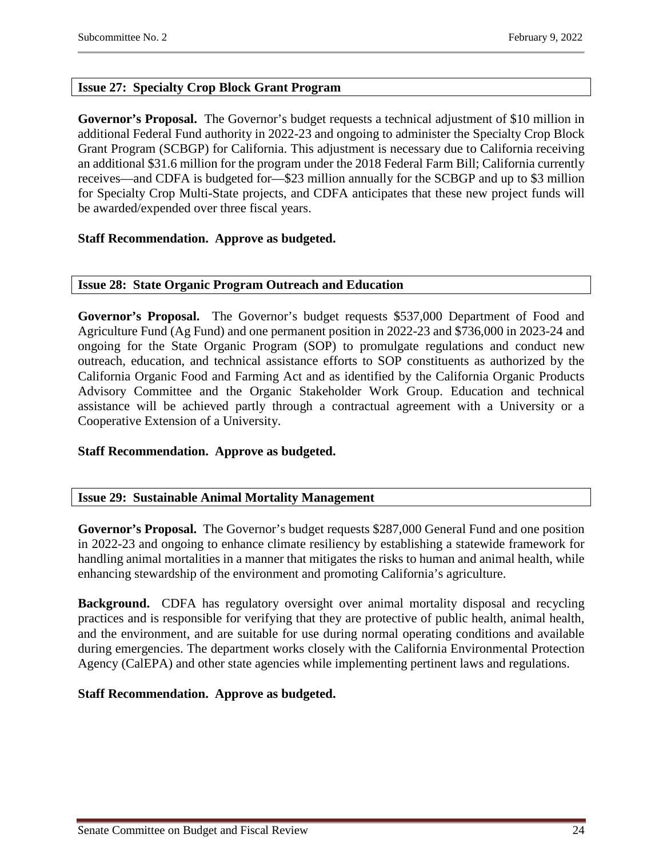# <span id="page-23-0"></span>**Issue 27: Specialty Crop Block Grant Program**

**Governor's Proposal.** The Governor's budget requests a technical adjustment of \$10 million in additional Federal Fund authority in 2022-23 and ongoing to administer the Specialty Crop Block Grant Program (SCBGP) for California. This adjustment is necessary due to California receiving an additional \$31.6 million for the program under the 2018 Federal Farm Bill; California currently receives—and CDFA is budgeted for—\$23 million annually for the SCBGP and up to \$3 million for Specialty Crop Multi-State projects, and CDFA anticipates that these new project funds will be awarded/expended over three fiscal years.

# **Staff Recommendation. Approve as budgeted.**

#### <span id="page-23-1"></span>**Issue 28: State Organic Program Outreach and Education**

**Governor's Proposal.** The Governor's budget requests \$537,000 Department of Food and Agriculture Fund (Ag Fund) and one permanent position in 2022-23 and \$736,000 in 2023-24 and ongoing for the State Organic Program (SOP) to promulgate regulations and conduct new outreach, education, and technical assistance efforts to SOP constituents as authorized by the California Organic Food and Farming Act and as identified by the California Organic Products Advisory Committee and the Organic Stakeholder Work Group. Education and technical assistance will be achieved partly through a contractual agreement with a University or a Cooperative Extension of a University.

# **Staff Recommendation. Approve as budgeted.**

# <span id="page-23-2"></span>**Issue 29: Sustainable Animal Mortality Management**

**Governor's Proposal.** The Governor's budget requests \$287,000 General Fund and one position in 2022-23 and ongoing to enhance climate resiliency by establishing a statewide framework for handling animal mortalities in a manner that mitigates the risks to human and animal health, while enhancing stewardship of the environment and promoting California's agriculture.

**Background.** CDFA has regulatory oversight over animal mortality disposal and recycling practices and is responsible for verifying that they are protective of public health, animal health, and the environment, and are suitable for use during normal operating conditions and available during emergencies. The department works closely with the California Environmental Protection Agency (CalEPA) and other state agencies while implementing pertinent laws and regulations.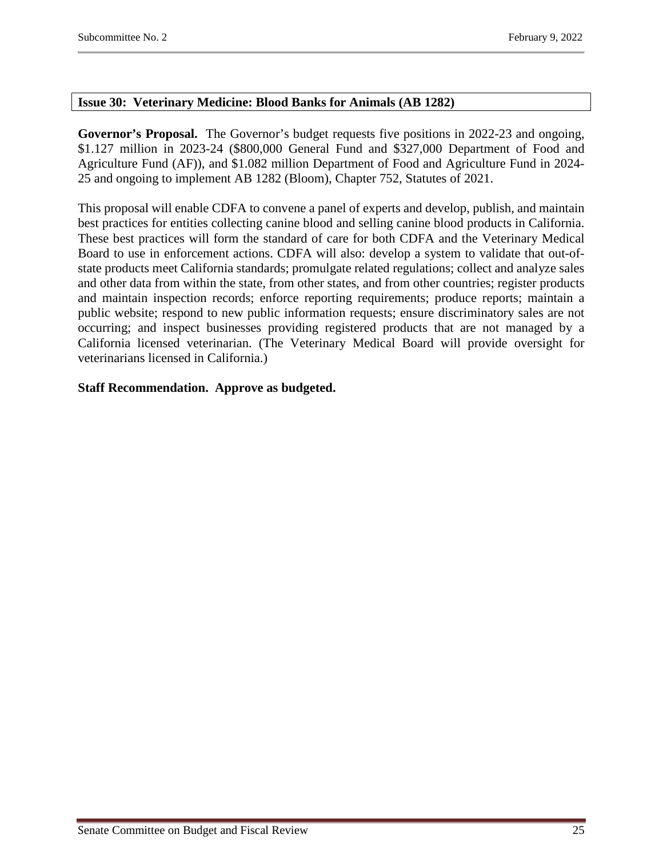### <span id="page-24-0"></span>**Issue 30: Veterinary Medicine: Blood Banks for Animals (AB 1282)**

**Governor's Proposal.** The Governor's budget requests five positions in 2022-23 and ongoing, \$1.127 million in 2023-24 (\$800,000 General Fund and \$327,000 Department of Food and Agriculture Fund (AF)), and \$1.082 million Department of Food and Agriculture Fund in 2024- 25 and ongoing to implement AB 1282 (Bloom), Chapter 752, Statutes of 2021.

This proposal will enable CDFA to convene a panel of experts and develop, publish, and maintain best practices for entities collecting canine blood and selling canine blood products in California. These best practices will form the standard of care for both CDFA and the Veterinary Medical Board to use in enforcement actions. CDFA will also: develop a system to validate that out-ofstate products meet California standards; promulgate related regulations; collect and analyze sales and other data from within the state, from other states, and from other countries; register products and maintain inspection records; enforce reporting requirements; produce reports; maintain a public website; respond to new public information requests; ensure discriminatory sales are not occurring; and inspect businesses providing registered products that are not managed by a California licensed veterinarian. (The Veterinary Medical Board will provide oversight for veterinarians licensed in California.)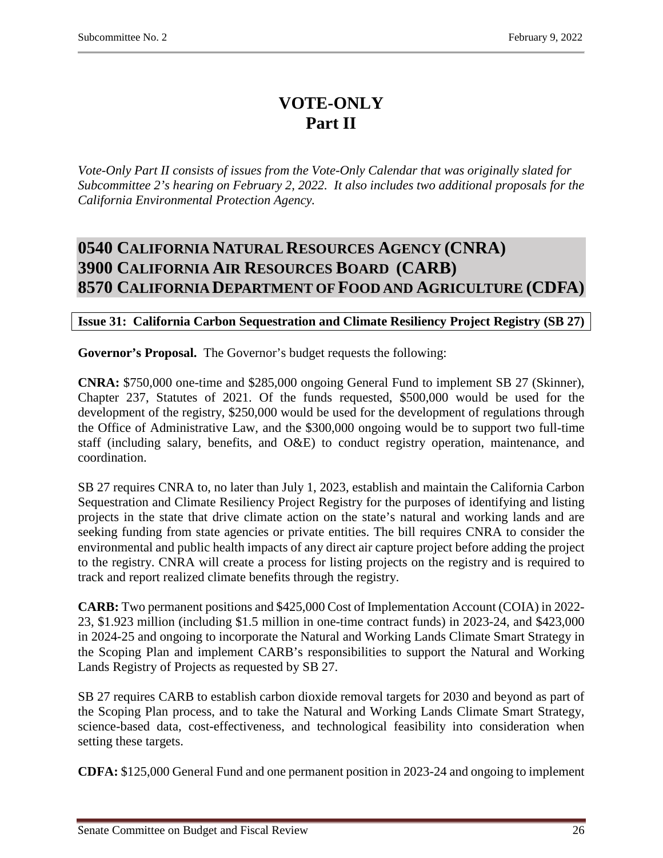# **VOTE-ONLY Part II**

*Vote-Only Part II consists of issues from the Vote-Only Calendar that was originally slated for Subcommittee 2's hearing on February 2, 2022. It also includes two additional proposals for the California Environmental Protection Agency.* 

# <span id="page-25-2"></span><span id="page-25-1"></span><span id="page-25-0"></span>**0540 CALIFORNIA NATURAL RESOURCES AGENCY (CNRA) 3900 CALIFORNIA AIR RESOURCES BOARD (CARB) 8570 CALIFORNIA DEPARTMENT OF FOOD AND AGRICULTURE (CDFA)**

# <span id="page-25-3"></span>**Issue 31: California Carbon Sequestration and Climate Resiliency Project Registry (SB 27)**

**Governor's Proposal.** The Governor's budget requests the following:

**CNRA:** \$750,000 one-time and \$285,000 ongoing General Fund to implement SB 27 (Skinner), Chapter 237, Statutes of 2021. Of the funds requested, \$500,000 would be used for the development of the registry, \$250,000 would be used for the development of regulations through the Office of Administrative Law, and the \$300,000 ongoing would be to support two full-time staff (including salary, benefits, and O&E) to conduct registry operation, maintenance, and coordination.

SB 27 requires CNRA to, no later than July 1, 2023, establish and maintain the California Carbon Sequestration and Climate Resiliency Project Registry for the purposes of identifying and listing projects in the state that drive climate action on the state's natural and working lands and are seeking funding from state agencies or private entities. The bill requires CNRA to consider the environmental and public health impacts of any direct air capture project before adding the project to the registry. CNRA will create a process for listing projects on the registry and is required to track and report realized climate benefits through the registry.

**CARB:** Two permanent positions and \$425,000 Cost of Implementation Account (COIA) in 2022- 23, \$1.923 million (including \$1.5 million in one-time contract funds) in 2023-24, and \$423,000 in 2024-25 and ongoing to incorporate the Natural and Working Lands Climate Smart Strategy in the Scoping Plan and implement CARB's responsibilities to support the Natural and Working Lands Registry of Projects as requested by SB 27.

SB 27 requires CARB to establish carbon dioxide removal targets for 2030 and beyond as part of the Scoping Plan process, and to take the Natural and Working Lands Climate Smart Strategy, science-based data, cost-effectiveness, and technological feasibility into consideration when setting these targets.

**CDFA:** \$125,000 General Fund and one permanent position in 2023-24 and ongoing to implement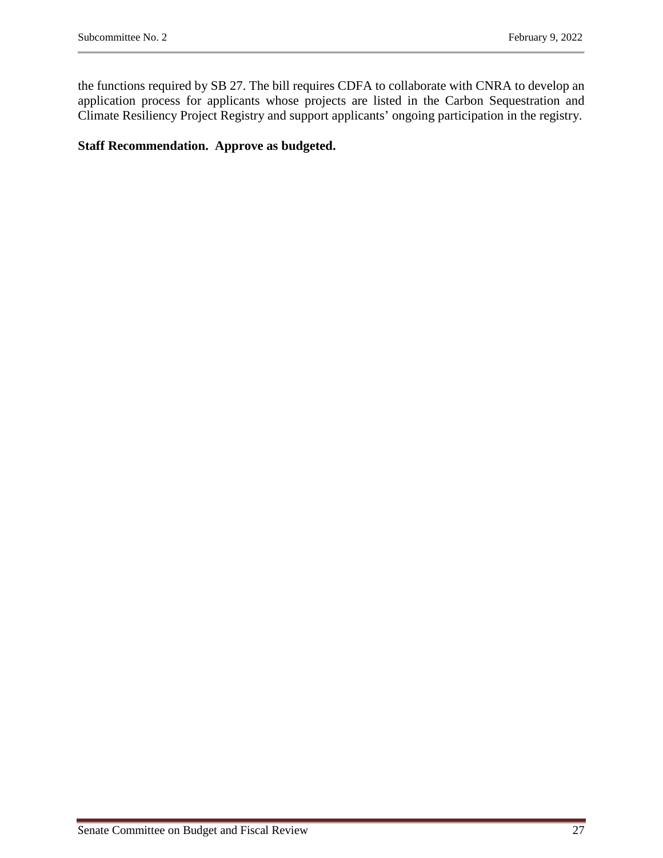the functions required by SB 27. The bill requires CDFA to collaborate with CNRA to develop an application process for applicants whose projects are listed in the Carbon Sequestration and Climate Resiliency Project Registry and support applicants' ongoing participation in the registry.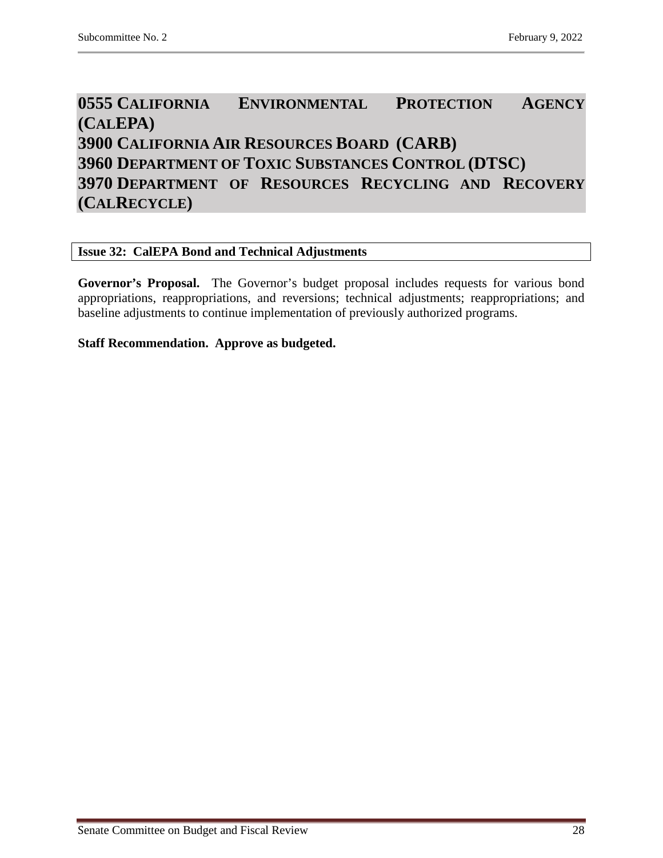# <span id="page-27-2"></span><span id="page-27-1"></span><span id="page-27-0"></span>**0555 CALIFORNIA ENVIRONMENTAL PROTECTION AGENCY (CALEPA) 3900 CALIFORNIA AIR RESOURCES BOARD (CARB) 3960 DEPARTMENT OF TOXIC SUBSTANCES CONTROL (DTSC) 3970 DEPARTMENT OF RESOURCES RECYCLING AND RECOVERY (CALRECYCLE)**

# <span id="page-27-4"></span><span id="page-27-3"></span>**Issue 32: CalEPA Bond and Technical Adjustments**

**Governor's Proposal.** The Governor's budget proposal includes requests for various bond appropriations, reappropriations, and reversions; technical adjustments; reappropriations; and baseline adjustments to continue implementation of previously authorized programs.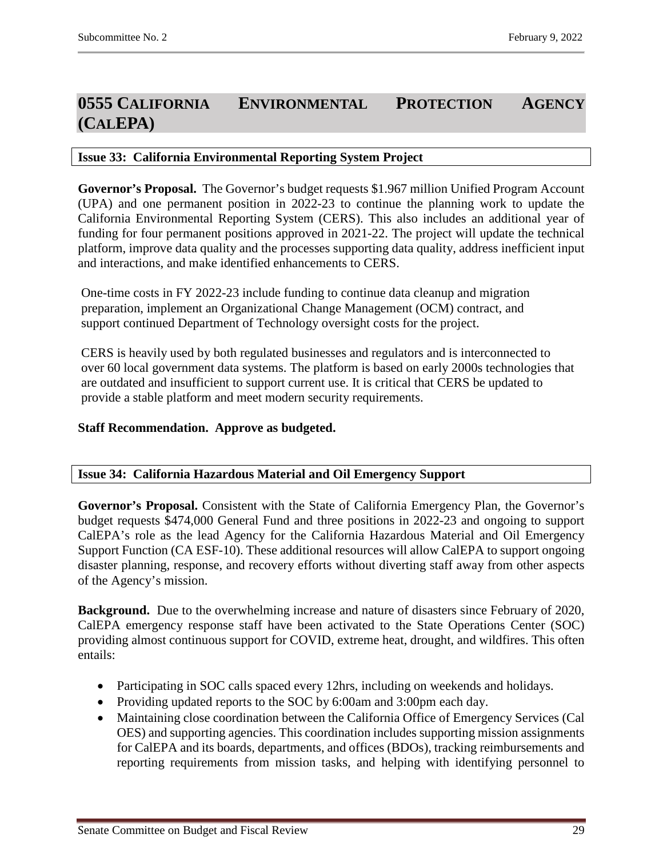# <span id="page-28-0"></span>**0555 CALIFORNIA ENVIRONMENTAL PROTECTION AGENCY (CALEPA)**

# <span id="page-28-1"></span>**Issue 33: California Environmental Reporting System Project**

**Governor's Proposal.** The Governor's budget requests \$1.967 million Unified Program Account (UPA) and one permanent position in 2022-23 to continue the planning work to update the California Environmental Reporting System (CERS). This also includes an additional year of funding for four permanent positions approved in 2021-22. The project will update the technical platform, improve data quality and the processes supporting data quality, address inefficient input and interactions, and make identified enhancements to CERS.

One-time costs in FY 2022-23 include funding to continue data cleanup and migration preparation, implement an Organizational Change Management (OCM) contract, and support continued Department of Technology oversight costs for the project.

CERS is heavily used by both regulated businesses and regulators and is interconnected to over 60 local government data systems. The platform is based on early 2000s technologies that are outdated and insufficient to support current use. It is critical that CERS be updated to provide a stable platform and meet modern security requirements.

# **Staff Recommendation. Approve as budgeted.**

# <span id="page-28-2"></span>**Issue 34: California Hazardous Material and Oil Emergency Support**

**Governor's Proposal.** Consistent with the State of California Emergency Plan, the Governor's budget requests \$474,000 General Fund and three positions in 2022-23 and ongoing to support CalEPA's role as the lead Agency for the California Hazardous Material and Oil Emergency Support Function (CA ESF-10). These additional resources will allow CalEPA to support ongoing disaster planning, response, and recovery efforts without diverting staff away from other aspects of the Agency's mission.

**Background.** Due to the overwhelming increase and nature of disasters since February of 2020, CalEPA emergency response staff have been activated to the State Operations Center (SOC) providing almost continuous support for COVID, extreme heat, drought, and wildfires. This often entails:

- Participating in SOC calls spaced every 12hrs, including on weekends and holidays.
- Providing updated reports to the SOC by 6:00am and 3:00pm each day.
- Maintaining close coordination between the California Office of Emergency Services (Cal OES) and supporting agencies. This coordination includes supporting mission assignments for CalEPA and its boards, departments, and offices (BDOs), tracking reimbursements and reporting requirements from mission tasks, and helping with identifying personnel to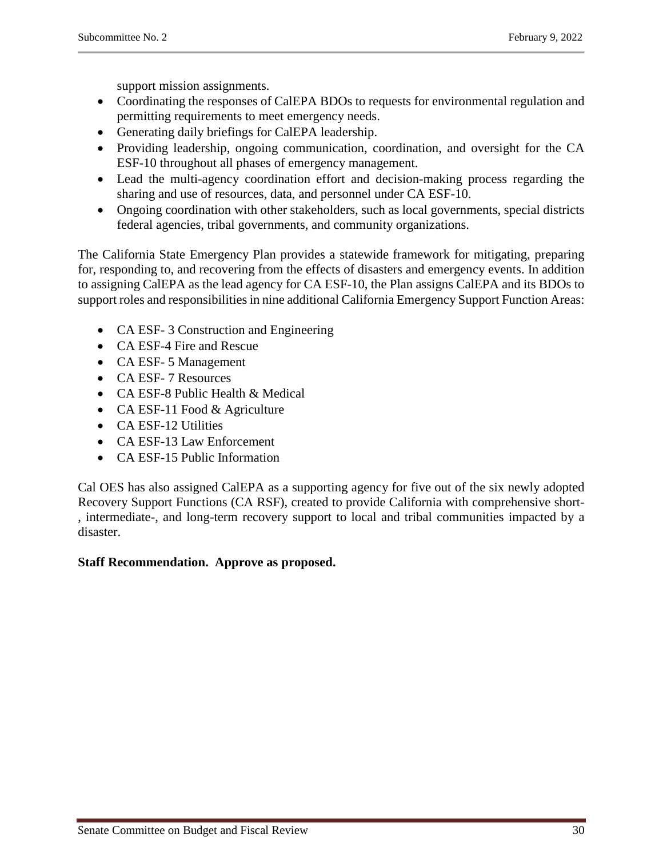support mission assignments.

- Coordinating the responses of CalEPA BDOs to requests for environmental regulation and permitting requirements to meet emergency needs.
- Generating daily briefings for CalEPA leadership.
- Providing leadership, ongoing communication, coordination, and oversight for the CA ESF-10 throughout all phases of emergency management.
- Lead the multi-agency coordination effort and decision-making process regarding the sharing and use of resources, data, and personnel under CA ESF-10.
- Ongoing coordination with other stakeholders, such as local governments, special districts federal agencies, tribal governments, and community organizations.

The California State Emergency Plan provides a statewide framework for mitigating, preparing for, responding to, and recovering from the effects of disasters and emergency events. In addition to assigning CalEPA as the lead agency for CA ESF-10, the Plan assigns CalEPA and its BDOs to support roles and responsibilities in nine additional California Emergency Support Function Areas:

- CA ESF-3 Construction and Engineering
- CA ESF-4 Fire and Rescue
- CA ESF- 5 Management
- CA ESF- 7 Resources
- CA ESF-8 Public Health & Medical
- CA ESF-11 Food & Agriculture
- CA ESF-12 Utilities
- CA ESF-13 Law Enforcement
- CA ESF-15 Public Information

Cal OES has also assigned CalEPA as a supporting agency for five out of the six newly adopted Recovery Support Functions (CA RSF), created to provide California with comprehensive short- , intermediate-, and long-term recovery support to local and tribal communities impacted by a disaster.

# **Staff Recommendation. Approve as proposed.**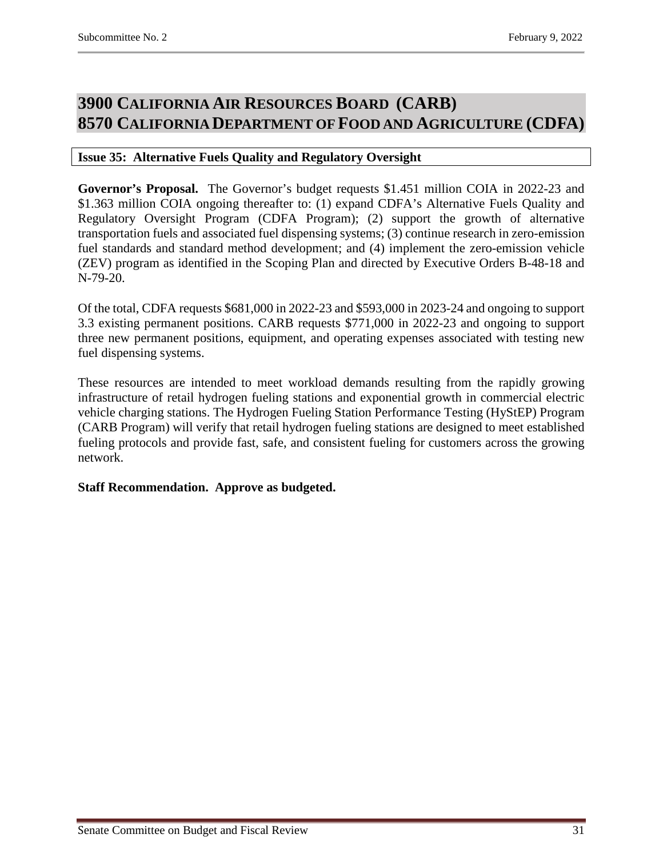# <span id="page-30-1"></span><span id="page-30-0"></span>**3900 CALIFORNIA AIR RESOURCES BOARD (CARB) 8570 CALIFORNIA DEPARTMENT OF FOOD AND AGRICULTURE (CDFA)**

# <span id="page-30-2"></span>**Issue 35: Alternative Fuels Quality and Regulatory Oversight**

**Governor's Proposal.** The Governor's budget requests \$1.451 million COIA in 2022-23 and \$1.363 million COIA ongoing thereafter to: (1) expand CDFA's Alternative Fuels Quality and Regulatory Oversight Program (CDFA Program); (2) support the growth of alternative transportation fuels and associated fuel dispensing systems; (3) continue research in zero-emission fuel standards and standard method development; and (4) implement the zero-emission vehicle (ZEV) program as identified in the Scoping Plan and directed by Executive Orders B-48-18 and N-79-20.

Of the total, CDFA requests \$681,000 in 2022-23 and \$593,000 in 2023-24 and ongoing to support 3.3 existing permanent positions. CARB requests \$771,000 in 2022-23 and ongoing to support three new permanent positions, equipment, and operating expenses associated with testing new fuel dispensing systems.

These resources are intended to meet workload demands resulting from the rapidly growing infrastructure of retail hydrogen fueling stations and exponential growth in commercial electric vehicle charging stations. The Hydrogen Fueling Station Performance Testing (HyStEP) Program (CARB Program) will verify that retail hydrogen fueling stations are designed to meet established fueling protocols and provide fast, safe, and consistent fueling for customers across the growing network.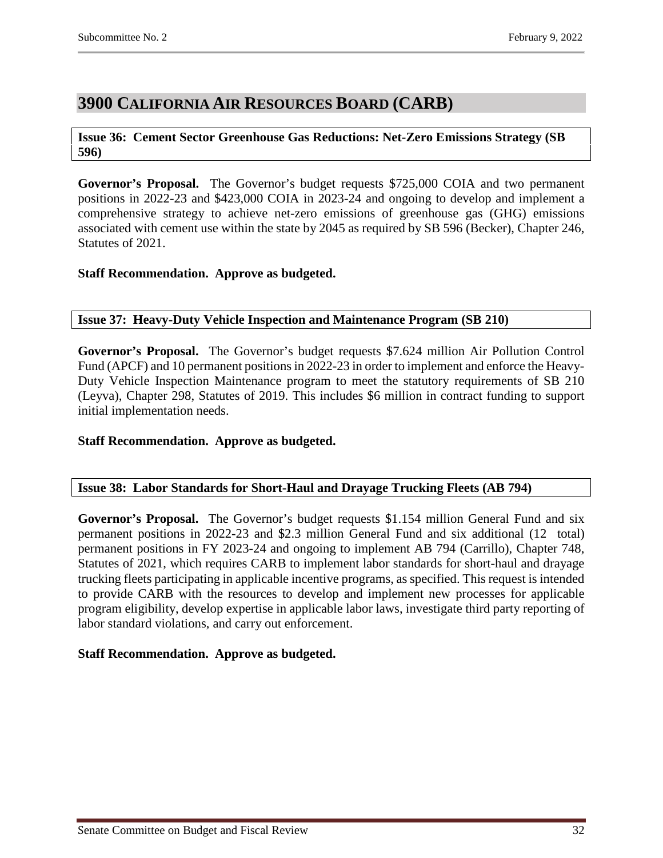# <span id="page-31-0"></span>**3900 CALIFORNIA AIR RESOURCES BOARD (CARB)**

# <span id="page-31-1"></span>**Issue 36: Cement Sector Greenhouse Gas Reductions: Net-Zero Emissions Strategy (SB 596)**

**Governor's Proposal.** The Governor's budget requests \$725,000 COIA and two permanent positions in 2022-23 and \$423,000 COIA in 2023-24 and ongoing to develop and implement a comprehensive strategy to achieve net-zero emissions of greenhouse gas (GHG) emissions associated with cement use within the state by 2045 as required by SB 596 (Becker), Chapter 246, Statutes of 2021.

# **Staff Recommendation. Approve as budgeted.**

# <span id="page-31-2"></span>**Issue 37: Heavy-Duty Vehicle Inspection and Maintenance Program (SB 210)**

**Governor's Proposal.** The Governor's budget requests \$7.624 million Air Pollution Control Fund (APCF) and 10 permanent positions in 2022-23 in order to implement and enforce the Heavy-Duty Vehicle Inspection Maintenance program to meet the statutory requirements of SB 210 (Leyva), Chapter 298, Statutes of 2019. This includes \$6 million in contract funding to support initial implementation needs.

# **Staff Recommendation. Approve as budgeted.**

# <span id="page-31-3"></span>**Issue 38: Labor Standards for Short-Haul and Drayage Trucking Fleets (AB 794)**

**Governor's Proposal.** The Governor's budget requests \$1.154 million General Fund and six permanent positions in 2022-23 and \$2.3 million General Fund and six additional (12 total) permanent positions in FY 2023-24 and ongoing to implement AB 794 (Carrillo), Chapter 748, Statutes of 2021, which requires CARB to implement labor standards for short-haul and drayage trucking fleets participating in applicable incentive programs, as specified. This request is intended to provide CARB with the resources to develop and implement new processes for applicable program eligibility, develop expertise in applicable labor laws, investigate third party reporting of labor standard violations, and carry out enforcement.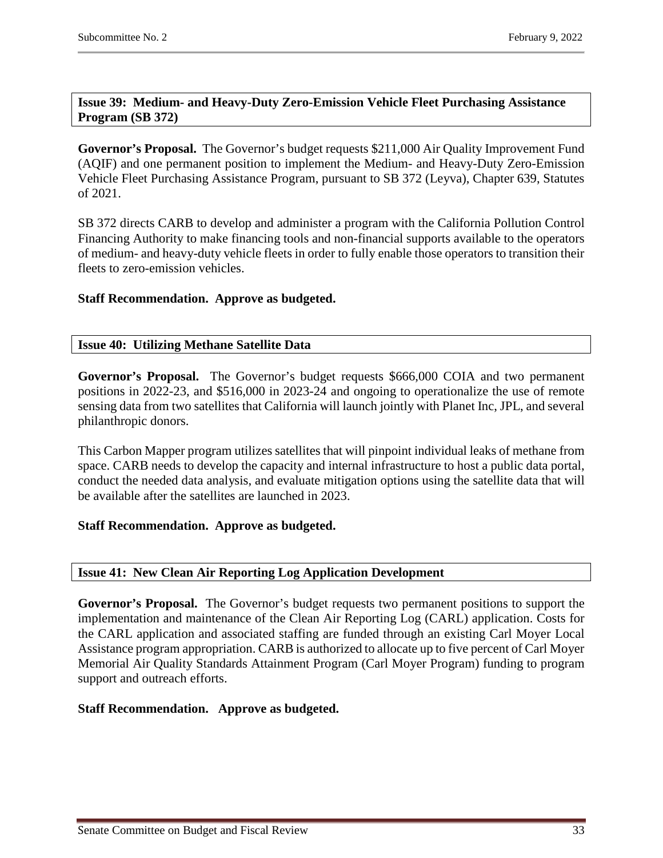# <span id="page-32-0"></span>**Issue 39: Medium- and Heavy-Duty Zero-Emission Vehicle Fleet Purchasing Assistance Program (SB 372)**

**Governor's Proposal.** The Governor's budget requests \$211,000 Air Quality Improvement Fund (AQIF) and one permanent position to implement the Medium- and Heavy-Duty Zero-Emission Vehicle Fleet Purchasing Assistance Program, pursuant to SB 372 (Leyva), Chapter 639, Statutes of 2021.

SB 372 directs CARB to develop and administer a program with the California Pollution Control Financing Authority to make financing tools and non-financial supports available to the operators of medium- and heavy-duty vehicle fleets in order to fully enable those operators to transition their fleets to zero-emission vehicles.

# **Staff Recommendation. Approve as budgeted.**

# <span id="page-32-1"></span>**Issue 40: Utilizing Methane Satellite Data**

**Governor's Proposal.** The Governor's budget requests \$666,000 COIA and two permanent positions in 2022-23, and \$516,000 in 2023-24 and ongoing to operationalize the use of remote sensing data from two satellites that California will launch jointly with Planet Inc, JPL, and several philanthropic donors.

This Carbon Mapper program utilizes satellites that will pinpoint individual leaks of methane from space. CARB needs to develop the capacity and internal infrastructure to host a public data portal, conduct the needed data analysis, and evaluate mitigation options using the satellite data that will be available after the satellites are launched in 2023.

# **Staff Recommendation. Approve as budgeted.**

#### <span id="page-32-2"></span>**Issue 41: New Clean Air Reporting Log Application Development**

**Governor's Proposal.** The Governor's budget requests two permanent positions to support the implementation and maintenance of the Clean Air Reporting Log (CARL) application. Costs for the CARL application and associated staffing are funded through an existing Carl Moyer Local Assistance program appropriation. CARB is authorized to allocate up to five percent of Carl Moyer Memorial Air Quality Standards Attainment Program (Carl Moyer Program) funding to program support and outreach efforts.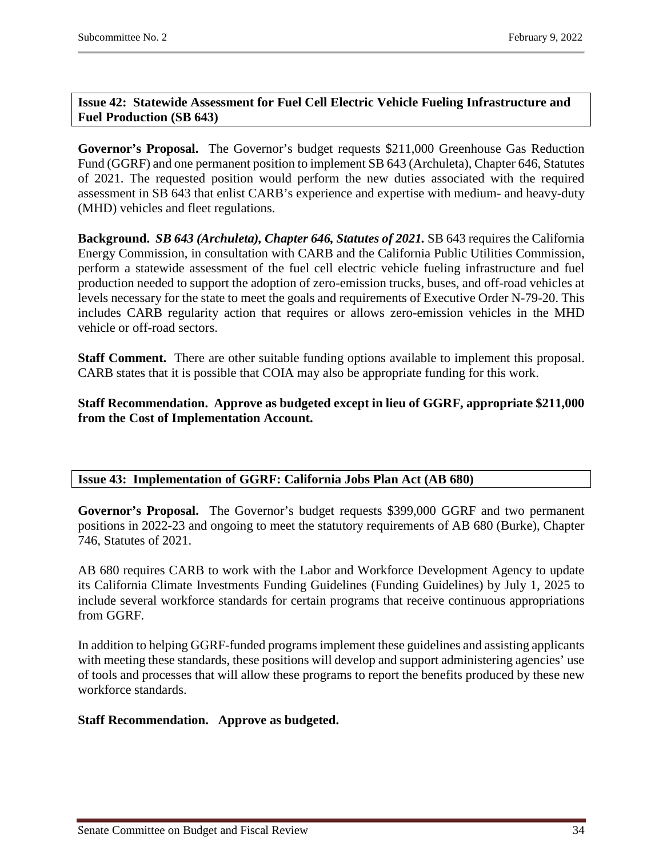# <span id="page-33-0"></span>**Issue 42: Statewide Assessment for Fuel Cell Electric Vehicle Fueling Infrastructure and Fuel Production (SB 643)**

**Governor's Proposal.** The Governor's budget requests \$211,000 Greenhouse Gas Reduction Fund (GGRF) and one permanent position to implement SB 643 (Archuleta), Chapter 646, Statutes of 2021. The requested position would perform the new duties associated with the required assessment in SB 643 that enlist CARB's experience and expertise with medium- and heavy-duty (MHD) vehicles and fleet regulations.

**Background.** *SB 643 (Archuleta), Chapter 646, Statutes of 2021.* SB 643 requires the California Energy Commission, in consultation with CARB and the California Public Utilities Commission, perform a statewide assessment of the fuel cell electric vehicle fueling infrastructure and fuel production needed to support the adoption of zero-emission trucks, buses, and off-road vehicles at levels necessary for the state to meet the goals and requirements of Executive Order N-79-20. This includes CARB regularity action that requires or allows zero-emission vehicles in the MHD vehicle or off-road sectors.

**Staff Comment.** There are other suitable funding options available to implement this proposal. CARB states that it is possible that COIA may also be appropriate funding for this work.

**Staff Recommendation. Approve as budgeted except in lieu of GGRF, appropriate \$211,000 from the Cost of Implementation Account.**

# <span id="page-33-1"></span>**Issue 43: Implementation of GGRF: California Jobs Plan Act (AB 680)**

**Governor's Proposal.** The Governor's budget requests \$399,000 GGRF and two permanent positions in 2022-23 and ongoing to meet the statutory requirements of AB 680 (Burke), Chapter 746, Statutes of 2021.

AB 680 requires CARB to work with the Labor and Workforce Development Agency to update its California Climate Investments Funding Guidelines (Funding Guidelines) by July 1, 2025 to include several workforce standards for certain programs that receive continuous appropriations from GGRF.

In addition to helping GGRF-funded programs implement these guidelines and assisting applicants with meeting these standards, these positions will develop and support administering agencies' use of tools and processes that will allow these programs to report the benefits produced by these new workforce standards.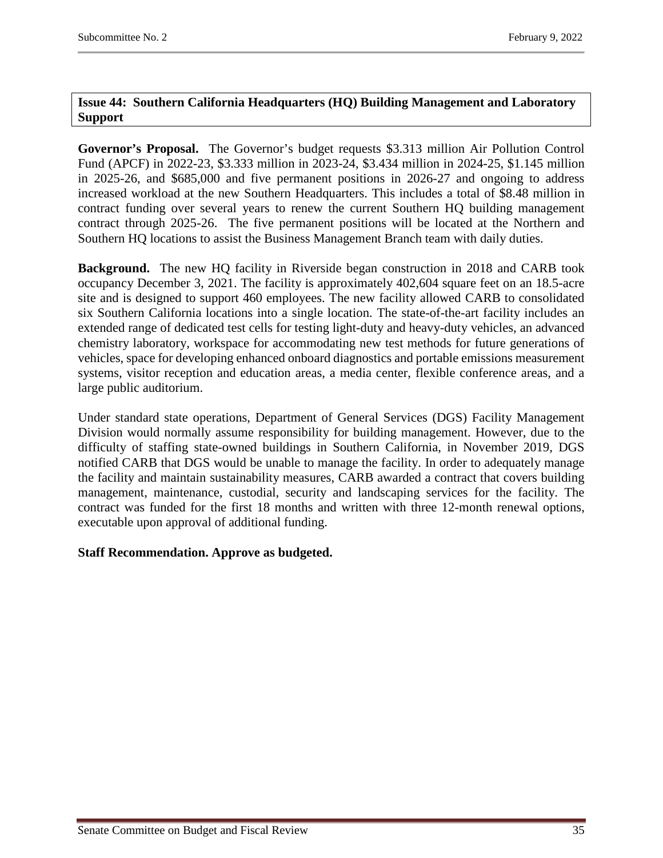# <span id="page-34-0"></span>**Issue 44: Southern California Headquarters (HQ) Building Management and Laboratory Support**

**Governor's Proposal.** The Governor's budget requests \$3.313 million Air Pollution Control Fund (APCF) in 2022-23, \$3.333 million in 2023-24, \$3.434 million in 2024-25, \$1.145 million in 2025-26, and \$685,000 and five permanent positions in 2026-27 and ongoing to address increased workload at the new Southern Headquarters. This includes a total of \$8.48 million in contract funding over several years to renew the current Southern HQ building management contract through 2025-26. The five permanent positions will be located at the Northern and Southern HQ locations to assist the Business Management Branch team with daily duties.

**Background.** The new HQ facility in Riverside began construction in 2018 and CARB took occupancy December 3, 2021. The facility is approximately 402,604 square feet on an 18.5-acre site and is designed to support 460 employees. The new facility allowed CARB to consolidated six Southern California locations into a single location. The state-of-the-art facility includes an extended range of dedicated test cells for testing light-duty and heavy-duty vehicles, an advanced chemistry laboratory, workspace for accommodating new test methods for future generations of vehicles, space for developing enhanced onboard diagnostics and portable emissions measurement systems, visitor reception and education areas, a media center, flexible conference areas, and a large public auditorium.

Under standard state operations, Department of General Services (DGS) Facility Management Division would normally assume responsibility for building management. However, due to the difficulty of staffing state-owned buildings in Southern California, in November 2019, DGS notified CARB that DGS would be unable to manage the facility. In order to adequately manage the facility and maintain sustainability measures, CARB awarded a contract that covers building management, maintenance, custodial, security and landscaping services for the facility. The contract was funded for the first 18 months and written with three 12-month renewal options, executable upon approval of additional funding.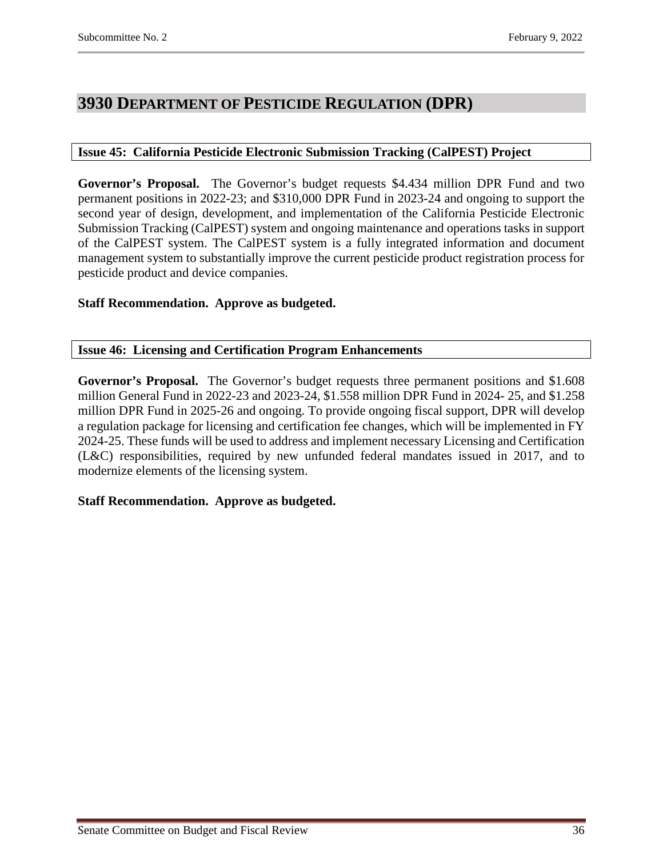# <span id="page-35-0"></span>**3930 DEPARTMENT OF PESTICIDE REGULATION (DPR)**

# <span id="page-35-1"></span>**Issue 45: California Pesticide Electronic Submission Tracking (CalPEST) Project**

**Governor's Proposal.** The Governor's budget requests \$4.434 million DPR Fund and two permanent positions in 2022-23; and \$310,000 DPR Fund in 2023-24 and ongoing to support the second year of design, development, and implementation of the California Pesticide Electronic Submission Tracking (CalPEST) system and ongoing maintenance and operations tasks in support of the CalPEST system. The CalPEST system is a fully integrated information and document management system to substantially improve the current pesticide product registration process for pesticide product and device companies.

# **Staff Recommendation. Approve as budgeted.**

#### <span id="page-35-2"></span>**Issue 46: Licensing and Certification Program Enhancements**

**Governor's Proposal.** The Governor's budget requests three permanent positions and \$1.608 million General Fund in 2022-23 and 2023-24, \$1.558 million DPR Fund in 2024- 25, and \$1.258 million DPR Fund in 2025-26 and ongoing. To provide ongoing fiscal support, DPR will develop a regulation package for licensing and certification fee changes, which will be implemented in FY 2024-25. These funds will be used to address and implement necessary Licensing and Certification (L&C) responsibilities, required by new unfunded federal mandates issued in 2017, and to modernize elements of the licensing system.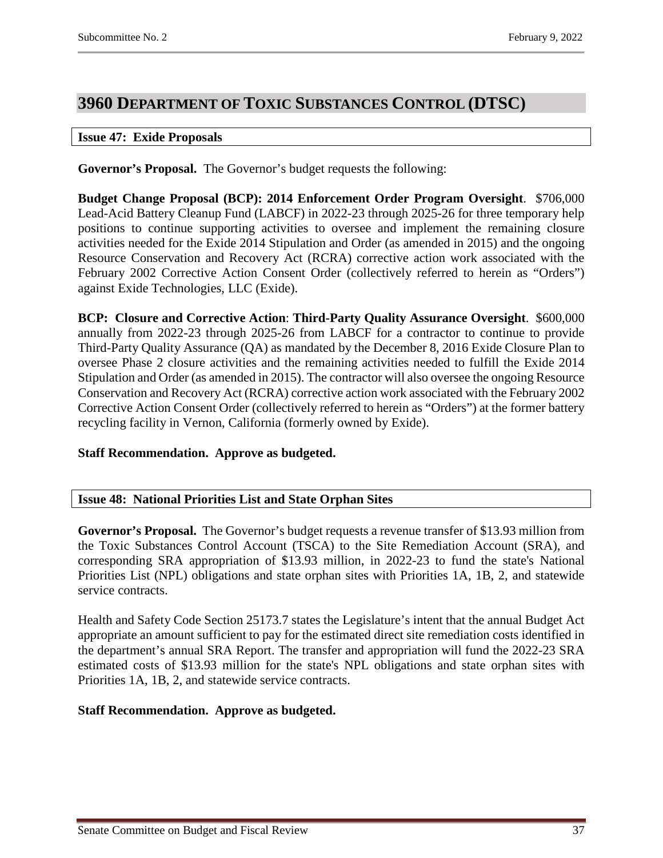# <span id="page-36-0"></span>**3960 DEPARTMENT OF TOXIC SUBSTANCES CONTROL (DTSC)**

### <span id="page-36-1"></span>**Issue 47: Exide Proposals**

**Governor's Proposal.** The Governor's budget requests the following:

**Budget Change Proposal (BCP): 2014 Enforcement Order Program Oversight**. \$706,000 Lead-Acid Battery Cleanup Fund (LABCF) in 2022-23 through 2025-26 for three temporary help positions to continue supporting activities to oversee and implement the remaining closure activities needed for the Exide 2014 Stipulation and Order (as amended in 2015) and the ongoing Resource Conservation and Recovery Act (RCRA) corrective action work associated with the February 2002 Corrective Action Consent Order (collectively referred to herein as "Orders") against Exide Technologies, LLC (Exide).

**BCP: Closure and Corrective Action**: **Third-Party Quality Assurance Oversight**. \$600,000 annually from 2022-23 through 2025-26 from LABCF for a contractor to continue to provide Third-Party Quality Assurance (QA) as mandated by the December 8, 2016 Exide Closure Plan to oversee Phase 2 closure activities and the remaining activities needed to fulfill the Exide 2014 Stipulation and Order (as amended in 2015). The contractor will also oversee the ongoing Resource Conservation and Recovery Act (RCRA) corrective action work associated with the February 2002 Corrective Action Consent Order (collectively referred to herein as "Orders") at the former battery recycling facility in Vernon, California (formerly owned by Exide).

# **Staff Recommendation. Approve as budgeted.**

### <span id="page-36-2"></span>**Issue 48: National Priorities List and State Orphan Sites**

**Governor's Proposal.** The Governor's budget requests a revenue transfer of \$13.93 million from the Toxic Substances Control Account (TSCA) to the Site Remediation Account (SRA), and corresponding SRA appropriation of \$13.93 million, in 2022-23 to fund the state's National Priorities List (NPL) obligations and state orphan sites with Priorities 1A, 1B, 2, and statewide service contracts.

Health and Safety Code Section 25173.7 states the Legislature's intent that the annual Budget Act appropriate an amount sufficient to pay for the estimated direct site remediation costs identified in the department's annual SRA Report. The transfer and appropriation will fund the 2022-23 SRA estimated costs of \$13.93 million for the state's NPL obligations and state orphan sites with Priorities 1A, 1B, 2, and statewide service contracts.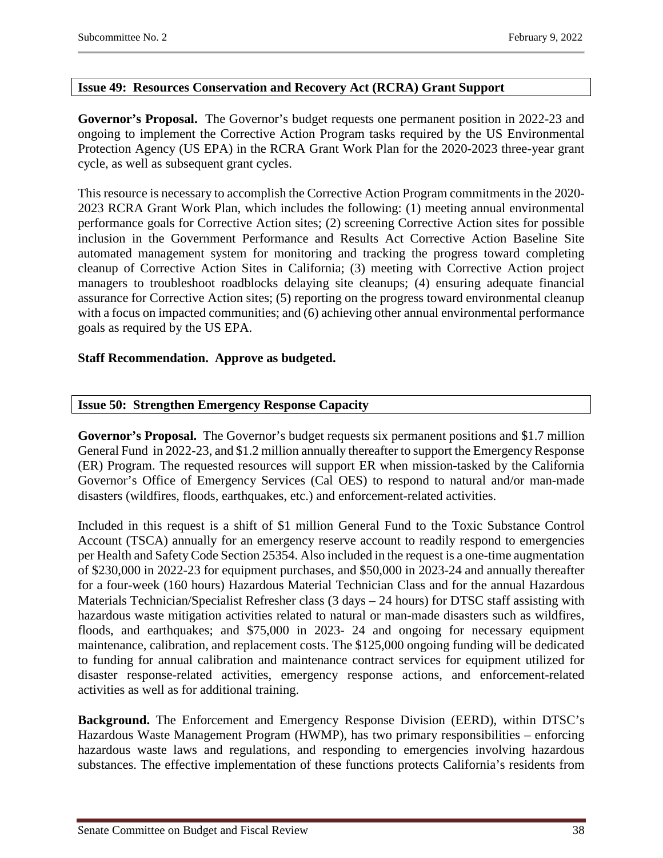# <span id="page-37-0"></span>**Issue 49: Resources Conservation and Recovery Act (RCRA) Grant Support**

**Governor's Proposal.** The Governor's budget requests one permanent position in 2022-23 and ongoing to implement the Corrective Action Program tasks required by the US Environmental Protection Agency (US EPA) in the RCRA Grant Work Plan for the 2020-2023 three-year grant cycle, as well as subsequent grant cycles.

This resource is necessary to accomplish the Corrective Action Program commitments in the 2020- 2023 RCRA Grant Work Plan, which includes the following: (1) meeting annual environmental performance goals for Corrective Action sites; (2) screening Corrective Action sites for possible inclusion in the Government Performance and Results Act Corrective Action Baseline Site automated management system for monitoring and tracking the progress toward completing cleanup of Corrective Action Sites in California; (3) meeting with Corrective Action project managers to troubleshoot roadblocks delaying site cleanups; (4) ensuring adequate financial assurance for Corrective Action sites; (5) reporting on the progress toward environmental cleanup with a focus on impacted communities; and (6) achieving other annual environmental performance goals as required by the US EPA.

# **Staff Recommendation. Approve as budgeted.**

# <span id="page-37-1"></span>**Issue 50: Strengthen Emergency Response Capacity**

**Governor's Proposal.** The Governor's budget requests six permanent positions and \$1.7 million General Fund in 2022-23, and \$1.2 million annually thereafter to support the Emergency Response (ER) Program. The requested resources will support ER when mission-tasked by the California Governor's Office of Emergency Services (Cal OES) to respond to natural and/or man-made disasters (wildfires, floods, earthquakes, etc.) and enforcement-related activities.

Included in this request is a shift of \$1 million General Fund to the Toxic Substance Control Account (TSCA) annually for an emergency reserve account to readily respond to emergencies per Health and Safety Code Section 25354. Also included in the request is a one-time augmentation of \$230,000 in 2022-23 for equipment purchases, and \$50,000 in 2023-24 and annually thereafter for a four-week (160 hours) Hazardous Material Technician Class and for the annual Hazardous Materials Technician/Specialist Refresher class (3 days – 24 hours) for DTSC staff assisting with hazardous waste mitigation activities related to natural or man-made disasters such as wildfires, floods, and earthquakes; and \$75,000 in 2023- 24 and ongoing for necessary equipment maintenance, calibration, and replacement costs. The \$125,000 ongoing funding will be dedicated to funding for annual calibration and maintenance contract services for equipment utilized for disaster response-related activities, emergency response actions, and enforcement-related activities as well as for additional training.

**Background.** The Enforcement and Emergency Response Division (EERD), within DTSC's Hazardous Waste Management Program (HWMP), has two primary responsibilities – enforcing hazardous waste laws and regulations, and responding to emergencies involving hazardous substances. The effective implementation of these functions protects California's residents from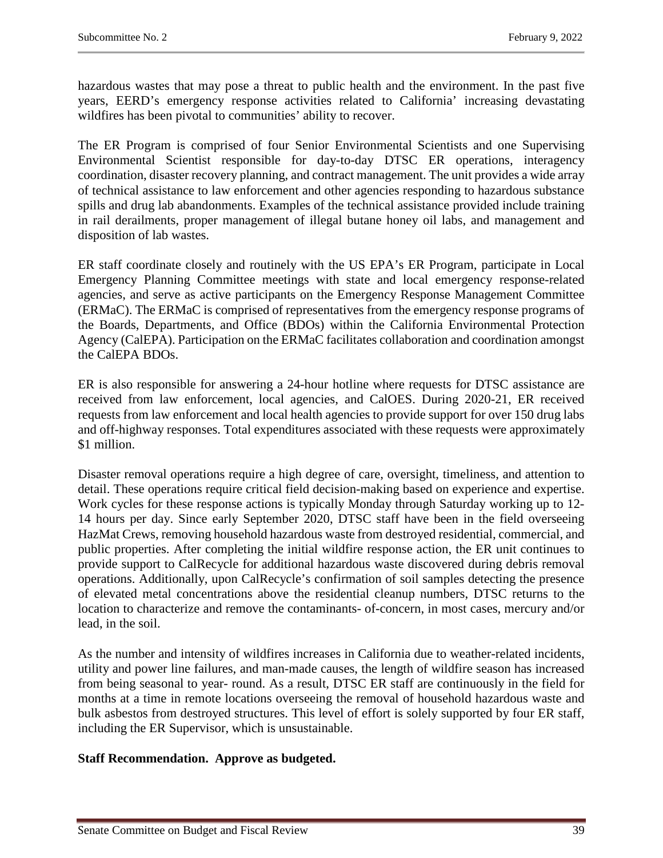hazardous wastes that may pose a threat to public health and the environment. In the past five years, EERD's emergency response activities related to California' increasing devastating wildfires has been pivotal to communities' ability to recover.

The ER Program is comprised of four Senior Environmental Scientists and one Supervising Environmental Scientist responsible for day-to-day DTSC ER operations, interagency coordination, disaster recovery planning, and contract management. The unit provides a wide array of technical assistance to law enforcement and other agencies responding to hazardous substance spills and drug lab abandonments. Examples of the technical assistance provided include training in rail derailments, proper management of illegal butane honey oil labs, and management and disposition of lab wastes.

ER staff coordinate closely and routinely with the US EPA's ER Program, participate in Local Emergency Planning Committee meetings with state and local emergency response-related agencies, and serve as active participants on the Emergency Response Management Committee (ERMaC). The ERMaC is comprised of representatives from the emergency response programs of the Boards, Departments, and Office (BDOs) within the California Environmental Protection Agency (CalEPA). Participation on the ERMaC facilitates collaboration and coordination amongst the CalEPA BDOs.

ER is also responsible for answering a 24-hour hotline where requests for DTSC assistance are received from law enforcement, local agencies, and CalOES. During 2020-21, ER received requests from law enforcement and local health agencies to provide support for over 150 drug labs and off-highway responses. Total expenditures associated with these requests were approximately \$1 million.

Disaster removal operations require a high degree of care, oversight, timeliness, and attention to detail. These operations require critical field decision-making based on experience and expertise. Work cycles for these response actions is typically Monday through Saturday working up to 12- 14 hours per day. Since early September 2020, DTSC staff have been in the field overseeing HazMat Crews, removing household hazardous waste from destroyed residential, commercial, and public properties. After completing the initial wildfire response action, the ER unit continues to provide support to CalRecycle for additional hazardous waste discovered during debris removal operations. Additionally, upon CalRecycle's confirmation of soil samples detecting the presence of elevated metal concentrations above the residential cleanup numbers, DTSC returns to the location to characterize and remove the contaminants- of-concern, in most cases, mercury and/or lead, in the soil.

As the number and intensity of wildfires increases in California due to weather-related incidents, utility and power line failures, and man-made causes, the length of wildfire season has increased from being seasonal to year- round. As a result, DTSC ER staff are continuously in the field for months at a time in remote locations overseeing the removal of household hazardous waste and bulk asbestos from destroyed structures. This level of effort is solely supported by four ER staff, including the ER Supervisor, which is unsustainable.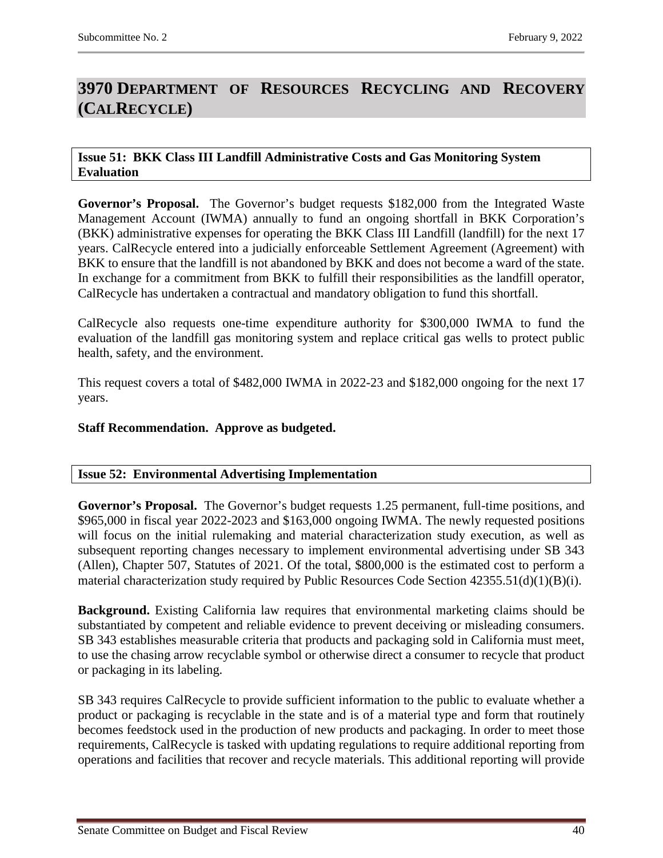# <span id="page-39-0"></span>**3970 DEPARTMENT OF RESOURCES RECYCLING AND RECOVERY (CALRECYCLE)**

#### <span id="page-39-1"></span>**Issue 51: BKK Class III Landfill Administrative Costs and Gas Monitoring System Evaluation**

**Governor's Proposal.** The Governor's budget requests \$182,000 from the Integrated Waste Management Account (IWMA) annually to fund an ongoing shortfall in BKK Corporation's (BKK) administrative expenses for operating the BKK Class III Landfill (landfill) for the next 17 years. CalRecycle entered into a judicially enforceable Settlement Agreement (Agreement) with BKK to ensure that the landfill is not abandoned by BKK and does not become a ward of the state. In exchange for a commitment from BKK to fulfill their responsibilities as the landfill operator, CalRecycle has undertaken a contractual and mandatory obligation to fund this shortfall.

CalRecycle also requests one-time expenditure authority for \$300,000 IWMA to fund the evaluation of the landfill gas monitoring system and replace critical gas wells to protect public health, safety, and the environment.

This request covers a total of \$482,000 IWMA in 2022-23 and \$182,000 ongoing for the next 17 years.

### **Staff Recommendation. Approve as budgeted.**

#### <span id="page-39-2"></span>**Issue 52: Environmental Advertising Implementation**

**Governor's Proposal.** The Governor's budget requests 1.25 permanent, full-time positions, and \$965,000 in fiscal year 2022-2023 and \$163,000 ongoing IWMA. The newly requested positions will focus on the initial rulemaking and material characterization study execution, as well as subsequent reporting changes necessary to implement environmental advertising under SB 343 (Allen), Chapter 507, Statutes of 2021. Of the total, \$800,000 is the estimated cost to perform a material characterization study required by Public Resources Code Section 42355.51(d)(1)(B)(i).

**Background.** Existing California law requires that environmental marketing claims should be substantiated by competent and reliable evidence to prevent deceiving or misleading consumers. SB 343 establishes measurable criteria that products and packaging sold in California must meet, to use the chasing arrow recyclable symbol or otherwise direct a consumer to recycle that product or packaging in its labeling.

SB 343 requires CalRecycle to provide sufficient information to the public to evaluate whether a product or packaging is recyclable in the state and is of a material type and form that routinely becomes feedstock used in the production of new products and packaging. In order to meet those requirements, CalRecycle is tasked with updating regulations to require additional reporting from operations and facilities that recover and recycle materials. This additional reporting will provide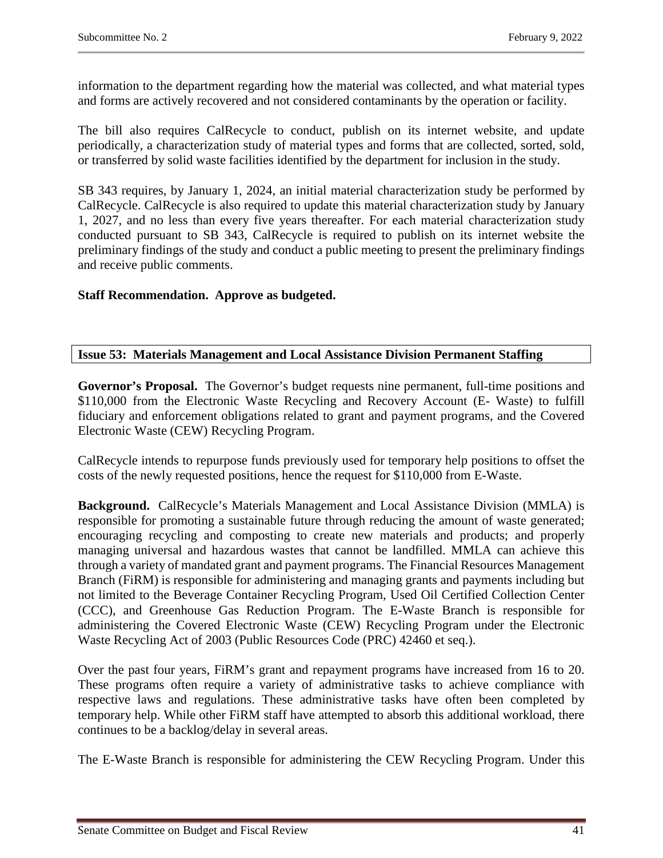information to the department regarding how the material was collected, and what material types and forms are actively recovered and not considered contaminants by the operation or facility.

The bill also requires CalRecycle to conduct, publish on its internet website, and update periodically, a characterization study of material types and forms that are collected, sorted, sold, or transferred by solid waste facilities identified by the department for inclusion in the study.

SB 343 requires, by January 1, 2024, an initial material characterization study be performed by CalRecycle. CalRecycle is also required to update this material characterization study by January 1, 2027, and no less than every five years thereafter. For each material characterization study conducted pursuant to SB 343, CalRecycle is required to publish on its internet website the preliminary findings of the study and conduct a public meeting to present the preliminary findings and receive public comments.

# **Staff Recommendation. Approve as budgeted.**

# <span id="page-40-0"></span>**Issue 53: Materials Management and Local Assistance Division Permanent Staffing**

**Governor's Proposal.** The Governor's budget requests nine permanent, full-time positions and \$110,000 from the Electronic Waste Recycling and Recovery Account (E- Waste) to fulfill fiduciary and enforcement obligations related to grant and payment programs, and the Covered Electronic Waste (CEW) Recycling Program.

CalRecycle intends to repurpose funds previously used for temporary help positions to offset the costs of the newly requested positions, hence the request for \$110,000 from E-Waste.

**Background.** CalRecycle's Materials Management and Local Assistance Division (MMLA) is responsible for promoting a sustainable future through reducing the amount of waste generated; encouraging recycling and composting to create new materials and products; and properly managing universal and hazardous wastes that cannot be landfilled. MMLA can achieve this through a variety of mandated grant and payment programs. The Financial Resources Management Branch (FiRM) is responsible for administering and managing grants and payments including but not limited to the Beverage Container Recycling Program, Used Oil Certified Collection Center (CCC), and Greenhouse Gas Reduction Program. The E-Waste Branch is responsible for administering the Covered Electronic Waste (CEW) Recycling Program under the Electronic Waste Recycling Act of 2003 (Public Resources Code (PRC) 42460 et seq.).

Over the past four years, FiRM's grant and repayment programs have increased from 16 to 20. These programs often require a variety of administrative tasks to achieve compliance with respective laws and regulations. These administrative tasks have often been completed by temporary help. While other FiRM staff have attempted to absorb this additional workload, there continues to be a backlog/delay in several areas.

The E-Waste Branch is responsible for administering the CEW Recycling Program. Under this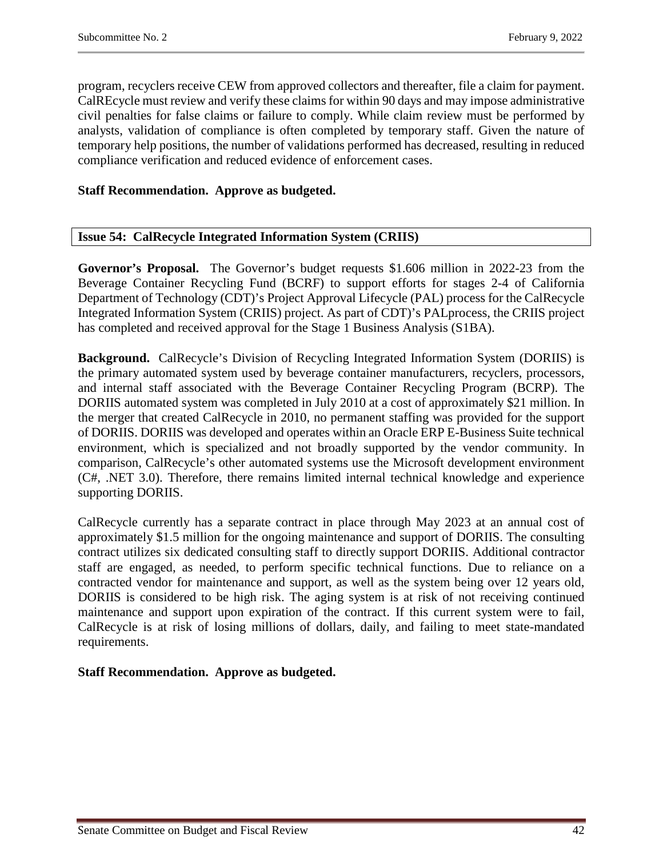program, recyclers receive CEW from approved collectors and thereafter, file a claim for payment. CalREcycle must review and verify these claims for within 90 days and may impose administrative civil penalties for false claims or failure to comply. While claim review must be performed by analysts, validation of compliance is often completed by temporary staff. Given the nature of temporary help positions, the number of validations performed has decreased, resulting in reduced compliance verification and reduced evidence of enforcement cases.

# **Staff Recommendation. Approve as budgeted.**

# <span id="page-41-0"></span>**Issue 54: CalRecycle Integrated Information System (CRIIS)**

**Governor's Proposal.** The Governor's budget requests \$1.606 million in 2022-23 from the Beverage Container Recycling Fund (BCRF) to support efforts for stages 2-4 of California Department of Technology (CDT)'s Project Approval Lifecycle (PAL) process for the CalRecycle Integrated Information System (CRIIS) project. As part of CDT)'s PALprocess, the CRIIS project has completed and received approval for the Stage 1 Business Analysis (S1BA).

**Background.** CalRecycle's Division of Recycling Integrated Information System (DORIIS) is the primary automated system used by beverage container manufacturers, recyclers, processors, and internal staff associated with the Beverage Container Recycling Program (BCRP). The DORIIS automated system was completed in July 2010 at a cost of approximately \$21 million. In the merger that created CalRecycle in 2010, no permanent staffing was provided for the support of DORIIS. DORIIS was developed and operates within an Oracle ERP E-Business Suite technical environment, which is specialized and not broadly supported by the vendor community. In comparison, CalRecycle's other automated systems use the Microsoft development environment (C#, .NET 3.0). Therefore, there remains limited internal technical knowledge and experience supporting DORIIS.

CalRecycle currently has a separate contract in place through May 2023 at an annual cost of approximately \$1.5 million for the ongoing maintenance and support of DORIIS. The consulting contract utilizes six dedicated consulting staff to directly support DORIIS. Additional contractor staff are engaged, as needed, to perform specific technical functions. Due to reliance on a contracted vendor for maintenance and support, as well as the system being over 12 years old, DORIIS is considered to be high risk. The aging system is at risk of not receiving continued maintenance and support upon expiration of the contract. If this current system were to fail, CalRecycle is at risk of losing millions of dollars, daily, and failing to meet state-mandated requirements.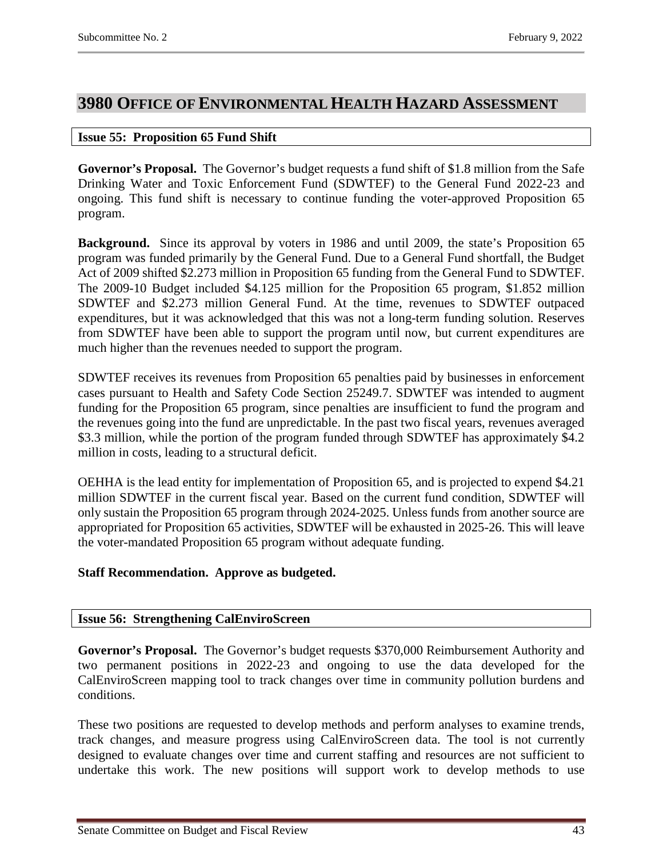# <span id="page-42-0"></span>**3980 OFFICE OF ENVIRONMENTAL HEALTH HAZARD ASSESSMENT**

### <span id="page-42-1"></span>**Issue 55: Proposition 65 Fund Shift**

**Governor's Proposal.** The Governor's budget requests a fund shift of \$1.8 million from the Safe Drinking Water and Toxic Enforcement Fund (SDWTEF) to the General Fund 2022-23 and ongoing. This fund shift is necessary to continue funding the voter-approved Proposition 65 program.

**Background.** Since its approval by voters in 1986 and until 2009, the state's Proposition 65 program was funded primarily by the General Fund. Due to a General Fund shortfall, the Budget Act of 2009 shifted \$2.273 million in Proposition 65 funding from the General Fund to SDWTEF. The 2009-10 Budget included \$4.125 million for the Proposition 65 program, \$1.852 million SDWTEF and \$2.273 million General Fund. At the time, revenues to SDWTEF outpaced expenditures, but it was acknowledged that this was not a long-term funding solution. Reserves from SDWTEF have been able to support the program until now, but current expenditures are much higher than the revenues needed to support the program.

SDWTEF receives its revenues from Proposition 65 penalties paid by businesses in enforcement cases pursuant to Health and Safety Code Section 25249.7. SDWTEF was intended to augment funding for the Proposition 65 program, since penalties are insufficient to fund the program and the revenues going into the fund are unpredictable. In the past two fiscal years, revenues averaged \$3.3 million, while the portion of the program funded through SDWTEF has approximately \$4.2 million in costs, leading to a structural deficit.

OEHHA is the lead entity for implementation of Proposition 65, and is projected to expend \$4.21 million SDWTEF in the current fiscal year. Based on the current fund condition, SDWTEF will only sustain the Proposition 65 program through 2024-2025. Unless funds from another source are appropriated for Proposition 65 activities, SDWTEF will be exhausted in 2025-26. This will leave the voter-mandated Proposition 65 program without adequate funding.

# **Staff Recommendation. Approve as budgeted.**

# <span id="page-42-2"></span>**Issue 56: Strengthening CalEnviroScreen**

**Governor's Proposal.** The Governor's budget requests \$370,000 Reimbursement Authority and two permanent positions in 2022-23 and ongoing to use the data developed for the CalEnviroScreen mapping tool to track changes over time in community pollution burdens and conditions.

These two positions are requested to develop methods and perform analyses to examine trends, track changes, and measure progress using CalEnviroScreen data. The tool is not currently designed to evaluate changes over time and current staffing and resources are not sufficient to undertake this work. The new positions will support work to develop methods to use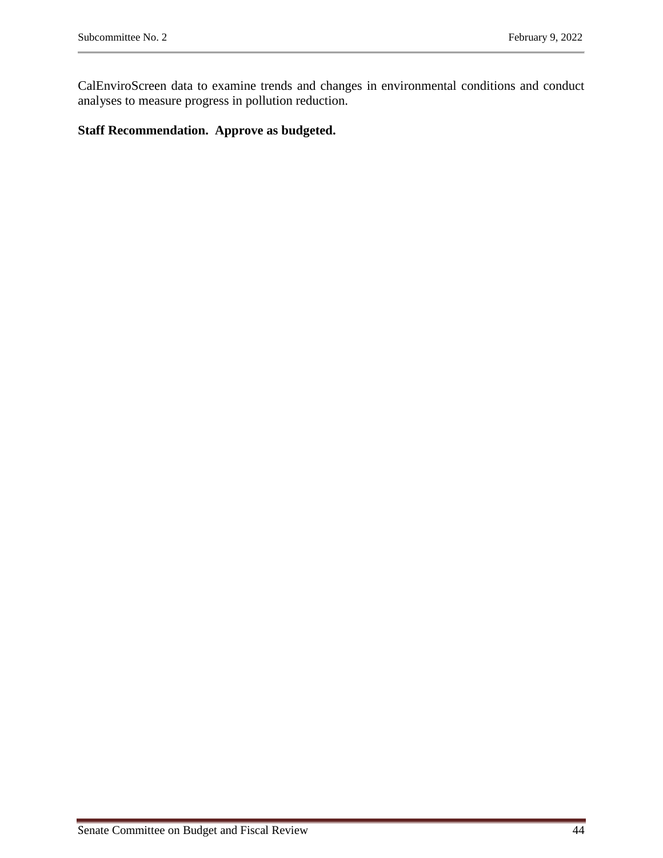CalEnviroScreen data to examine trends and changes in environmental conditions and conduct analyses to measure progress in pollution reduction.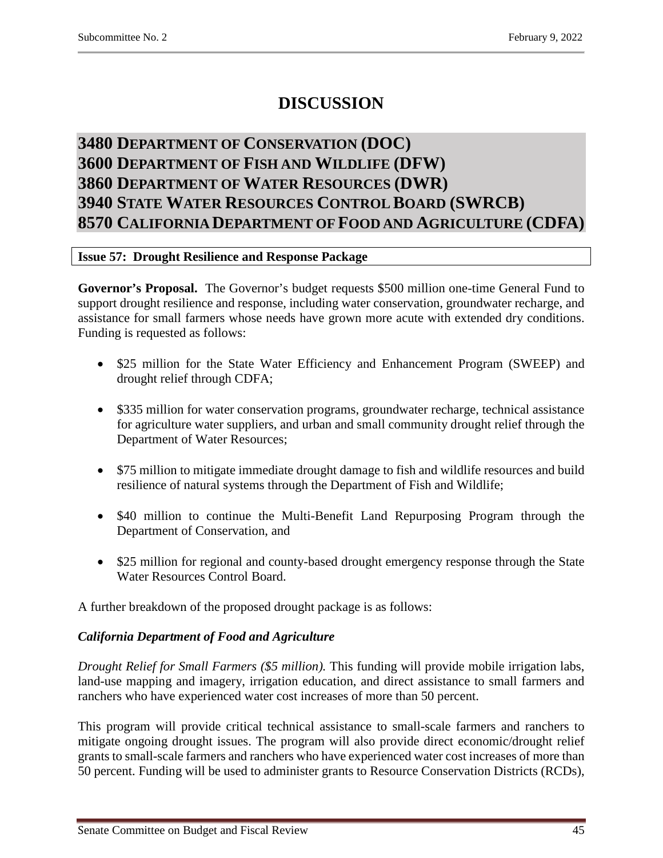# **DISCUSSION**

# <span id="page-44-2"></span><span id="page-44-1"></span><span id="page-44-0"></span>**3480 DEPARTMENT OF CONSERVATION (DOC) 3600 DEPARTMENT OF FISH AND WILDLIFE (DFW) 3860 DEPARTMENT OF WATER RESOURCES (DWR) 3940 STATE WATER RESOURCES CONTROL BOARD (SWRCB) 8570 CALIFORNIA DEPARTMENT OF FOOD AND AGRICULTURE (CDFA)**

# <span id="page-44-5"></span><span id="page-44-4"></span><span id="page-44-3"></span>**Issue 57: Drought Resilience and Response Package**

**Governor's Proposal.** The Governor's budget requests \$500 million one-time General Fund to support drought resilience and response, including water conservation, groundwater recharge, and assistance for small farmers whose needs have grown more acute with extended dry conditions. Funding is requested as follows:

- \$25 million for the State Water Efficiency and Enhancement Program (SWEEP) and drought relief through CDFA;
- \$335 million for water conservation programs, groundwater recharge, technical assistance for agriculture water suppliers, and urban and small community drought relief through the Department of Water Resources;
- \$75 million to mitigate immediate drought damage to fish and wildlife resources and build resilience of natural systems through the Department of Fish and Wildlife;
- \$40 million to continue the Multi-Benefit Land Repurposing Program through the Department of Conservation, and
- \$25 million for regional and county-based drought emergency response through the State Water Resources Control Board.

A further breakdown of the proposed drought package is as follows:

# *California Department of Food and Agriculture*

*Drought Relief for Small Farmers (\$5 million).* This funding will provide mobile irrigation labs, land-use mapping and imagery, irrigation education, and direct assistance to small farmers and ranchers who have experienced water cost increases of more than 50 percent.

This program will provide critical technical assistance to small-scale farmers and ranchers to mitigate ongoing drought issues. The program will also provide direct economic/drought relief grants to small-scale farmers and ranchers who have experienced water cost increases of more than 50 percent. Funding will be used to administer grants to Resource Conservation Districts (RCDs),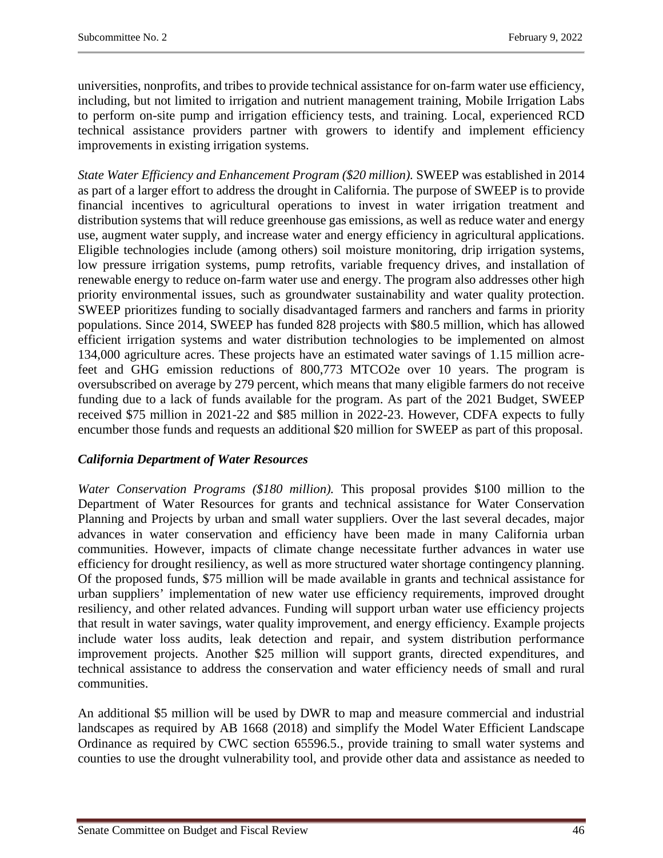universities, nonprofits, and tribes to provide technical assistance for on-farm water use efficiency, including, but not limited to irrigation and nutrient management training, Mobile Irrigation Labs to perform on-site pump and irrigation efficiency tests, and training. Local, experienced RCD technical assistance providers partner with growers to identify and implement efficiency improvements in existing irrigation systems.

*State Water Efficiency and Enhancement Program (\$20 million).* SWEEP was established in 2014 as part of a larger effort to address the drought in California. The purpose of SWEEP is to provide financial incentives to agricultural operations to invest in water irrigation treatment and distribution systems that will reduce greenhouse gas emissions, as well as reduce water and energy use, augment water supply, and increase water and energy efficiency in agricultural applications. Eligible technologies include (among others) soil moisture monitoring, drip irrigation systems, low pressure irrigation systems, pump retrofits, variable frequency drives, and installation of renewable energy to reduce on-farm water use and energy. The program also addresses other high priority environmental issues, such as groundwater sustainability and water quality protection. SWEEP prioritizes funding to socially disadvantaged farmers and ranchers and farms in priority populations. Since 2014, SWEEP has funded 828 projects with \$80.5 million, which has allowed efficient irrigation systems and water distribution technologies to be implemented on almost 134,000 agriculture acres. These projects have an estimated water savings of 1.15 million acrefeet and GHG emission reductions of 800,773 MTCO2e over 10 years. The program is oversubscribed on average by 279 percent, which means that many eligible farmers do not receive funding due to a lack of funds available for the program. As part of the 2021 Budget, SWEEP received \$75 million in 2021-22 and \$85 million in 2022-23. However, CDFA expects to fully encumber those funds and requests an additional \$20 million for SWEEP as part of this proposal.

# *California Department of Water Resources*

*Water Conservation Programs (\$180 million).* This proposal provides \$100 million to the Department of Water Resources for grants and technical assistance for Water Conservation Planning and Projects by urban and small water suppliers. Over the last several decades, major advances in water conservation and efficiency have been made in many California urban communities. However, impacts of climate change necessitate further advances in water use efficiency for drought resiliency, as well as more structured water shortage contingency planning. Of the proposed funds, \$75 million will be made available in grants and technical assistance for urban suppliers' implementation of new water use efficiency requirements, improved drought resiliency, and other related advances. Funding will support urban water use efficiency projects that result in water savings, water quality improvement, and energy efficiency. Example projects include water loss audits, leak detection and repair, and system distribution performance improvement projects. Another \$25 million will support grants, directed expenditures, and technical assistance to address the conservation and water efficiency needs of small and rural communities.

An additional \$5 million will be used by DWR to map and measure commercial and industrial landscapes as required by AB 1668 (2018) and simplify the Model Water Efficient Landscape Ordinance as required by CWC section 65596.5., provide training to small water systems and counties to use the drought vulnerability tool, and provide other data and assistance as needed to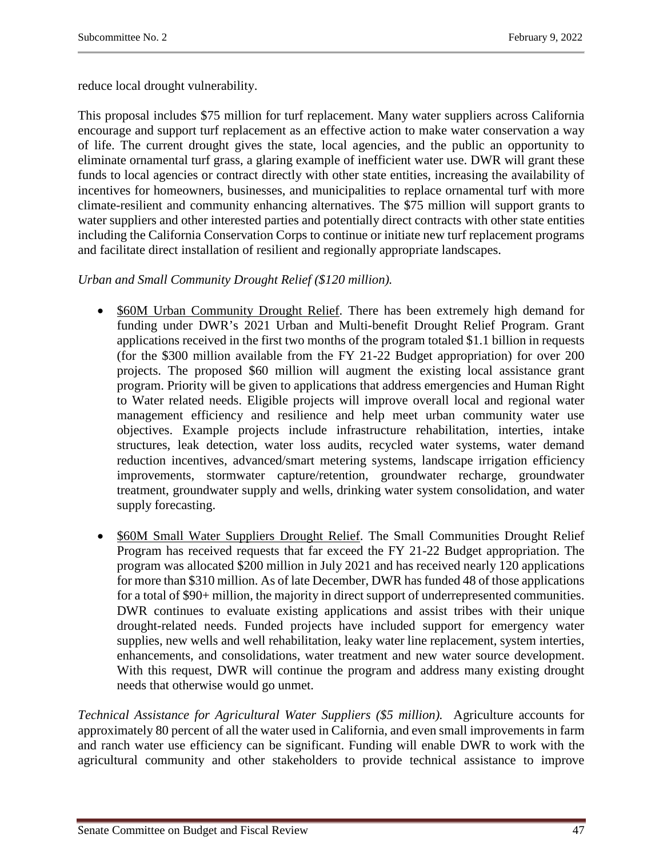reduce local drought vulnerability.

This proposal includes \$75 million for turf replacement. Many water suppliers across California encourage and support turf replacement as an effective action to make water conservation a way of life. The current drought gives the state, local agencies, and the public an opportunity to eliminate ornamental turf grass, a glaring example of inefficient water use. DWR will grant these funds to local agencies or contract directly with other state entities, increasing the availability of incentives for homeowners, businesses, and municipalities to replace ornamental turf with more climate-resilient and community enhancing alternatives. The \$75 million will support grants to water suppliers and other interested parties and potentially direct contracts with other state entities including the California Conservation Corps to continue or initiate new turf replacement programs and facilitate direct installation of resilient and regionally appropriate landscapes.

# *Urban and Small Community Drought Relief (\$120 million).*

- \$60M Urban Community Drought Relief. There has been extremely high demand for funding under DWR's 2021 Urban and Multi-benefit Drought Relief Program. Grant applications received in the first two months of the program totaled \$1.1 billion in requests (for the \$300 million available from the FY 21-22 Budget appropriation) for over 200 projects. The proposed \$60 million will augment the existing local assistance grant program. Priority will be given to applications that address emergencies and Human Right to Water related needs. Eligible projects will improve overall local and regional water management efficiency and resilience and help meet urban community water use objectives. Example projects include infrastructure rehabilitation, interties, intake structures, leak detection, water loss audits, recycled water systems, water demand reduction incentives, advanced/smart metering systems, landscape irrigation efficiency improvements, stormwater capture/retention, groundwater recharge, groundwater treatment, groundwater supply and wells, drinking water system consolidation, and water supply forecasting.
- \$60M Small Water Suppliers Drought Relief. The Small Communities Drought Relief Program has received requests that far exceed the FY 21-22 Budget appropriation. The program was allocated \$200 million in July 2021 and has received nearly 120 applications for more than \$310 million. As of late December, DWR has funded 48 of those applications for a total of \$90+ million, the majority in direct support of underrepresented communities. DWR continues to evaluate existing applications and assist tribes with their unique drought-related needs. Funded projects have included support for emergency water supplies, new wells and well rehabilitation, leaky water line replacement, system interties, enhancements, and consolidations, water treatment and new water source development. With this request, DWR will continue the program and address many existing drought needs that otherwise would go unmet.

*Technical Assistance for Agricultural Water Suppliers (\$5 million).* Agriculture accounts for approximately 80 percent of all the water used in California, and even small improvements in farm and ranch water use efficiency can be significant. Funding will enable DWR to work with the agricultural community and other stakeholders to provide technical assistance to improve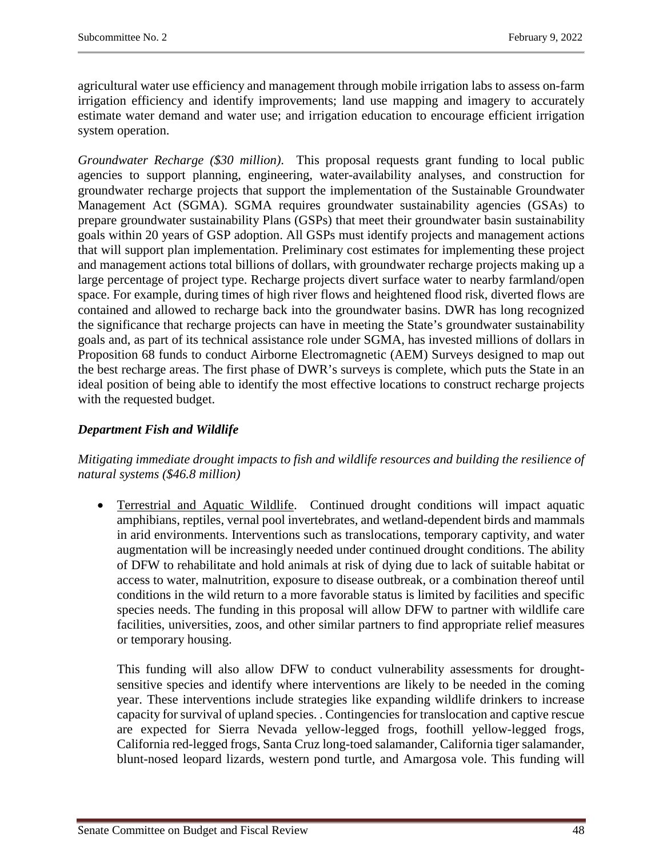agricultural water use efficiency and management through mobile irrigation labs to assess on-farm irrigation efficiency and identify improvements; land use mapping and imagery to accurately estimate water demand and water use; and irrigation education to encourage efficient irrigation system operation.

*Groundwater Recharge (\$30 million)*. This proposal requests grant funding to local public agencies to support planning, engineering, water-availability analyses, and construction for groundwater recharge projects that support the implementation of the Sustainable Groundwater Management Act (SGMA). SGMA requires groundwater sustainability agencies (GSAs) to prepare groundwater sustainability Plans (GSPs) that meet their groundwater basin sustainability goals within 20 years of GSP adoption. All GSPs must identify projects and management actions that will support plan implementation. Preliminary cost estimates for implementing these project and management actions total billions of dollars, with groundwater recharge projects making up a large percentage of project type. Recharge projects divert surface water to nearby farmland/open space. For example, during times of high river flows and heightened flood risk, diverted flows are contained and allowed to recharge back into the groundwater basins. DWR has long recognized the significance that recharge projects can have in meeting the State's groundwater sustainability goals and, as part of its technical assistance role under SGMA, has invested millions of dollars in Proposition 68 funds to conduct Airborne Electromagnetic (AEM) Surveys designed to map out the best recharge areas. The first phase of DWR's surveys is complete, which puts the State in an ideal position of being able to identify the most effective locations to construct recharge projects with the requested budget.

# *Department Fish and Wildlife*

# *Mitigating immediate drought impacts to fish and wildlife resources and building the resilience of natural systems (\$46.8 million)*

• Terrestrial and Aquatic Wildlife. Continued drought conditions will impact aquatic amphibians, reptiles, vernal pool invertebrates, and wetland-dependent birds and mammals in arid environments. Interventions such as translocations, temporary captivity, and water augmentation will be increasingly needed under continued drought conditions. The ability of DFW to rehabilitate and hold animals at risk of dying due to lack of suitable habitat or access to water, malnutrition, exposure to disease outbreak, or a combination thereof until conditions in the wild return to a more favorable status is limited by facilities and specific species needs. The funding in this proposal will allow DFW to partner with wildlife care facilities, universities, zoos, and other similar partners to find appropriate relief measures or temporary housing.

This funding will also allow DFW to conduct vulnerability assessments for droughtsensitive species and identify where interventions are likely to be needed in the coming year. These interventions include strategies like expanding wildlife drinkers to increase capacity for survival of upland species. . Contingencies for translocation and captive rescue are expected for Sierra Nevada yellow-legged frogs, foothill yellow-legged frogs, California red-legged frogs, Santa Cruz long-toed salamander, California tiger salamander, blunt-nosed leopard lizards, western pond turtle, and Amargosa vole. This funding will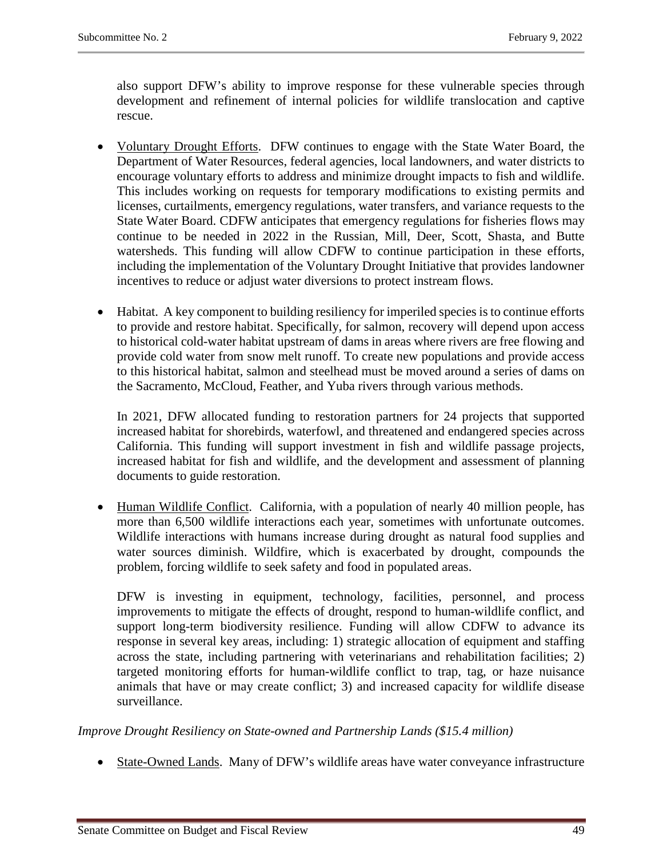also support DFW's ability to improve response for these vulnerable species through development and refinement of internal policies for wildlife translocation and captive rescue.

- Voluntary Drought Efforts. DFW continues to engage with the State Water Board, the Department of Water Resources, federal agencies, local landowners, and water districts to encourage voluntary efforts to address and minimize drought impacts to fish and wildlife. This includes working on requests for temporary modifications to existing permits and licenses, curtailments, emergency regulations, water transfers, and variance requests to the State Water Board. CDFW anticipates that emergency regulations for fisheries flows may continue to be needed in 2022 in the Russian, Mill, Deer, Scott, Shasta, and Butte watersheds. This funding will allow CDFW to continue participation in these efforts, including the implementation of the Voluntary Drought Initiative that provides landowner incentives to reduce or adjust water diversions to protect instream flows.
- Habitat. A key component to building resiliency for imperiled species is to continue efforts to provide and restore habitat. Specifically, for salmon, recovery will depend upon access to historical cold-water habitat upstream of dams in areas where rivers are free flowing and provide cold water from snow melt runoff. To create new populations and provide access to this historical habitat, salmon and steelhead must be moved around a series of dams on the Sacramento, McCloud, Feather, and Yuba rivers through various methods.

In 2021, DFW allocated funding to restoration partners for 24 projects that supported increased habitat for shorebirds, waterfowl, and threatened and endangered species across California. This funding will support investment in fish and wildlife passage projects, increased habitat for fish and wildlife, and the development and assessment of planning documents to guide restoration.

• Human Wildlife Conflict. California, with a population of nearly 40 million people, has more than 6,500 wildlife interactions each year, sometimes with unfortunate outcomes. Wildlife interactions with humans increase during drought as natural food supplies and water sources diminish. Wildfire, which is exacerbated by drought, compounds the problem, forcing wildlife to seek safety and food in populated areas.

DFW is investing in equipment, technology, facilities, personnel, and process improvements to mitigate the effects of drought, respond to human-wildlife conflict, and support long-term biodiversity resilience. Funding will allow CDFW to advance its response in several key areas, including: 1) strategic allocation of equipment and staffing across the state, including partnering with veterinarians and rehabilitation facilities; 2) targeted monitoring efforts for human-wildlife conflict to trap, tag, or haze nuisance animals that have or may create conflict; 3) and increased capacity for wildlife disease surveillance.

*Improve Drought Resiliency on State-owned and Partnership Lands (\$15.4 million)*

• State-Owned Lands. Many of DFW's wildlife areas have water conveyance infrastructure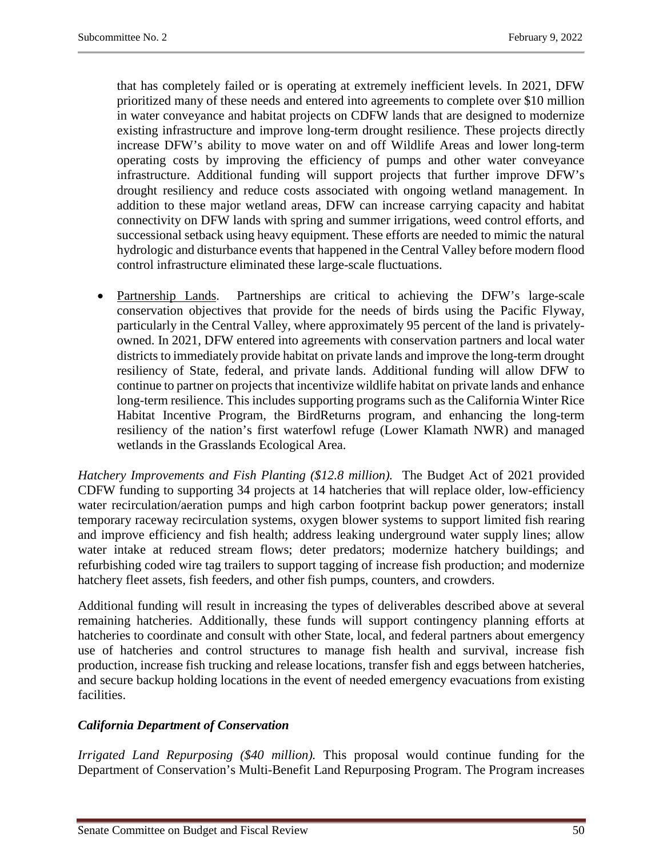that has completely failed or is operating at extremely inefficient levels. In 2021, DFW prioritized many of these needs and entered into agreements to complete over \$10 million in water conveyance and habitat projects on CDFW lands that are designed to modernize existing infrastructure and improve long-term drought resilience. These projects directly increase DFW's ability to move water on and off Wildlife Areas and lower long-term operating costs by improving the efficiency of pumps and other water conveyance infrastructure. Additional funding will support projects that further improve DFW's drought resiliency and reduce costs associated with ongoing wetland management. In addition to these major wetland areas, DFW can increase carrying capacity and habitat connectivity on DFW lands with spring and summer irrigations, weed control efforts, and successional setback using heavy equipment. These efforts are needed to mimic the natural hydrologic and disturbance events that happened in the Central Valley before modern flood control infrastructure eliminated these large-scale fluctuations.

• Partnership Lands. Partnerships are critical to achieving the DFW's large-scale conservation objectives that provide for the needs of birds using the Pacific Flyway, particularly in the Central Valley, where approximately 95 percent of the land is privatelyowned. In 2021, DFW entered into agreements with conservation partners and local water districts to immediately provide habitat on private lands and improve the long-term drought resiliency of State, federal, and private lands. Additional funding will allow DFW to continue to partner on projects that incentivize wildlife habitat on private lands and enhance long-term resilience. This includes supporting programs such as the California Winter Rice Habitat Incentive Program, the BirdReturns program, and enhancing the long-term resiliency of the nation's first waterfowl refuge (Lower Klamath NWR) and managed wetlands in the Grasslands Ecological Area.

*Hatchery Improvements and Fish Planting (\$12.8 million).* The Budget Act of 2021 provided CDFW funding to supporting 34 projects at 14 hatcheries that will replace older, low-efficiency water recirculation/aeration pumps and high carbon footprint backup power generators; install temporary raceway recirculation systems, oxygen blower systems to support limited fish rearing and improve efficiency and fish health; address leaking underground water supply lines; allow water intake at reduced stream flows; deter predators; modernize hatchery buildings; and refurbishing coded wire tag trailers to support tagging of increase fish production; and modernize hatchery fleet assets, fish feeders, and other fish pumps, counters, and crowders.

Additional funding will result in increasing the types of deliverables described above at several remaining hatcheries. Additionally, these funds will support contingency planning efforts at hatcheries to coordinate and consult with other State, local, and federal partners about emergency use of hatcheries and control structures to manage fish health and survival, increase fish production, increase fish trucking and release locations, transfer fish and eggs between hatcheries, and secure backup holding locations in the event of needed emergency evacuations from existing facilities.

# *California Department of Conservation*

*Irrigated Land Repurposing (\$40 million).* This proposal would continue funding for the Department of Conservation's Multi-Benefit Land Repurposing Program. The Program increases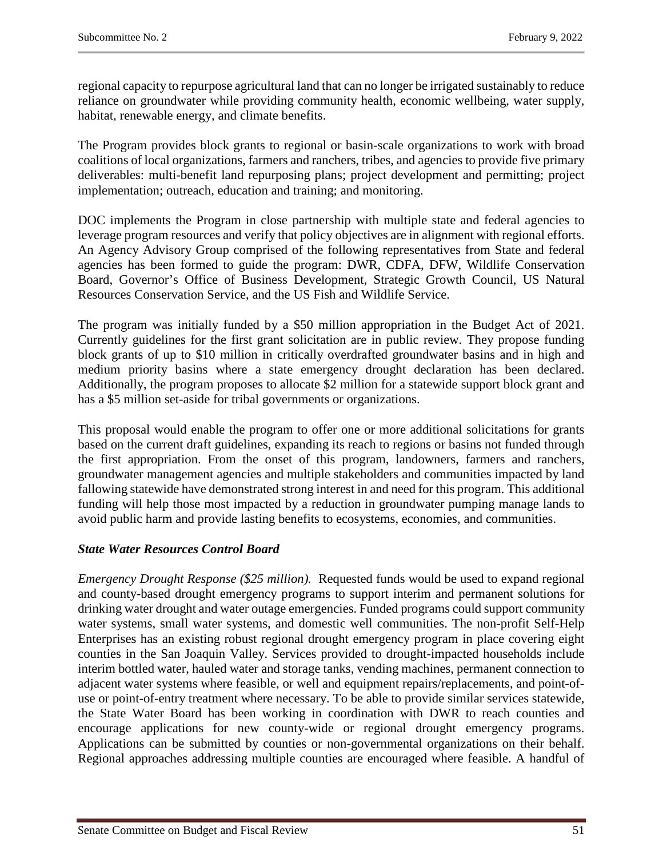regional capacity to repurpose agricultural land that can no longer be irrigated sustainably to reduce reliance on groundwater while providing community health, economic wellbeing, water supply, habitat, renewable energy, and climate benefits.

The Program provides block grants to regional or basin-scale organizations to work with broad coalitions of local organizations, farmers and ranchers, tribes, and agencies to provide five primary deliverables: multi-benefit land repurposing plans; project development and permitting; project implementation; outreach, education and training; and monitoring.

DOC implements the Program in close partnership with multiple state and federal agencies to leverage program resources and verify that policy objectives are in alignment with regional efforts. An Agency Advisory Group comprised of the following representatives from State and federal agencies has been formed to guide the program: DWR, CDFA, DFW, Wildlife Conservation Board, Governor's Office of Business Development, Strategic Growth Council, US Natural Resources Conservation Service, and the US Fish and Wildlife Service.

The program was initially funded by a \$50 million appropriation in the Budget Act of 2021. Currently guidelines for the first grant solicitation are in public review. They propose funding block grants of up to \$10 million in critically overdrafted groundwater basins and in high and medium priority basins where a state emergency drought declaration has been declared. Additionally, the program proposes to allocate \$2 million for a statewide support block grant and has a \$5 million set-aside for tribal governments or organizations.

This proposal would enable the program to offer one or more additional solicitations for grants based on the current draft guidelines, expanding its reach to regions or basins not funded through the first appropriation. From the onset of this program, landowners, farmers and ranchers, groundwater management agencies and multiple stakeholders and communities impacted by land fallowing statewide have demonstrated strong interest in and need for this program. This additional funding will help those most impacted by a reduction in groundwater pumping manage lands to avoid public harm and provide lasting benefits to ecosystems, economies, and communities.

# *State Water Resources Control Board*

*Emergency Drought Response (\$25 million).* Requested funds would be used to expand regional and county-based drought emergency programs to support interim and permanent solutions for drinking water drought and water outage emergencies. Funded programs could support community water systems, small water systems, and domestic well communities. The non-profit Self-Help Enterprises has an existing robust regional drought emergency program in place covering eight counties in the San Joaquin Valley. Services provided to drought-impacted households include interim bottled water, hauled water and storage tanks, vending machines, permanent connection to adjacent water systems where feasible, or well and equipment repairs/replacements, and point-ofuse or point-of-entry treatment where necessary. To be able to provide similar services statewide, the State Water Board has been working in coordination with DWR to reach counties and encourage applications for new county-wide or regional drought emergency programs. Applications can be submitted by counties or non-governmental organizations on their behalf. Regional approaches addressing multiple counties are encouraged where feasible. A handful of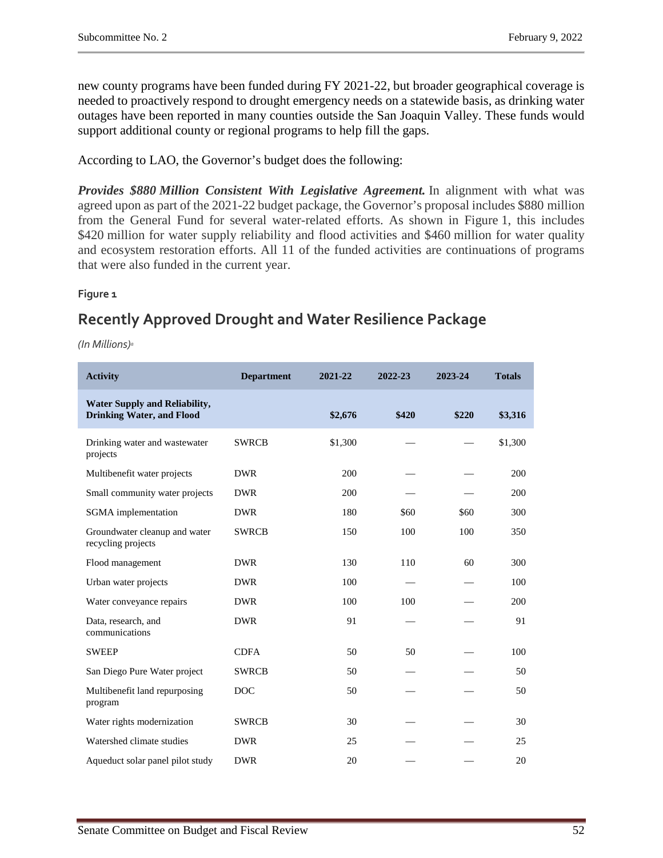new county programs have been funded during FY 2021-22, but broader geographical coverage is needed to proactively respond to drought emergency needs on a statewide basis, as drinking water outages have been reported in many counties outside the San Joaquin Valley. These funds would support additional county or regional programs to help fill the gaps.

According to LAO, the Governor's budget does the following:

*Provides \$880 Million Consistent With Legislative Agreement.* In alignment with what was agreed upon as part of the 2021-22 budget package, the Governor's proposal includes \$880 million from the General Fund for several water-related efforts. As shown in Figure 1, this includes \$420 million for water supply reliability and flood activities and \$460 million for water quality and ecosystem restoration efforts. All 11 of the funded activities are continuations of programs that were also funded in the current year.

#### **Figure 1**

# **Recently Approved Drought and Water Resilience Package**

*(In Millions)a*

| <b>Activity</b>                                                          | <b>Department</b> | 2021-22 | 2022-23 | 2023-24 | <b>Totals</b> |
|--------------------------------------------------------------------------|-------------------|---------|---------|---------|---------------|
| <b>Water Supply and Reliability,</b><br><b>Drinking Water, and Flood</b> |                   | \$2,676 | \$420   | \$220   | \$3,316       |
| Drinking water and wastewater<br>projects                                | <b>SWRCB</b>      | \$1,300 |         |         | \$1,300       |
| Multibenefit water projects                                              | <b>DWR</b>        | 200     |         |         | 200           |
| Small community water projects                                           | <b>DWR</b>        | 200     |         |         | 200           |
| SGMA implementation                                                      | <b>DWR</b>        | 180     | \$60    | \$60    | 300           |
| Groundwater cleanup and water<br>recycling projects                      | <b>SWRCB</b>      | 150     | 100     | 100     | 350           |
| Flood management                                                         | <b>DWR</b>        | 130     | 110     | 60      | 300           |
| Urban water projects                                                     | <b>DWR</b>        | 100     |         |         | 100           |
| Water conveyance repairs                                                 | <b>DWR</b>        | 100     | 100     |         | 200           |
| Data, research, and<br>communications                                    | <b>DWR</b>        | 91      |         |         | 91            |
| <b>SWEEP</b>                                                             | <b>CDFA</b>       | 50      | 50      |         | 100           |
| San Diego Pure Water project                                             | <b>SWRCB</b>      | 50      |         |         | 50            |
| Multibenefit land repurposing<br>program                                 | <b>DOC</b>        | 50      |         |         | 50            |
| Water rights modernization                                               | <b>SWRCB</b>      | 30      |         |         | 30            |
| Watershed climate studies                                                | <b>DWR</b>        | 25      |         |         | 25            |
| Aqueduct solar panel pilot study                                         | <b>DWR</b>        | 20      |         |         | 20            |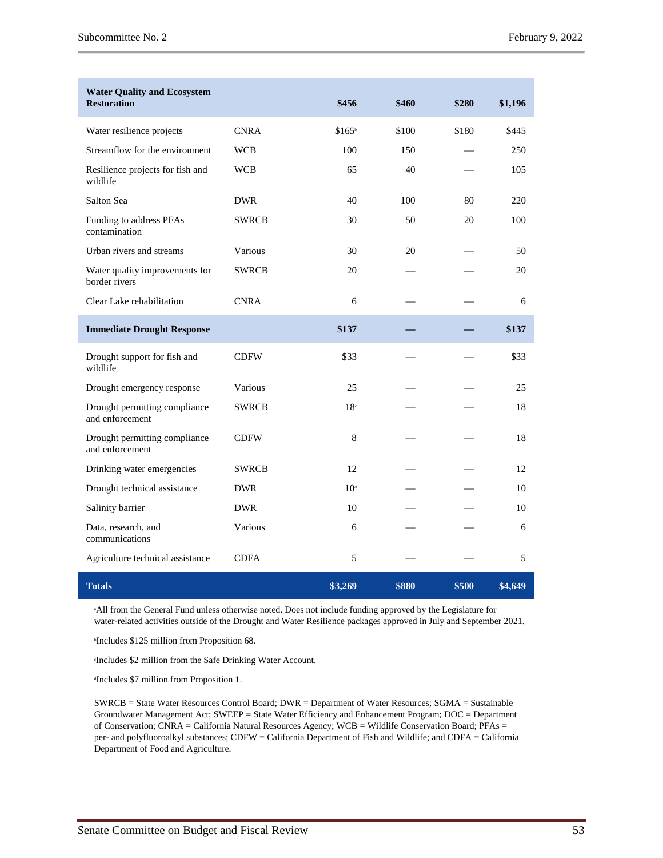| <b>Water Quality and Ecosystem</b><br><b>Restoration</b> |              | \$456              | \$460 | \$280 | \$1,196 |
|----------------------------------------------------------|--------------|--------------------|-------|-------|---------|
| Water resilience projects                                | <b>CNRA</b>  | \$165 <sup>b</sup> | \$100 | \$180 | \$445   |
| Streamflow for the environment                           | <b>WCB</b>   | 100                | 150   |       | 250     |
| Resilience projects for fish and<br>wildlife             | <b>WCB</b>   | 65                 | 40    |       | 105     |
| Salton Sea                                               | <b>DWR</b>   | 40                 | 100   | 80    | 220     |
| Funding to address PFAs<br>contamination                 | <b>SWRCB</b> | 30                 | 50    | 20    | 100     |
| Urban rivers and streams                                 | Various      | 30                 | 20    |       | 50      |
| Water quality improvements for<br>border rivers          | <b>SWRCB</b> | 20                 |       |       | 20      |
| Clear Lake rehabilitation                                | <b>CNRA</b>  | 6                  |       |       | 6       |
| <b>Immediate Drought Response</b>                        |              | \$137              |       |       | \$137   |
| Drought support for fish and<br>wildlife                 | <b>CDFW</b>  | \$33               |       |       | \$33    |
| Drought emergency response                               | Various      | 25                 |       |       | 25      |
| Drought permitting compliance<br>and enforcement         | <b>SWRCB</b> | 18 <sup>c</sup>    |       |       | 18      |
| Drought permitting compliance<br>and enforcement         | <b>CDFW</b>  | 8                  |       |       | 18      |
| Drinking water emergencies                               | <b>SWRCB</b> | 12                 |       |       | 12      |
| Drought technical assistance                             | <b>DWR</b>   | 10 <sup>d</sup>    |       |       | 10      |
| Salinity barrier                                         | <b>DWR</b>   | 10                 |       |       | 10      |
| Data, research, and<br>communications                    | Various      | 6                  |       |       | 6       |
| Agriculture technical assistance                         | <b>CDFA</b>  | 5                  |       |       | 5       |
| <b>Totals</b>                                            |              | \$3,269            | \$880 | \$500 | \$4,649 |

a All from the General Fund unless otherwise noted. Does not include funding approved by the Legislature for water-related activities outside of the Drought and Water Resilience packages approved in July and September 2021.

b Includes \$125 million from Proposition 68.

c Includes \$2 million from the Safe Drinking Water Account.

d Includes \$7 million from Proposition 1.

SWRCB = State Water Resources Control Board; DWR = Department of Water Resources; SGMA = Sustainable Groundwater Management Act; SWEEP = State Water Efficiency and Enhancement Program; DOC = Department of Conservation; CNRA = California Natural Resources Agency; WCB = Wildlife Conservation Board; PFAs = per- and polyfluoroalkyl substances; CDFW = California Department of Fish and Wildlife; and CDFA = California Department of Food and Agriculture.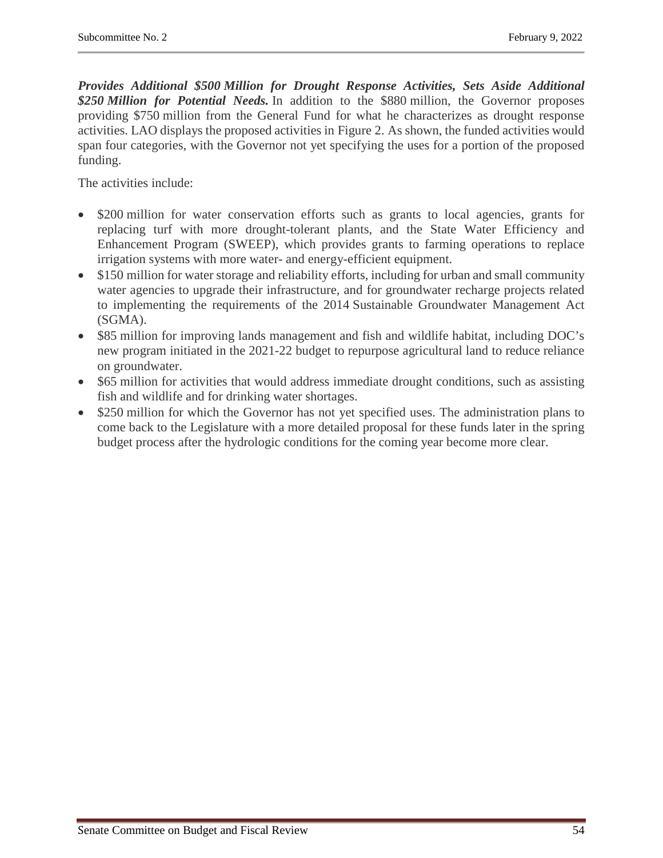*Provides Additional \$500 Million for Drought Response Activities, Sets Aside Additional \$250 Million for Potential Needs.* In addition to the \$880 million, the Governor proposes providing \$750 million from the General Fund for what he characterizes as drought response activities. LAO displays the proposed activities in Figure 2. As shown, the funded activities would span four categories, with the Governor not yet specifying the uses for a portion of the proposed funding.

The activities include:

- \$200 million for water conservation efforts such as grants to local agencies, grants for replacing turf with more drought-tolerant plants, and the State Water Efficiency and Enhancement Program (SWEEP), which provides grants to farming operations to replace irrigation systems with more water- and energy-efficient equipment.
- \$150 million for water storage and reliability efforts, including for urban and small community water agencies to upgrade their infrastructure, and for groundwater recharge projects related to implementing the requirements of the 2014 Sustainable Groundwater Management Act (SGMA).
- \$85 million for improving lands management and fish and wildlife habitat, including DOC's new program initiated in the 2021-22 budget to repurpose agricultural land to reduce reliance on groundwater.
- \$65 million for activities that would address immediate drought conditions, such as assisting fish and wildlife and for drinking water shortages.
- \$250 million for which the Governor has not yet specified uses. The administration plans to come back to the Legislature with a more detailed proposal for these funds later in the spring budget process after the hydrologic conditions for the coming year become more clear.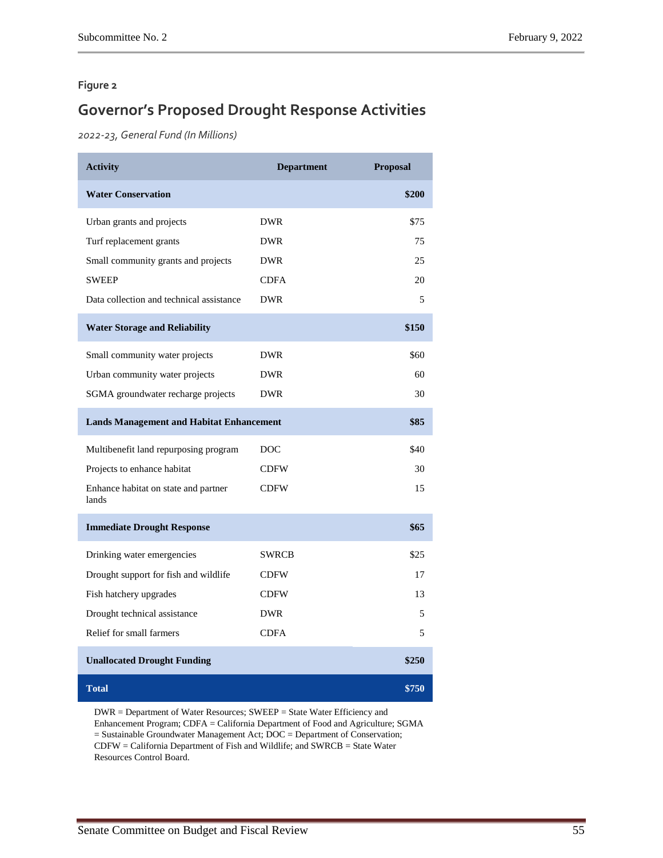#### **Figure 2**

# **Governor's Proposed Drought Response Activities**

*2022-23, General Fund (In Millions)*

| <b>Activity</b>                                 | <b>Department</b> | Proposal |
|-------------------------------------------------|-------------------|----------|
| <b>Water Conservation</b>                       |                   | \$200    |
| Urban grants and projects                       | <b>DWR</b>        | \$75     |
| Turf replacement grants                         | <b>DWR</b>        | 75       |
| Small community grants and projects             | <b>DWR</b>        | 25       |
| <b>SWEEP</b>                                    | <b>CDFA</b>       | 20       |
| Data collection and technical assistance        | <b>DWR</b>        | 5        |
| <b>Water Storage and Reliability</b>            |                   | \$150    |
| Small community water projects                  | <b>DWR</b>        | \$60     |
| Urban community water projects                  | <b>DWR</b>        | 60       |
| SGMA groundwater recharge projects              | <b>DWR</b>        | 30       |
| <b>Lands Management and Habitat Enhancement</b> |                   | \$85     |
| Multibenefit land repurposing program           | DOC               | \$40     |
| Projects to enhance habitat                     | <b>CDFW</b>       | 30       |
| Enhance habitat on state and partner<br>lands   | <b>CDFW</b>       | 15       |
| <b>Immediate Drought Response</b>               |                   | \$65     |
| Drinking water emergencies                      | <b>SWRCB</b>      | \$25     |
| Drought support for fish and wildlife           | <b>CDFW</b>       | 17       |
| Fish hatchery upgrades                          | <b>CDFW</b>       | 13       |
| Drought technical assistance                    | <b>DWR</b>        | 5        |
| Relief for small farmers                        | <b>CDFA</b>       | 5        |
| <b>Unallocated Drought Funding</b>              |                   | \$250    |
| <b>Total</b>                                    |                   | \$750    |

DWR = Department of Water Resources; SWEEP = State Water Efficiency and Enhancement Program; CDFA = California Department of Food and Agriculture; SGMA = Sustainable Groundwater Management Act; DOC = Department of Conservation; CDFW = California Department of Fish and Wildlife; and SWRCB = State Water Resources Control Board.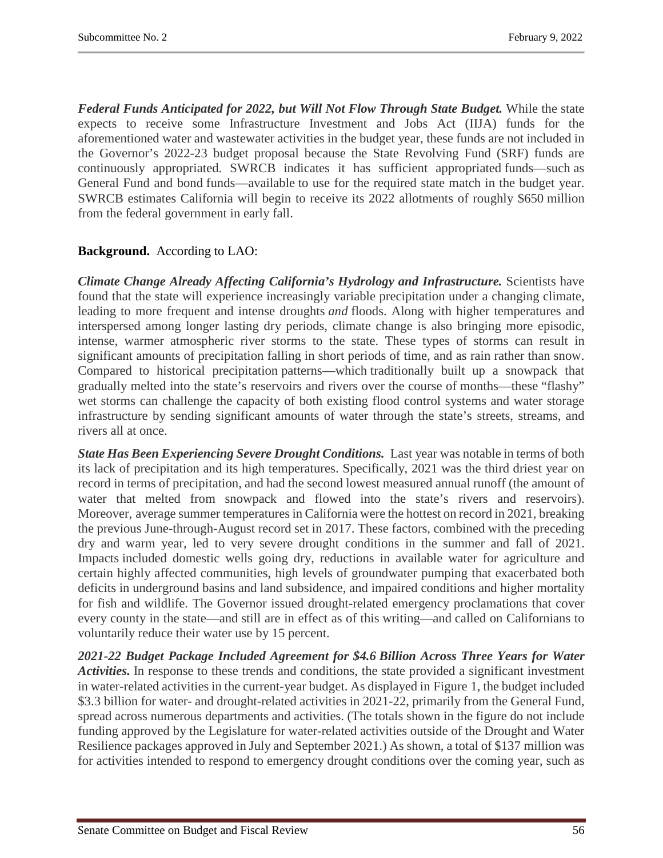*Federal Funds Anticipated for 2022, but Will Not Flow Through State Budget.* While the state expects to receive some Infrastructure Investment and Jobs Act (IIJA) funds for the aforementioned water and wastewater activities in the budget year, these funds are not included in the Governor's 2022-23 budget proposal because the State Revolving Fund (SRF) funds are continuously appropriated. SWRCB indicates it has sufficient appropriated funds—such as General Fund and bond funds—available to use for the required state match in the budget year. SWRCB estimates California will begin to receive its 2022 allotments of roughly \$650 million from the federal government in early fall.

# **Background.** According to LAO:

*Climate Change Already Affecting California's Hydrology and Infrastructure.* Scientists have found that the state will experience increasingly variable precipitation under a changing climate, leading to more frequent and intense droughts *and* floods. Along with higher temperatures and interspersed among longer lasting dry periods, climate change is also bringing more episodic, intense, warmer atmospheric river storms to the state. These types of storms can result in significant amounts of precipitation falling in short periods of time, and as rain rather than snow. Compared to historical precipitation patterns—which traditionally built up a snowpack that gradually melted into the state's reservoirs and rivers over the course of months—these "flashy" wet storms can challenge the capacity of both existing flood control systems and water storage infrastructure by sending significant amounts of water through the state's streets, streams, and rivers all at once.

*State Has Been Experiencing Severe Drought Conditions.* Last year was notable in terms of both its lack of precipitation and its high temperatures. Specifically, 2021 was the third driest year on record in terms of precipitation, and had the second lowest measured annual runoff (the amount of water that melted from snowpack and flowed into the state's rivers and reservoirs). Moreover, average summer temperatures in California were the hottest on record in 2021, breaking the previous June-through-August record set in 2017. These factors, combined with the preceding dry and warm year, led to very severe drought conditions in the summer and fall of 2021. Impacts included domestic wells going dry, reductions in available water for agriculture and certain highly affected communities, high levels of groundwater pumping that exacerbated both deficits in underground basins and land subsidence, and impaired conditions and higher mortality for fish and wildlife. The Governor issued drought-related emergency proclamations that cover every county in the state—and still are in effect as of this writing—and called on Californians to voluntarily reduce their water use by 15 percent.

*2021-22 Budget Package Included Agreement for \$4.6 Billion Across Three Years for Water Activities.* In response to these trends and conditions, the state provided a significant investment in water-related activities in the current-year budget. As displayed in Figure 1, the budget included \$3.3 billion for water- and drought-related activities in 2021-22, primarily from the General Fund, spread across numerous departments and activities. (The totals shown in the figure do not include funding approved by the Legislature for water-related activities outside of the Drought and Water Resilience packages approved in July and September 2021.) As shown, a total of \$137 million was for activities intended to respond to emergency drought conditions over the coming year, such as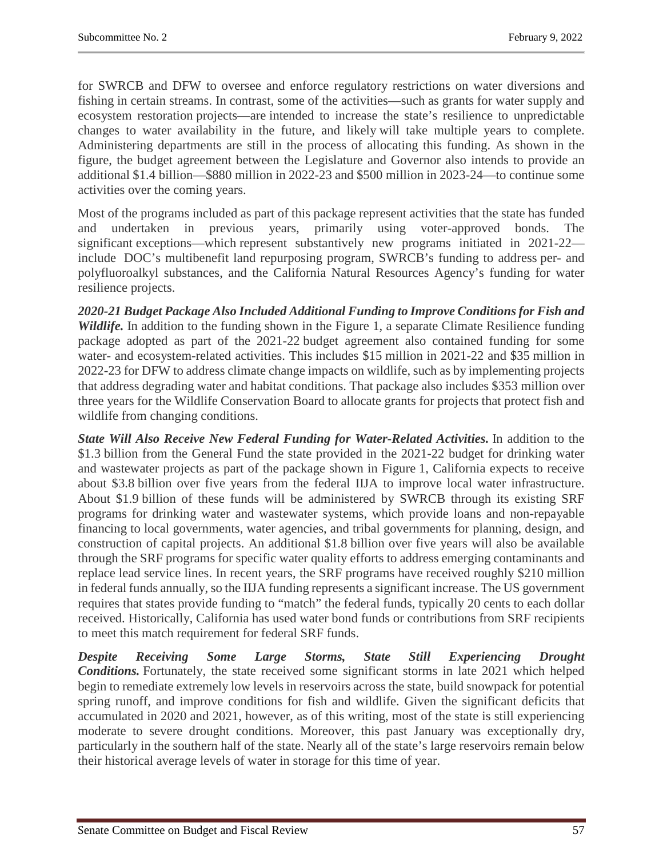for SWRCB and DFW to oversee and enforce regulatory restrictions on water diversions and fishing in certain streams. In contrast, some of the activities—such as grants for water supply and ecosystem restoration projects—are intended to increase the state's resilience to unpredictable changes to water availability in the future, and likely will take multiple years to complete. Administering departments are still in the process of allocating this funding. As shown in the figure, the budget agreement between the Legislature and Governor also intends to provide an additional \$1.4 billion—\$880 million in 2022-23 and \$500 million in 2023-24—to continue some activities over the coming years.

Most of the programs included as part of this package represent activities that the state has funded and undertaken in previous years, primarily using voter-approved bonds. The significant exceptions—which represent substantively new programs initiated in 2021-22 include DOC's multibenefit land repurposing program, SWRCB's funding to address per- and polyfluoroalkyl substances, and the California Natural Resources Agency's funding for water resilience projects.

*2020-21 Budget Package Also Included Additional Funding to Improve Conditions for Fish and Wildlife*. In addition to the funding shown in the Figure 1, a separate Climate Resilience funding package adopted as part of the 2021-22 budget agreement also contained funding for some water- and ecosystem-related activities. This includes \$15 million in 2021-22 and \$35 million in 2022-23 for DFW to address climate change impacts on wildlife, such as by implementing projects that address degrading water and habitat conditions. That package also includes \$353 million over three years for the Wildlife Conservation Board to allocate grants for projects that protect fish and wildlife from changing conditions.

*State Will Also Receive New Federal Funding for Water-Related Activities.* In addition to the \$1.3 billion from the General Fund the state provided in the 2021-22 budget for drinking water and wastewater projects as part of the package shown in Figure 1, California expects to receive about \$3.8 billion over five years from the federal IIJA to improve local water infrastructure. About \$1.9 billion of these funds will be administered by SWRCB through its existing SRF programs for drinking water and wastewater systems, which provide loans and non-repayable financing to local governments, water agencies, and tribal governments for planning, design, and construction of capital projects. An additional \$1.8 billion over five years will also be available through the SRF programs for specific water quality efforts to address emerging contaminants and replace lead service lines. In recent years, the SRF programs have received roughly \$210 million in federal funds annually, so the IIJA funding represents a significant increase. The US government requires that states provide funding to "match" the federal funds, typically 20 cents to each dollar received. Historically, California has used water bond funds or contributions from SRF recipients to meet this match requirement for federal SRF funds.

*Despite Receiving Some Large Storms, State Still Experiencing Drought Conditions.* Fortunately, the state received some significant storms in late 2021 which helped begin to remediate extremely low levels in reservoirs across the state, build snowpack for potential spring runoff, and improve conditions for fish and wildlife. Given the significant deficits that accumulated in 2020 and 2021, however, as of this writing, most of the state is still experiencing moderate to severe drought conditions. Moreover, this past January was exceptionally dry, particularly in the southern half of the state. Nearly all of the state's large reservoirs remain below their historical average levels of water in storage for this time of year.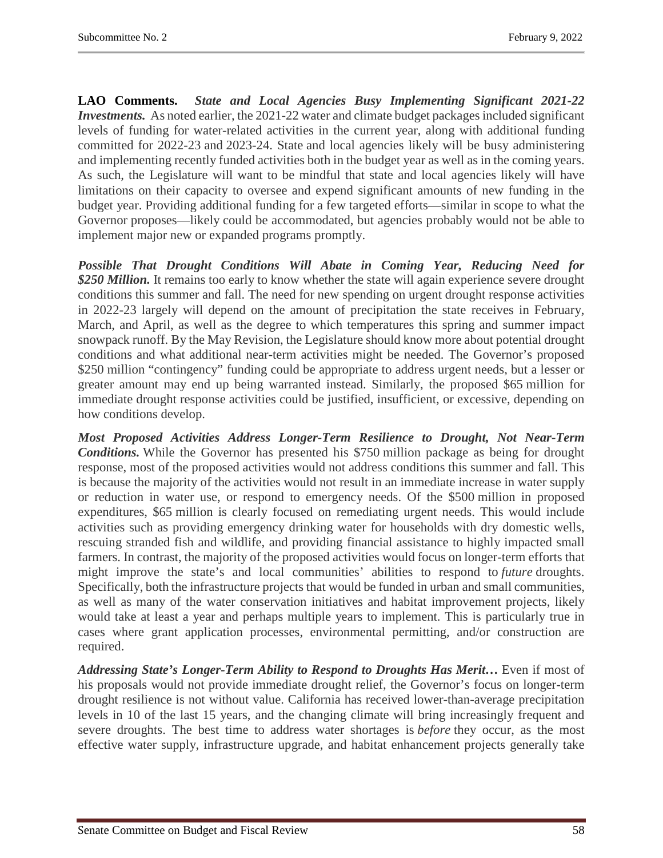**LAO Comments.** *State and Local Agencies Busy Implementing Significant 2021-22 Investments.* As noted earlier, the 2021-22 water and climate budget packages included significant levels of funding for water-related activities in the current year, along with additional funding committed for 2022-23 and 2023-24. State and local agencies likely will be busy administering and implementing recently funded activities both in the budget year as well as in the coming years. As such, the Legislature will want to be mindful that state and local agencies likely will have limitations on their capacity to oversee and expend significant amounts of new funding in the budget year. Providing additional funding for a few targeted efforts—similar in scope to what the Governor proposes—likely could be accommodated, but agencies probably would not be able to implement major new or expanded programs promptly.

*Possible That Drought Conditions Will Abate in Coming Year, Reducing Need for \$250 Million.* It remains too early to know whether the state will again experience severe drought conditions this summer and fall. The need for new spending on urgent drought response activities in 2022-23 largely will depend on the amount of precipitation the state receives in February, March, and April, as well as the degree to which temperatures this spring and summer impact snowpack runoff. By the May Revision, the Legislature should know more about potential drought conditions and what additional near-term activities might be needed. The Governor's proposed \$250 million "contingency" funding could be appropriate to address urgent needs, but a lesser or greater amount may end up being warranted instead. Similarly, the proposed \$65 million for immediate drought response activities could be justified, insufficient, or excessive, depending on how conditions develop.

*Most Proposed Activities Address Longer-Term Resilience to Drought, Not Near-Term Conditions.* While the Governor has presented his \$750 million package as being for drought response, most of the proposed activities would not address conditions this summer and fall. This is because the majority of the activities would not result in an immediate increase in water supply or reduction in water use, or respond to emergency needs. Of the \$500 million in proposed expenditures, \$65 million is clearly focused on remediating urgent needs. This would include activities such as providing emergency drinking water for households with dry domestic wells, rescuing stranded fish and wildlife, and providing financial assistance to highly impacted small farmers. In contrast, the majority of the proposed activities would focus on longer-term efforts that might improve the state's and local communities' abilities to respond to *future* droughts. Specifically, both the infrastructure projects that would be funded in urban and small communities, as well as many of the water conservation initiatives and habitat improvement projects, likely would take at least a year and perhaps multiple years to implement. This is particularly true in cases where grant application processes, environmental permitting, and/or construction are required.

*Addressing State's Longer-Term Ability to Respond to Droughts Has Merit…* Even if most of his proposals would not provide immediate drought relief, the Governor's focus on longer-term drought resilience is not without value. California has received lower-than-average precipitation levels in 10 of the last 15 years, and the changing climate will bring increasingly frequent and severe droughts. The best time to address water shortages is *before* they occur, as the most effective water supply, infrastructure upgrade, and habitat enhancement projects generally take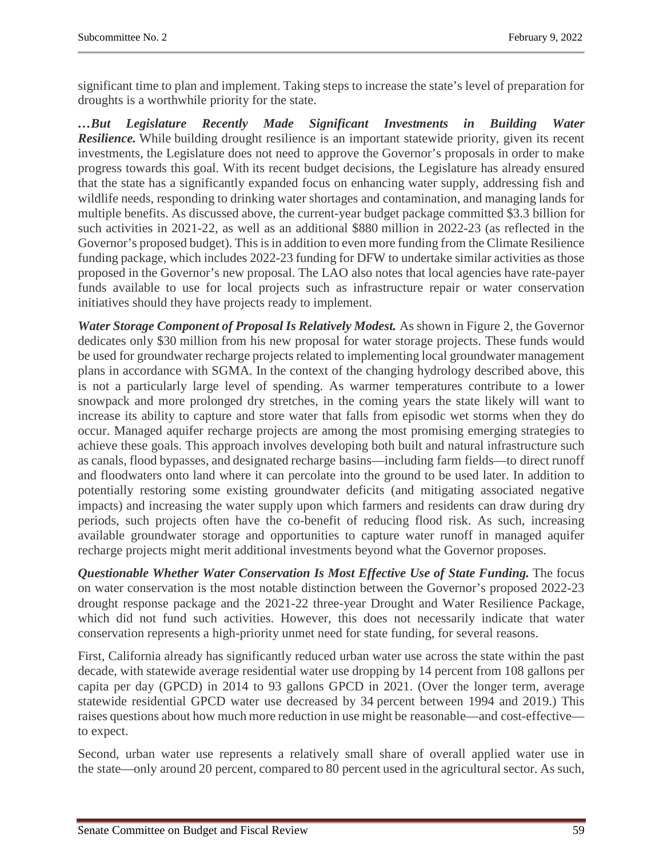significant time to plan and implement. Taking steps to increase the state's level of preparation for droughts is a worthwhile priority for the state.

*…But Legislature Recently Made Significant Investments in Building Water Resilience.* While building drought resilience is an important statewide priority, given its recent investments, the Legislature does not need to approve the Governor's proposals in order to make progress towards this goal. With its recent budget decisions, the Legislature has already ensured that the state has a significantly expanded focus on enhancing water supply, addressing fish and wildlife needs, responding to drinking water shortages and contamination, and managing lands for multiple benefits. As discussed above, the current-year budget package committed \$3.3 billion for such activities in 2021-22, as well as an additional \$880 million in 2022-23 (as reflected in the Governor's proposed budget). This is in addition to even more funding from the Climate Resilience funding package, which includes 2022-23 funding for DFW to undertake similar activities as those proposed in the Governor's new proposal. The LAO also notes that local agencies have rate-payer funds available to use for local projects such as infrastructure repair or water conservation initiatives should they have projects ready to implement.

*Water Storage Component of Proposal Is Relatively Modest.* As shown in Figure 2, the Governor dedicates only \$30 million from his new proposal for water storage projects. These funds would be used for groundwater recharge projects related to implementing local groundwater management plans in accordance with SGMA. In the context of the changing hydrology described above, this is not a particularly large level of spending. As warmer temperatures contribute to a lower snowpack and more prolonged dry stretches, in the coming years the state likely will want to increase its ability to capture and store water that falls from episodic wet storms when they do occur. Managed aquifer recharge projects are among the most promising emerging strategies to achieve these goals. This approach involves developing both built and natural infrastructure such as canals, flood bypasses, and designated recharge basins—including farm fields—to direct runoff and floodwaters onto land where it can percolate into the ground to be used later. In addition to potentially restoring some existing groundwater deficits (and mitigating associated negative impacts) and increasing the water supply upon which farmers and residents can draw during dry periods, such projects often have the co-benefit of reducing flood risk. As such, increasing available groundwater storage and opportunities to capture water runoff in managed aquifer recharge projects might merit additional investments beyond what the Governor proposes.

*Questionable Whether Water Conservation Is Most Effective Use of State Funding.* The focus on water conservation is the most notable distinction between the Governor's proposed 2022-23 drought response package and the 2021-22 three-year Drought and Water Resilience Package, which did not fund such activities. However, this does not necessarily indicate that water conservation represents a high-priority unmet need for state funding, for several reasons.

First, California already has significantly reduced urban water use across the state within the past decade, with statewide average residential water use dropping by 14 percent from 108 gallons per capita per day (GPCD) in 2014 to 93 gallons GPCD in 2021. (Over the longer term, average statewide residential GPCD water use decreased by 34 percent between 1994 and 2019.) This raises questions about how much more reduction in use might be reasonable—and cost-effective to expect.

Second, urban water use represents a relatively small share of overall applied water use in the state—only around 20 percent, compared to 80 percent used in the agricultural sector. As such,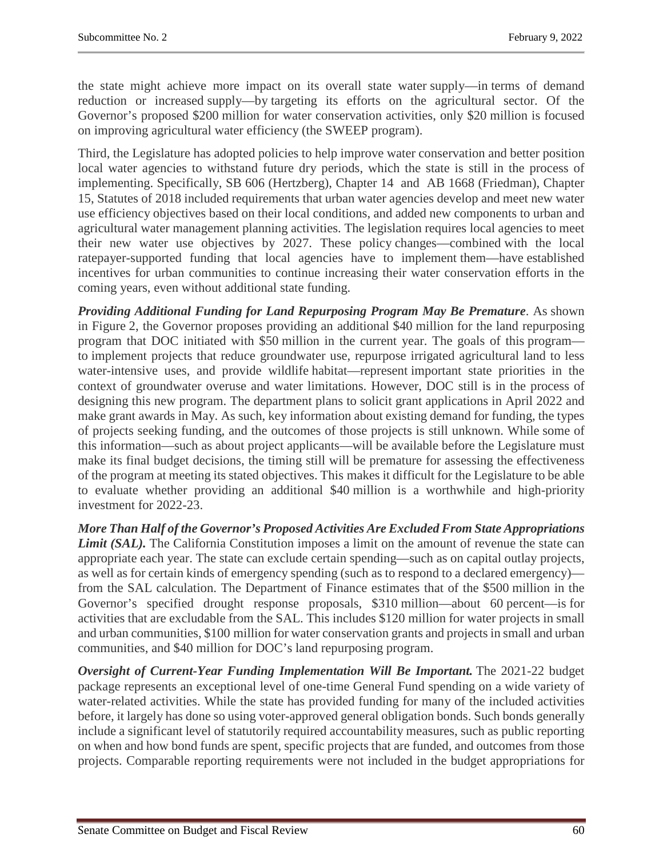the state might achieve more impact on its overall state water supply—in terms of demand reduction or increased supply—by targeting its efforts on the agricultural sector. Of the Governor's proposed \$200 million for water conservation activities, only \$20 million is focused on improving agricultural water efficiency (the SWEEP program).

Third, the Legislature has adopted policies to help improve water conservation and better position local water agencies to withstand future dry periods, which the state is still in the process of implementing. Specifically, SB 606 (Hertzberg), Chapter 14 and AB 1668 (Friedman), Chapter 15, Statutes of 2018 included requirements that urban water agencies develop and meet new water use efficiency objectives based on their local conditions, and added new components to urban and agricultural water management planning activities. The legislation requires local agencies to meet their new water use objectives by 2027. These policy changes—combined with the local ratepayer-supported funding that local agencies have to implement them—have established incentives for urban communities to continue increasing their water conservation efforts in the coming years, even without additional state funding.

*Providing Additional Funding for Land Repurposing Program May Be Premature*. As shown in Figure 2, the Governor proposes providing an additional \$40 million for the land repurposing program that DOC initiated with \$50 million in the current year. The goals of this program to implement projects that reduce groundwater use, repurpose irrigated agricultural land to less water-intensive uses, and provide wildlife habitat—represent important state priorities in the context of groundwater overuse and water limitations. However, DOC still is in the process of designing this new program. The department plans to solicit grant applications in April 2022 and make grant awards in May. As such, key information about existing demand for funding, the types of projects seeking funding, and the outcomes of those projects is still unknown. While some of this information—such as about project applicants—will be available before the Legislature must make its final budget decisions, the timing still will be premature for assessing the effectiveness of the program at meeting its stated objectives. This makes it difficult for the Legislature to be able to evaluate whether providing an additional \$40 million is a worthwhile and high-priority investment for 2022-23.

*More Than Half of the Governor's Proposed Activities Are Excluded From State Appropriations Limit (SAL).* The California Constitution imposes a limit on the amount of revenue the state can appropriate each year. The state can exclude certain spending—such as on capital outlay projects, as well as for certain kinds of emergency spending (such as to respond to a declared emergency) from the SAL calculation. The Department of Finance estimates that of the \$500 million in the Governor's specified drought response proposals, \$310 million—about 60 percent—is for activities that are excludable from the SAL. This includes \$120 million for water projects in small and urban communities, \$100 million for water conservation grants and projects in small and urban communities, and \$40 million for DOC's land repurposing program.

*Oversight of Current-Year Funding Implementation Will Be Important.* The 2021-22 budget package represents an exceptional level of one-time General Fund spending on a wide variety of water-related activities. While the state has provided funding for many of the included activities before, it largely has done so using voter-approved general obligation bonds. Such bonds generally include a significant level of statutorily required accountability measures, such as public reporting on when and how bond funds are spent, specific projects that are funded, and outcomes from those projects. Comparable reporting requirements were not included in the budget appropriations for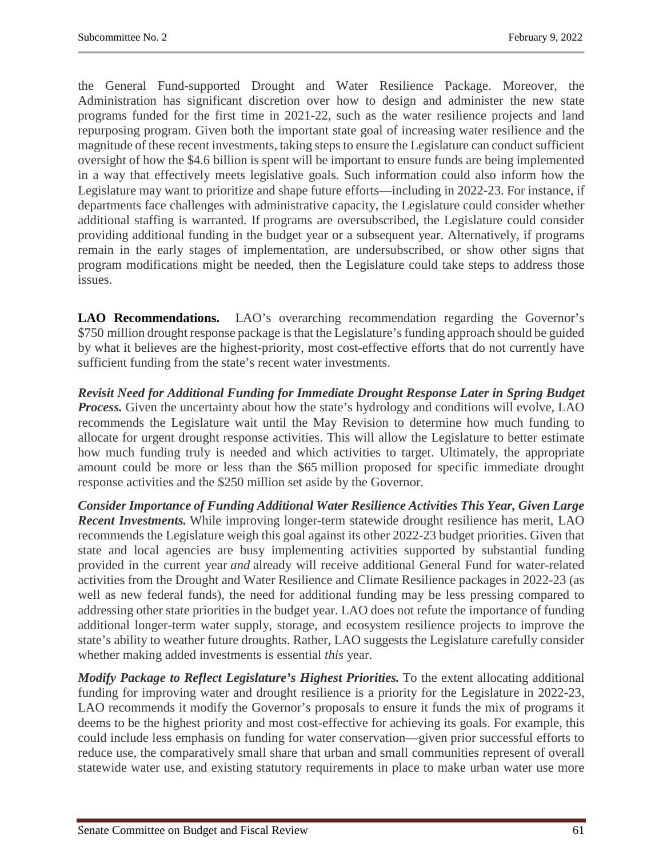the General Fund-supported Drought and Water Resilience Package. Moreover, the Administration has significant discretion over how to design and administer the new state programs funded for the first time in 2021-22, such as the water resilience projects and land repurposing program. Given both the important state goal of increasing water resilience and the magnitude of these recent investments, taking steps to ensure the Legislature can conduct sufficient oversight of how the \$4.6 billion is spent will be important to ensure funds are being implemented in a way that effectively meets legislative goals. Such information could also inform how the Legislature may want to prioritize and shape future efforts—including in 2022-23. For instance, if departments face challenges with administrative capacity, the Legislature could consider whether additional staffing is warranted. If programs are oversubscribed, the Legislature could consider providing additional funding in the budget year or a subsequent year. Alternatively, if programs remain in the early stages of implementation, are undersubscribed, or show other signs that program modifications might be needed, then the Legislature could take steps to address those issues.

**LAO Recommendations.** LAO's overarching recommendation regarding the Governor's \$750 million drought response package is that the Legislature's funding approach should be guided by what it believes are the highest-priority, most cost-effective efforts that do not currently have sufficient funding from the state's recent water investments.

*Revisit Need for Additional Funding for Immediate Drought Response Later in Spring Budget*  **Process.** Given the uncertainty about how the state's hydrology and conditions will evolve, LAO recommends the Legislature wait until the May Revision to determine how much funding to allocate for urgent drought response activities. This will allow the Legislature to better estimate how much funding truly is needed and which activities to target. Ultimately, the appropriate amount could be more or less than the \$65 million proposed for specific immediate drought response activities and the \$250 million set aside by the Governor.

*Consider Importance of Funding Additional Water Resilience Activities This Year, Given Large Recent Investments.* While improving longer-term statewide drought resilience has merit, LAO recommends the Legislature weigh this goal against its other 2022-23 budget priorities. Given that state and local agencies are busy implementing activities supported by substantial funding provided in the current year *and* already will receive additional General Fund for water-related activities from the Drought and Water Resilience and Climate Resilience packages in 2022-23 (as well as new federal funds), the need for additional funding may be less pressing compared to addressing other state priorities in the budget year. LAO does not refute the importance of funding additional longer-term water supply, storage, and ecosystem resilience projects to improve the state's ability to weather future droughts. Rather, LAO suggests the Legislature carefully consider whether making added investments is essential *this* year.

*Modify Package to Reflect Legislature's Highest Priorities.* To the extent allocating additional funding for improving water and drought resilience is a priority for the Legislature in 2022-23, LAO recommends it modify the Governor's proposals to ensure it funds the mix of programs it deems to be the highest priority and most cost-effective for achieving its goals. For example, this could include less emphasis on funding for water conservation—given prior successful efforts to reduce use, the comparatively small share that urban and small communities represent of overall statewide water use, and existing statutory requirements in place to make urban water use more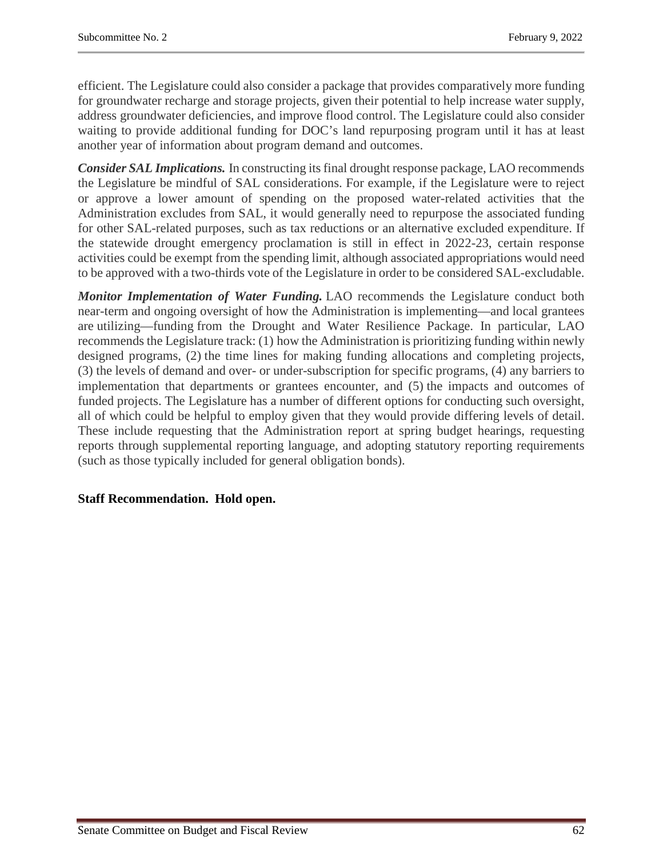efficient. The Legislature could also consider a package that provides comparatively more funding for groundwater recharge and storage projects, given their potential to help increase water supply, address groundwater deficiencies, and improve flood control. The Legislature could also consider waiting to provide additional funding for DOC's land repurposing program until it has at least another year of information about program demand and outcomes.

*Consider SAL Implications.* In constructing its final drought response package, LAO recommends the Legislature be mindful of SAL considerations. For example, if the Legislature were to reject or approve a lower amount of spending on the proposed water-related activities that the Administration excludes from SAL, it would generally need to repurpose the associated funding for other SAL-related purposes, such as tax reductions or an alternative excluded expenditure. If the statewide drought emergency proclamation is still in effect in 2022-23, certain response activities could be exempt from the spending limit, although associated appropriations would need to be approved with a two-thirds vote of the Legislature in order to be considered SAL-excludable.

*Monitor Implementation of Water Funding.* LAO recommends the Legislature conduct both near-term and ongoing oversight of how the Administration is implementing—and local grantees are utilizing—funding from the Drought and Water Resilience Package. In particular, LAO recommends the Legislature track: (1) how the Administration is prioritizing funding within newly designed programs, (2) the time lines for making funding allocations and completing projects, (3) the levels of demand and over- or under-subscription for specific programs, (4) any barriers to implementation that departments or grantees encounter, and (5) the impacts and outcomes of funded projects. The Legislature has a number of different options for conducting such oversight, all of which could be helpful to employ given that they would provide differing levels of detail. These include requesting that the Administration report at spring budget hearings, requesting reports through supplemental reporting language, and adopting statutory reporting requirements (such as those typically included for general obligation bonds).

# **Staff Recommendation. Hold open.**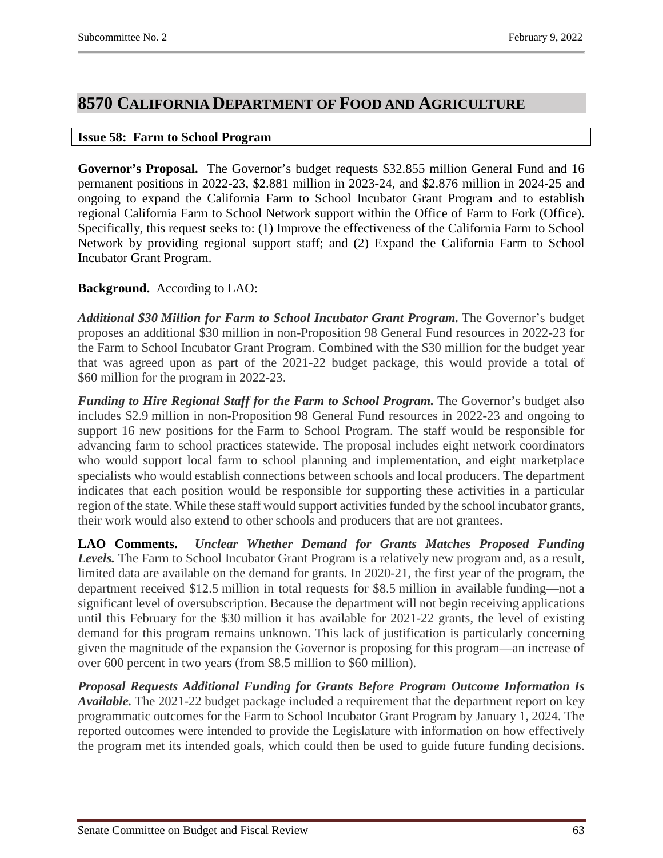# <span id="page-62-0"></span>**8570 CALIFORNIA DEPARTMENT OF FOOD AND AGRICULTURE**

### <span id="page-62-1"></span>**Issue 58: Farm to School Program**

**Governor's Proposal.** The Governor's budget requests \$32.855 million General Fund and 16 permanent positions in 2022-23, \$2.881 million in 2023-24, and \$2.876 million in 2024-25 and ongoing to expand the California Farm to School Incubator Grant Program and to establish regional California Farm to School Network support within the Office of Farm to Fork (Office). Specifically, this request seeks to: (1) Improve the effectiveness of the California Farm to School Network by providing regional support staff; and (2) Expand the California Farm to School Incubator Grant Program.

# **Background.** According to LAO:

*Additional \$30 Million for Farm to School Incubator Grant Program.* The Governor's budget proposes an additional \$30 million in non-Proposition 98 General Fund resources in 2022-23 for the Farm to School Incubator Grant Program. Combined with the \$30 million for the budget year that was agreed upon as part of the 2021-22 budget package, this would provide a total of \$60 million for the program in 2022-23.

*Funding to Hire Regional Staff for the Farm to School Program.* The Governor's budget also includes \$2.9 million in non-Proposition 98 General Fund resources in 2022-23 and ongoing to support 16 new positions for the Farm to School Program. The staff would be responsible for advancing farm to school practices statewide. The proposal includes eight network coordinators who would support local farm to school planning and implementation, and eight marketplace specialists who would establish connections between schools and local producers. The department indicates that each position would be responsible for supporting these activities in a particular region of the state. While these staff would support activities funded by the school incubator grants, their work would also extend to other schools and producers that are not grantees.

**LAO Comments.** *Unclear Whether Demand for Grants Matches Proposed Funding Levels.* The Farm to School Incubator Grant Program is a relatively new program and, as a result, limited data are available on the demand for grants. In 2020-21, the first year of the program, the department received \$12.5 million in total requests for \$8.5 million in available funding—not a significant level of oversubscription. Because the department will not begin receiving applications until this February for the \$30 million it has available for 2021-22 grants, the level of existing demand for this program remains unknown. This lack of justification is particularly concerning given the magnitude of the expansion the Governor is proposing for this program—an increase of over 600 percent in two years (from \$8.5 million to \$60 million).

*Proposal Requests Additional Funding for Grants Before Program Outcome Information Is Available.* The 2021-22 budget package included a requirement that the department report on key programmatic outcomes for the Farm to School Incubator Grant Program by January 1, 2024. The reported outcomes were intended to provide the Legislature with information on how effectively the program met its intended goals, which could then be used to guide future funding decisions.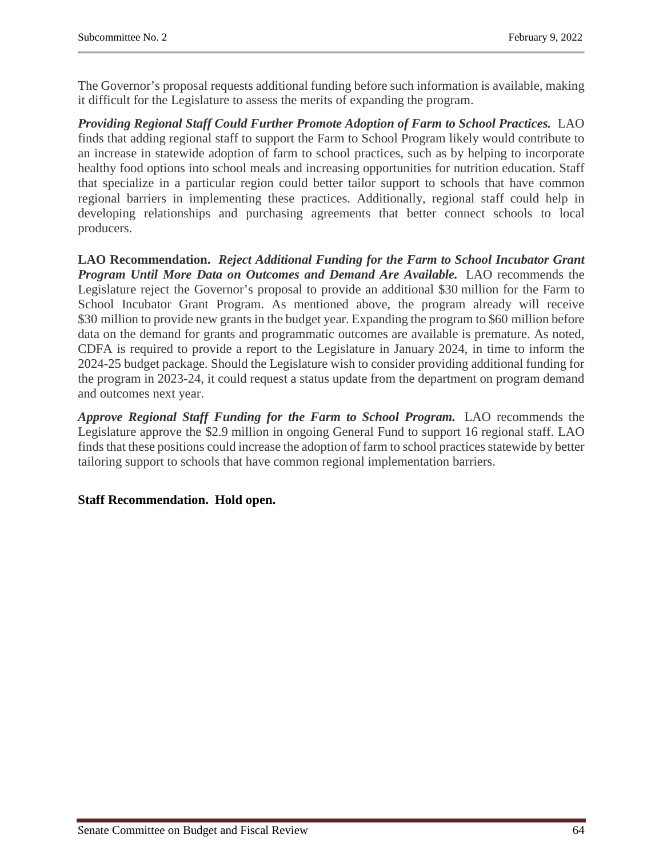The Governor's proposal requests additional funding before such information is available, making it difficult for the Legislature to assess the merits of expanding the program.

*Providing Regional Staff Could Further Promote Adoption of Farm to School Practices.* LAO finds that adding regional staff to support the Farm to School Program likely would contribute to an increase in statewide adoption of farm to school practices, such as by helping to incorporate healthy food options into school meals and increasing opportunities for nutrition education. Staff that specialize in a particular region could better tailor support to schools that have common regional barriers in implementing these practices. Additionally, regional staff could help in developing relationships and purchasing agreements that better connect schools to local producers.

**LAO Recommendation.** *Reject Additional Funding for the Farm to School Incubator Grant Program Until More Data on Outcomes and Demand Are Available.* LAO recommends the Legislature reject the Governor's proposal to provide an additional \$30 million for the Farm to School Incubator Grant Program. As mentioned above, the program already will receive \$30 million to provide new grants in the budget year. Expanding the program to \$60 million before data on the demand for grants and programmatic outcomes are available is premature. As noted, CDFA is required to provide a report to the Legislature in January 2024, in time to inform the 2024-25 budget package. Should the Legislature wish to consider providing additional funding for the program in 2023-24, it could request a status update from the department on program demand and outcomes next year.

*Approve Regional Staff Funding for the Farm to School Program.* LAO recommends the Legislature approve the \$2.9 million in ongoing General Fund to support 16 regional staff. LAO finds that these positions could increase the adoption of farm to school practices statewide by better tailoring support to schools that have common regional implementation barriers.

# **Staff Recommendation. Hold open.**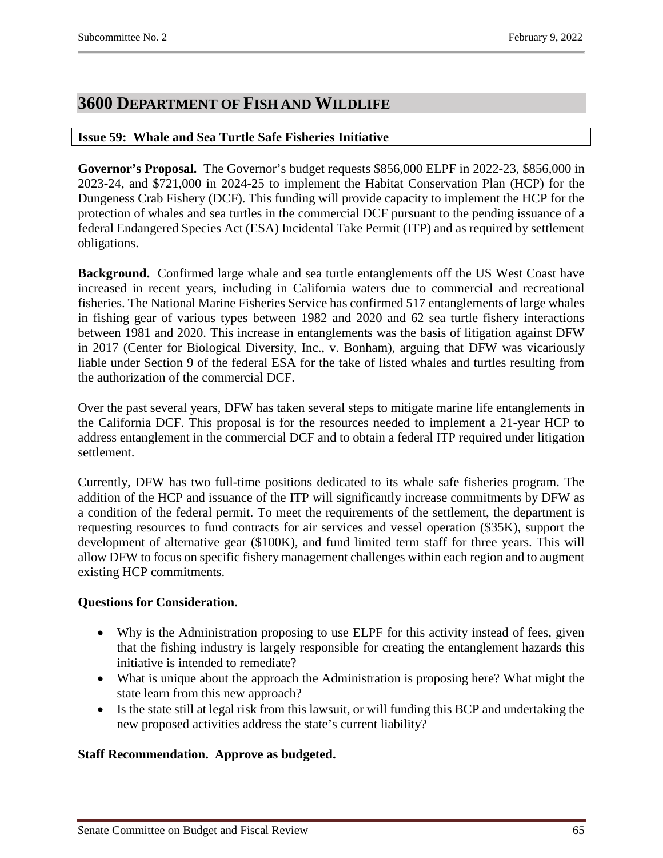# <span id="page-64-0"></span>**3600 DEPARTMENT OF FISH AND WILDLIFE**

# <span id="page-64-1"></span>**Issue 59: Whale and Sea Turtle Safe Fisheries Initiative**

**Governor's Proposal.** The Governor's budget requests \$856,000 ELPF in 2022-23, \$856,000 in 2023-24, and \$721,000 in 2024-25 to implement the Habitat Conservation Plan (HCP) for the Dungeness Crab Fishery (DCF). This funding will provide capacity to implement the HCP for the protection of whales and sea turtles in the commercial DCF pursuant to the pending issuance of a federal Endangered Species Act (ESA) Incidental Take Permit (ITP) and as required by settlement obligations.

**Background.** Confirmed large whale and sea turtle entanglements off the US West Coast have increased in recent years, including in California waters due to commercial and recreational fisheries. The National Marine Fisheries Service has confirmed 517 entanglements of large whales in fishing gear of various types between 1982 and 2020 and 62 sea turtle fishery interactions between 1981 and 2020. This increase in entanglements was the basis of litigation against DFW in 2017 (Center for Biological Diversity, Inc., v. Bonham), arguing that DFW was vicariously liable under Section 9 of the federal ESA for the take of listed whales and turtles resulting from the authorization of the commercial DCF.

Over the past several years, DFW has taken several steps to mitigate marine life entanglements in the California DCF. This proposal is for the resources needed to implement a 21-year HCP to address entanglement in the commercial DCF and to obtain a federal ITP required under litigation settlement.

Currently, DFW has two full-time positions dedicated to its whale safe fisheries program. The addition of the HCP and issuance of the ITP will significantly increase commitments by DFW as a condition of the federal permit. To meet the requirements of the settlement, the department is requesting resources to fund contracts for air services and vessel operation (\$35K), support the development of alternative gear (\$100K), and fund limited term staff for three years. This will allow DFW to focus on specific fishery management challenges within each region and to augment existing HCP commitments.

# **Questions for Consideration.**

- Why is the Administration proposing to use ELPF for this activity instead of fees, given that the fishing industry is largely responsible for creating the entanglement hazards this initiative is intended to remediate?
- What is unique about the approach the Administration is proposing here? What might the state learn from this new approach?
- Is the state still at legal risk from this lawsuit, or will funding this BCP and undertaking the new proposed activities address the state's current liability?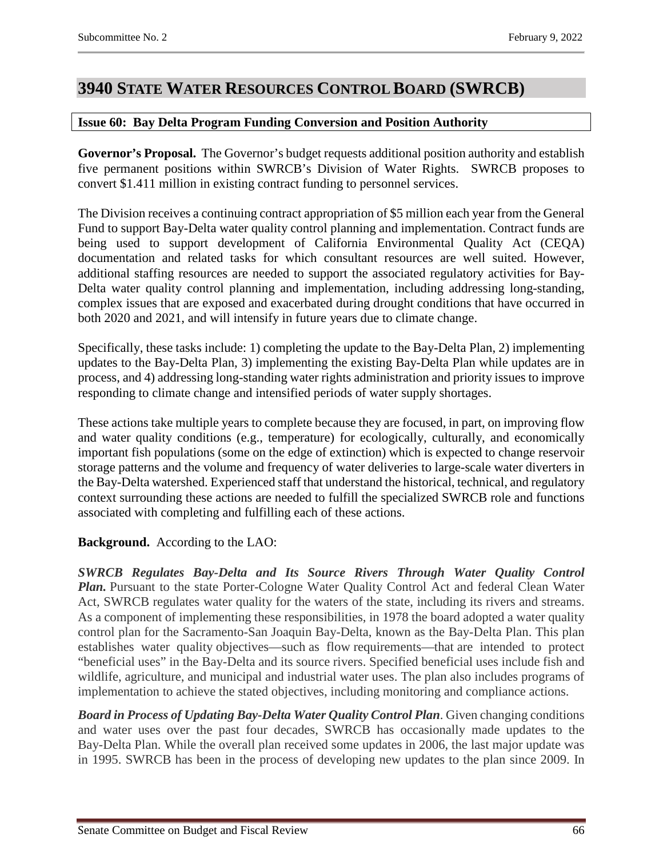# <span id="page-65-0"></span>**3940 STATE WATER RESOURCES CONTROL BOARD (SWRCB)**

# <span id="page-65-1"></span>**Issue 60: Bay Delta Program Funding Conversion and Position Authority**

**Governor's Proposal.** The Governor's budget requests additional position authority and establish five permanent positions within SWRCB's Division of Water Rights. SWRCB proposes to convert \$1.411 million in existing contract funding to personnel services.

The Division receives a continuing contract appropriation of \$5 million each year from the General Fund to support Bay-Delta water quality control planning and implementation. Contract funds are being used to support development of California Environmental Quality Act (CEQA) documentation and related tasks for which consultant resources are well suited. However, additional staffing resources are needed to support the associated regulatory activities for Bay-Delta water quality control planning and implementation, including addressing long-standing, complex issues that are exposed and exacerbated during drought conditions that have occurred in both 2020 and 2021, and will intensify in future years due to climate change.

Specifically, these tasks include: 1) completing the update to the Bay-Delta Plan, 2) implementing updates to the Bay-Delta Plan, 3) implementing the existing Bay-Delta Plan while updates are in process, and 4) addressing long-standing water rights administration and priority issues to improve responding to climate change and intensified periods of water supply shortages.

These actions take multiple years to complete because they are focused, in part, on improving flow and water quality conditions (e.g., temperature) for ecologically, culturally, and economically important fish populations (some on the edge of extinction) which is expected to change reservoir storage patterns and the volume and frequency of water deliveries to large-scale water diverters in the Bay-Delta watershed. Experienced staff that understand the historical, technical, and regulatory context surrounding these actions are needed to fulfill the specialized SWRCB role and functions associated with completing and fulfilling each of these actions.

# **Background.** According to the LAO:

*SWRCB Regulates Bay-Delta and Its Source Rivers Through Water Quality Control Plan.* Pursuant to the state Porter-Cologne Water Quality Control Act and federal Clean Water Act, SWRCB regulates water quality for the waters of the state, including its rivers and streams. As a component of implementing these responsibilities, in 1978 the board adopted a water quality control plan for the Sacramento-San Joaquin Bay-Delta, known as the Bay-Delta Plan. This plan establishes water quality objectives—such as flow requirements—that are intended to protect "beneficial uses" in the Bay-Delta and its source rivers. Specified beneficial uses include fish and wildlife, agriculture, and municipal and industrial water uses. The plan also includes programs of implementation to achieve the stated objectives, including monitoring and compliance actions.

*Board in Process of Updating Bay-Delta Water Quality Control Plan*. Given changing conditions and water uses over the past four decades, SWRCB has occasionally made updates to the Bay-Delta Plan. While the overall plan received some updates in 2006, the last major update was in 1995. SWRCB has been in the process of developing new updates to the plan since 2009. In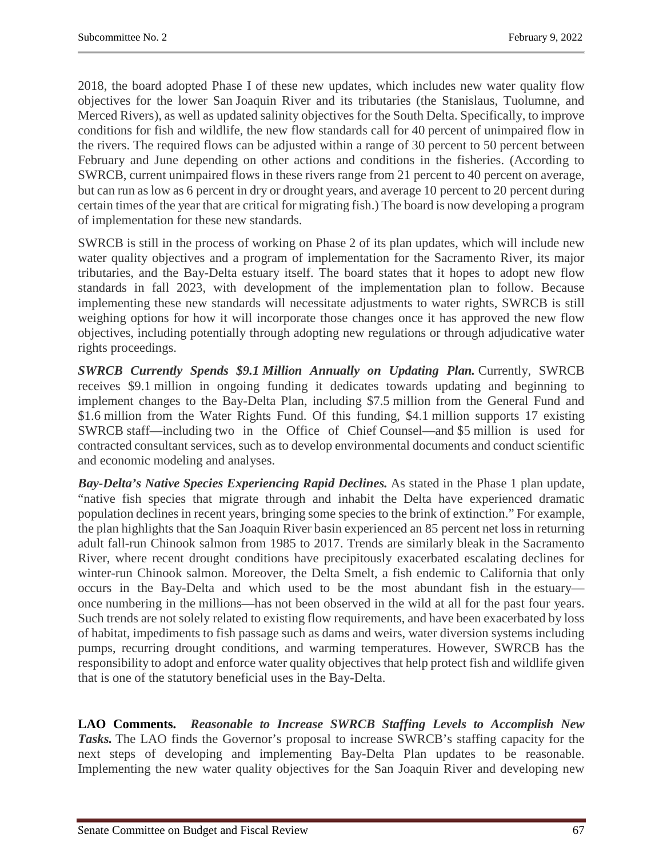2018, the board adopted Phase I of these new updates, which includes new water quality flow objectives for the lower San Joaquin River and its tributaries (the Stanislaus, Tuolumne, and Merced Rivers), as well as updated salinity objectives for the South Delta. Specifically, to improve conditions for fish and wildlife, the new flow standards call for 40 percent of unimpaired flow in the rivers. The required flows can be adjusted within a range of 30 percent to 50 percent between February and June depending on other actions and conditions in the fisheries. (According to SWRCB, current unimpaired flows in these rivers range from 21 percent to 40 percent on average, but can run as low as 6 percent in dry or drought years, and average 10 percent to 20 percent during certain times of the year that are critical for migrating fish.) The board is now developing a program of implementation for these new standards.

SWRCB is still in the process of working on Phase 2 of its plan updates, which will include new water quality objectives and a program of implementation for the Sacramento River, its major tributaries, and the Bay-Delta estuary itself. The board states that it hopes to adopt new flow standards in fall 2023, with development of the implementation plan to follow. Because implementing these new standards will necessitate adjustments to water rights, SWRCB is still weighing options for how it will incorporate those changes once it has approved the new flow objectives, including potentially through adopting new regulations or through adjudicative water rights proceedings.

*SWRCB Currently Spends \$9.1 Million Annually on Updating Plan.* Currently, SWRCB receives \$9.1 million in ongoing funding it dedicates towards updating and beginning to implement changes to the Bay-Delta Plan, including \$7.5 million from the General Fund and \$1.6 million from the Water Rights Fund. Of this funding, \$4.1 million supports 17 existing SWRCB staff—including two in the Office of Chief Counsel—and \$5 million is used for contracted consultant services, such as to develop environmental documents and conduct scientific and economic modeling and analyses.

*Bay-Delta's Native Species Experiencing Rapid Declines.* As stated in the Phase 1 plan update, "native fish species that migrate through and inhabit the Delta have experienced dramatic population declines in recent years, bringing some species to the brink of extinction." For example, the plan highlights that the San Joaquin River basin experienced an 85 percent net loss in returning adult fall-run Chinook salmon from 1985 to 2017. Trends are similarly bleak in the Sacramento River, where recent drought conditions have precipitously exacerbated escalating declines for winter-run Chinook salmon. Moreover, the Delta Smelt, a fish endemic to California that only occurs in the Bay-Delta and which used to be the most abundant fish in the estuary once numbering in the millions—has not been observed in the wild at all for the past four years. Such trends are not solely related to existing flow requirements, and have been exacerbated by loss of habitat, impediments to fish passage such as dams and weirs, water diversion systems including pumps, recurring drought conditions, and warming temperatures. However, SWRCB has the responsibility to adopt and enforce water quality objectives that help protect fish and wildlife given that is one of the statutory beneficial uses in the Bay-Delta.

**LAO Comments.** *Reasonable to Increase SWRCB Staffing Levels to Accomplish New Tasks.* The LAO finds the Governor's proposal to increase SWRCB's staffing capacity for the next steps of developing and implementing Bay-Delta Plan updates to be reasonable. Implementing the new water quality objectives for the San Joaquin River and developing new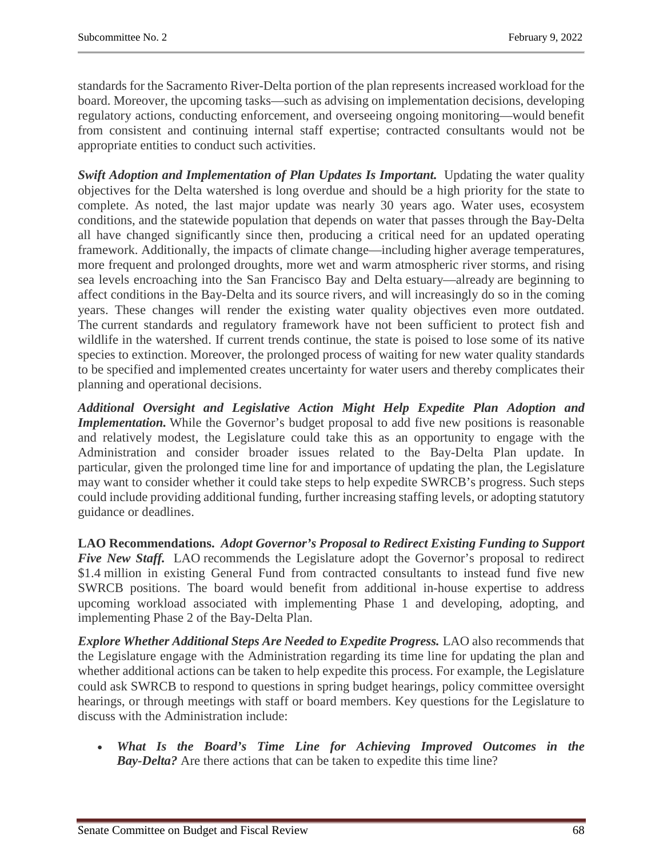standards for the Sacramento River-Delta portion of the plan represents increased workload for the board. Moreover, the upcoming tasks—such as advising on implementation decisions, developing regulatory actions, conducting enforcement, and overseeing ongoing monitoring—would benefit from consistent and continuing internal staff expertise; contracted consultants would not be appropriate entities to conduct such activities.

*Swift Adoption and Implementation of Plan Updates Is Important.* Updating the water quality objectives for the Delta watershed is long overdue and should be a high priority for the state to complete. As noted, the last major update was nearly 30 years ago. Water uses, ecosystem conditions, and the statewide population that depends on water that passes through the Bay-Delta all have changed significantly since then, producing a critical need for an updated operating framework. Additionally, the impacts of climate change—including higher average temperatures, more frequent and prolonged droughts, more wet and warm atmospheric river storms, and rising sea levels encroaching into the San Francisco Bay and Delta estuary—already are beginning to affect conditions in the Bay-Delta and its source rivers, and will increasingly do so in the coming years. These changes will render the existing water quality objectives even more outdated. The current standards and regulatory framework have not been sufficient to protect fish and wildlife in the watershed. If current trends continue, the state is poised to lose some of its native species to extinction. Moreover, the prolonged process of waiting for new water quality standards to be specified and implemented creates uncertainty for water users and thereby complicates their planning and operational decisions.

*Additional Oversight and Legislative Action Might Help Expedite Plan Adoption and Implementation*. While the Governor's budget proposal to add five new positions is reasonable and relatively modest, the Legislature could take this as an opportunity to engage with the Administration and consider broader issues related to the Bay-Delta Plan update. In particular, given the prolonged time line for and importance of updating the plan, the Legislature may want to consider whether it could take steps to help expedite SWRCB's progress. Such steps could include providing additional funding, further increasing staffing levels, or adopting statutory guidance or deadlines.

**LAO Recommendations.** *Adopt Governor's Proposal to Redirect Existing Funding to Support Five New Staff.* LAO recommends the Legislature adopt the Governor's proposal to redirect \$1.4 million in existing General Fund from contracted consultants to instead fund five new SWRCB positions. The board would benefit from additional in-house expertise to address upcoming workload associated with implementing Phase 1 and developing, adopting, and implementing Phase 2 of the Bay-Delta Plan.

*Explore Whether Additional Steps Are Needed to Expedite Progress.* LAO also recommends that the Legislature engage with the Administration regarding its time line for updating the plan and whether additional actions can be taken to help expedite this process. For example, the Legislature could ask SWRCB to respond to questions in spring budget hearings, policy committee oversight hearings, or through meetings with staff or board members. Key questions for the Legislature to discuss with the Administration include:

• *What Is the Board's Time Line for Achieving Improved Outcomes in the Bay-Delta?* Are there actions that can be taken to expedite this time line?